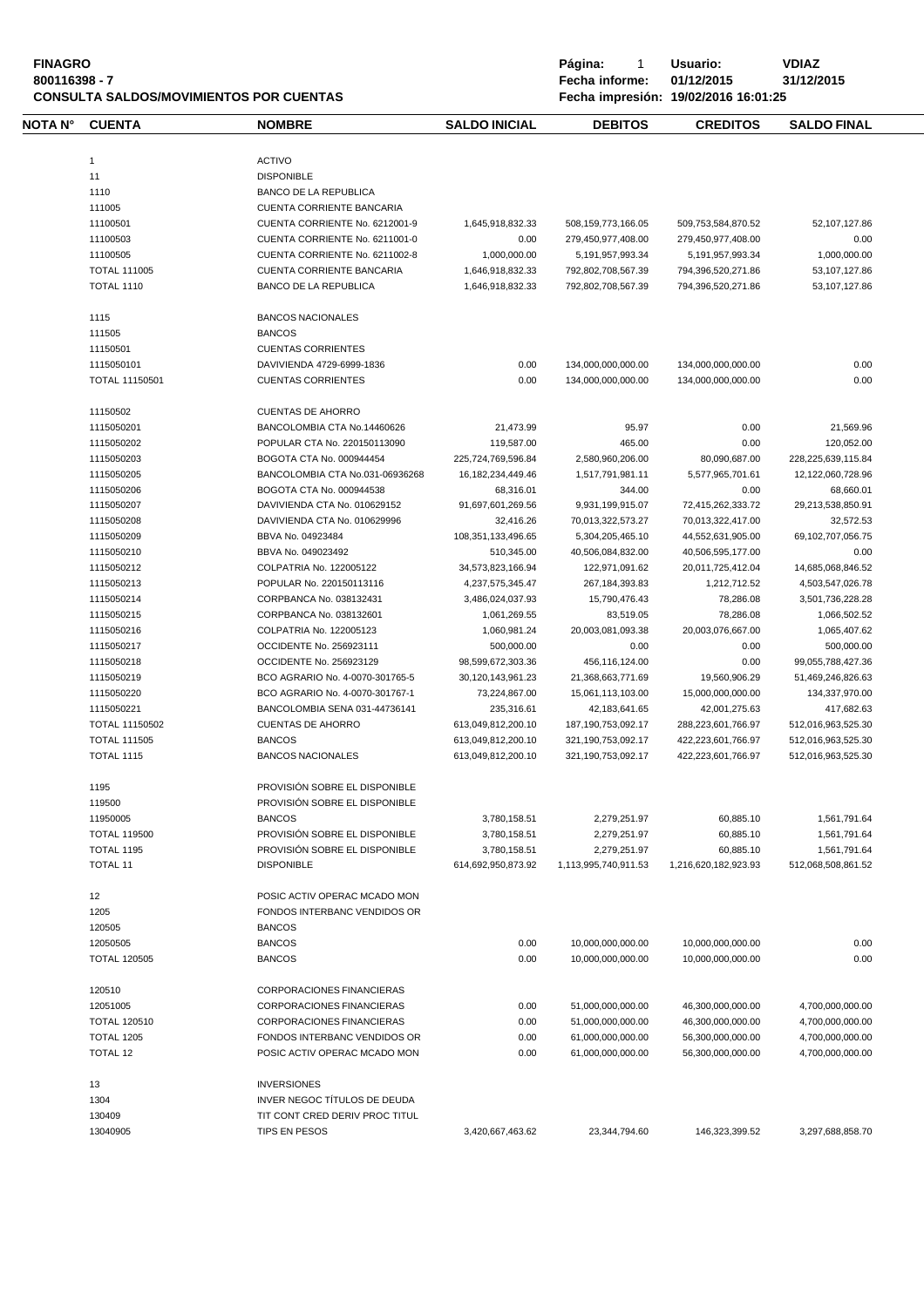| 800116398 - 7<br><b>CONSULTA SALDOS/MOVIMIENTOS POR CUENTAS</b> |                       |                                  | Fecha informe:        | 01/12/2015<br>31/12/2015<br>Fecha impresión: 19/02/2016 16:01:25 |                      |                    |
|-----------------------------------------------------------------|-----------------------|----------------------------------|-----------------------|------------------------------------------------------------------|----------------------|--------------------|
| NOTA N°                                                         | <b>CUENTA</b>         | <b>NOMBRE</b>                    | <b>SALDO INICIAL</b>  | <b>DEBITOS</b>                                                   | <b>CREDITOS</b>      | <b>SALDO FINAL</b> |
|                                                                 | $\mathbf{1}$          | <b>ACTIVO</b>                    |                       |                                                                  |                      |                    |
|                                                                 |                       | <b>DISPONIBLE</b>                |                       |                                                                  |                      |                    |
|                                                                 | 11                    |                                  |                       |                                                                  |                      |                    |
|                                                                 | 1110                  | <b>BANCO DE LA REPUBLICA</b>     |                       |                                                                  |                      |                    |
|                                                                 | 111005                | CUENTA CORRIENTE BANCARIA        |                       |                                                                  |                      |                    |
|                                                                 | 11100501              | CUENTA CORRIENTE No. 6212001-9   | 1,645,918,832.33      | 508,159,773,166.05                                               | 509,753,584,870.52   | 52,107,127.86      |
|                                                                 | 11100503              | CUENTA CORRIENTE No. 6211001-0   | 0.00                  | 279,450,977,408.00                                               | 279,450,977,408.00   | 0.00               |
|                                                                 | 11100505              | CUENTA CORRIENTE No. 6211002-8   | 1,000,000.00          | 5,191,957,993.34                                                 | 5,191,957,993.34     | 1,000,000.00       |
|                                                                 | <b>TOTAL 111005</b>   | <b>CUENTA CORRIENTE BANCARIA</b> | 1,646,918,832.33      | 792,802,708,567.39                                               | 794,396,520,271.86   | 53,107,127.86      |
|                                                                 | <b>TOTAL 1110</b>     | <b>BANCO DE LA REPUBLICA</b>     | 1,646,918,832.33      | 792.802.708.567.39                                               | 794,396,520,271.86   | 53,107,127.86      |
|                                                                 | 1115                  | <b>BANCOS NACIONALES</b>         |                       |                                                                  |                      |                    |
|                                                                 | 111505                | <b>BANCOS</b>                    |                       |                                                                  |                      |                    |
|                                                                 | 11150501              | <b>CUENTAS CORRIENTES</b>        |                       |                                                                  |                      |                    |
|                                                                 | 1115050101            | DAVIVIENDA 4729-6999-1836        | 0.00                  | 134,000,000,000.00                                               | 134,000,000,000.00   | 0.00               |
|                                                                 | <b>TOTAL 11150501</b> | <b>CUENTAS CORRIENTES</b>        | 0.00                  | 134,000,000,000.00                                               | 134,000,000,000.00   | 0.00               |
|                                                                 | 11150502              | <b>CUENTAS DE AHORRO</b>         |                       |                                                                  |                      |                    |
|                                                                 | 1115050201            | BANCOLOMBIA CTA No.14460626      | 21,473.99             | 95.97                                                            | 0.00                 | 21,569.96          |
|                                                                 | 1115050202            | POPULAR CTA No. 220150113090     | 119,587.00            | 465.00                                                           | 0.00                 | 120,052.00         |
|                                                                 | 1115050203            | BOGOTA CTA No. 000944454         | 225,724,769,596.84    | 2,580,960,206.00                                                 | 80,090,687.00        | 228,225,639,115.84 |
|                                                                 | 1115050205            | BANCOLOMBIA CTA No.031-06936268  |                       |                                                                  |                      |                    |
|                                                                 |                       |                                  | 16, 182, 234, 449. 46 | 1,517,791,981.11                                                 | 5,577,965,701.61     | 12,122,060,728.96  |
|                                                                 | 1115050206            | BOGOTA CTA No. 000944538         | 68,316.01             | 344.00                                                           | 0.00                 | 68,660.01          |
|                                                                 | 1115050207            | DAVIVIENDA CTA No. 010629152     | 91,697,601,269.56     | 9,931,199,915.07                                                 | 72,415,262,333.72    | 29,213,538,850.91  |
|                                                                 | 1115050208            | DAVIVIENDA CTA No. 010629996     | 32,416.26             | 70,013,322,573.27                                                | 70,013,322,417.00    | 32,572.53          |
|                                                                 | 1115050209            | BBVA No. 04923484                | 108,351,133,496.65    | 5,304,205,465.10                                                 | 44,552,631,905.00    | 69,102,707,056.75  |
|                                                                 | 1115050210            | BBVA No. 049023492               | 510,345.00            | 40,506,084,832.00                                                | 40,506,595,177.00    | 0.00               |
|                                                                 | 1115050212            | COLPATRIA No. 122005122          | 34,573,823,166.94     | 122,971,091.62                                                   | 20,011,725,412.04    | 14,685,068,846.52  |
|                                                                 | 1115050213            | POPULAR No. 220150113116         | 4,237,575,345.47      | 267, 184, 393.83                                                 | 1,212,712.52         | 4,503,547,026.78   |
|                                                                 | 1115050214            | CORPBANCA No. 038132431          | 3,486,024,037.93      | 15,790,476.43                                                    | 78,286.08            | 3,501,736,228.28   |
|                                                                 | 1115050215            | CORPBANCA No. 038132601          | 1,061,269.55          | 83,519.05                                                        | 78,286.08            | 1,066,502.52       |
|                                                                 | 1115050216            | COLPATRIA No. 122005123          | 1,060,981.24          | 20,003,081,093.38                                                | 20,003,076,667.00    | 1,065,407.62       |
|                                                                 | 1115050217            | OCCIDENTE No. 256923111          | 500,000.00            | 0.00                                                             | 0.00                 | 500,000.00         |
|                                                                 | 1115050218            | OCCIDENTE No. 256923129          | 98,599,672,303.36     | 456,116,124.00                                                   | 0.00                 | 99,055,788,427.36  |
|                                                                 | 1115050219            | BCO AGRARIO No. 4-0070-301765-5  | 30,120,143,961.23     | 21,368,663,771.69                                                | 19,560,906.29        | 51,469,246,826.63  |
|                                                                 | 1115050220            | BCO AGRARIO No. 4-0070-301767-1  | 73,224,867.00         | 15,061,113,103.00                                                | 15,000,000,000.00    | 134,337,970.00     |
|                                                                 | 1115050221            | BANCOLOMBIA SENA 031-44736141    | 235,316.61            | 42, 183, 641. 65                                                 | 42,001,275.63        | 417,682.63         |
|                                                                 | <b>TOTAL 11150502</b> | <b>CUENTAS DE AHORRO</b>         | 613,049,812,200.10    | 187, 190, 753, 092. 17                                           | 288,223,601,766.97   | 512,016,963,525.30 |
|                                                                 | <b>TOTAL 111505</b>   | <b>BANCOS</b>                    | 613,049,812,200.10    | 321,190,753,092.17                                               | 422,223,601,766.97   | 512,016,963,525.30 |
|                                                                 | <b>TOTAL 1115</b>     | <b>BANCOS NACIONALES</b>         | 613,049,812,200.10    | 321,190,753,092.17                                               | 422,223,601,766.97   | 512,016,963,525.30 |
|                                                                 |                       |                                  |                       |                                                                  |                      |                    |
|                                                                 | 1195                  | PROVISIÓN SOBRE EL DISPONIBLE    |                       |                                                                  |                      |                    |
|                                                                 | 119500                | PROVISIÓN SOBRE EL DISPONIBLE    |                       |                                                                  |                      |                    |
|                                                                 | 11950005              | <b>BANCOS</b>                    | 3,780,158.51          | 2,279,251.97                                                     | 60,885.10            | 1,561,791.64       |
|                                                                 | <b>TOTAL 119500</b>   | PROVISIÓN SOBRE EL DISPONIBLE    | 3,780,158.51          | 2,279,251.97                                                     | 60,885.10            | 1,561,791.64       |
|                                                                 | <b>TOTAL 1195</b>     | PROVISIÓN SOBRE EL DISPONIBLE    | 3,780,158.51          | 2,279,251.97                                                     | 60,885.10            | 1,561,791.64       |
|                                                                 | <b>TOTAL 11</b>       | <b>DISPONIBLE</b>                | 614,692,950,873.92    | 1.113.995.740.911.53                                             | 1,216,620,182,923.93 | 512,068,508,861.52 |
|                                                                 | 12                    | POSIC ACTIV OPERAC MCADO MON     |                       |                                                                  |                      |                    |
|                                                                 | 1205                  | FONDOS INTERBANC VENDIDOS OR     |                       |                                                                  |                      |                    |
|                                                                 | 120505                | <b>BANCOS</b>                    |                       |                                                                  |                      |                    |
|                                                                 | 12050505              | <b>BANCOS</b>                    | 0.00                  | 10,000,000,000.00                                                | 10,000,000,000.00    | 0.00               |
|                                                                 | <b>TOTAL 120505</b>   | <b>BANCOS</b>                    | 0.00                  | 10,000,000,000.00                                                | 10,000,000,000.00    | 0.00               |
|                                                                 |                       |                                  |                       |                                                                  |                      |                    |
|                                                                 | 120510                | CORPORACIONES FINANCIERAS        |                       |                                                                  |                      |                    |
|                                                                 | 12051005              | CORPORACIONES FINANCIERAS        | 0.00                  | 51,000,000,000.00                                                | 46,300,000,000.00    | 4,700,000,000.00   |
|                                                                 | <b>TOTAL 120510</b>   | <b>CORPORACIONES FINANCIERAS</b> | 0.00                  | 51,000,000,000.00                                                | 46,300,000,000.00    | 4,700,000,000.00   |
|                                                                 | <b>TOTAL 1205</b>     | FONDOS INTERBANC VENDIDOS OR     | 0.00                  | 61,000,000,000.00                                                | 56,300,000,000.00    | 4,700,000,000.00   |
|                                                                 | <b>TOTAL 12</b>       | POSIC ACTIV OPERAC MCADO MON     | 0.00                  | 61,000,000,000.00                                                | 56,300,000,000.00    | 4,700,000,000.00   |
|                                                                 | 13                    | <b>INVERSIONES</b>               |                       |                                                                  |                      |                    |
|                                                                 | 1304                  | INVER NEGOC TÍTULOS DE DEUDA     |                       |                                                                  |                      |                    |
|                                                                 | 130409                | TIT CONT CRED DERIV PROC TITUL   |                       |                                                                  |                      |                    |
|                                                                 | 13040905              | <b>TIPS EN PESOS</b>             | 3,420,667,463.62      | 23,344,794.60                                                    | 146,323,399.52       | 3,297,688,858.70   |

**FINAGRO P á g i n a :** 1 **U s u a r i o : VDIAZ**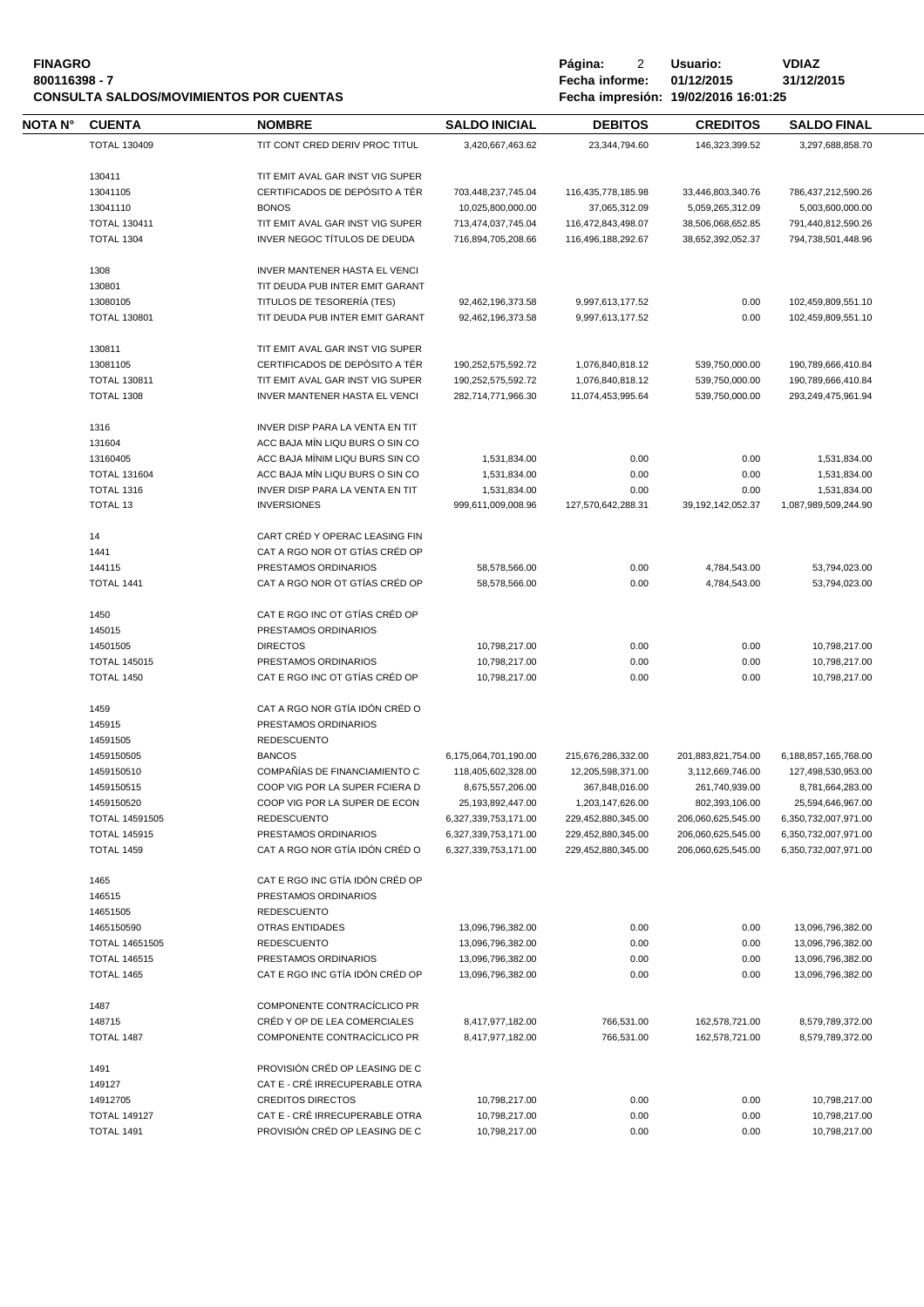| <b>FINAGRO</b>                                 | Página:        | Usuario:                             | VDIAZ   |
|------------------------------------------------|----------------|--------------------------------------|---------|
| 800116398 - 7                                  | Fecha informe: | 01/12/2015                           | 31/12/: |
| <b>CONSULTA SALDOS/MOVIMIENTOS POR CUENTAS</b> |                | Fecha impresión: 19/02/2016 16:01:25 |         |

**800116398 - 7 Fecha informe: 01/12/2015 31/12/2015 CONSULTA SALDOS/MOVIMIENTOS POR CUENTAS Fecha impresión: 19/02/2016 16:01:25**

| NOTA N° | <b>CUENTA</b>         | <b>NOMBRE</b>                                                      | <b>SALDO INICIAL</b>                    | <b>DEBITOS</b>                      | <b>CREDITOS</b>                       | <b>SALDO FINAL</b>                     |
|---------|-----------------------|--------------------------------------------------------------------|-----------------------------------------|-------------------------------------|---------------------------------------|----------------------------------------|
|         | <b>TOTAL 130409</b>   | TIT CONT CRED DERIV PROC TITUL                                     | 3,420,667,463.62                        | 23,344,794.60                       | 146,323,399.52                        | 3,297,688,858.70                       |
|         |                       |                                                                    |                                         |                                     |                                       |                                        |
|         | 130411<br>13041105    | TIT EMIT AVAL GAR INST VIG SUPER<br>CERTIFICADOS DE DEPÓSITO A TÉR |                                         |                                     |                                       |                                        |
|         | 13041110              | <b>BONOS</b>                                                       | 703,448,237,745.04<br>10,025,800,000.00 | 116,435,778,185.98<br>37,065,312.09 | 33,446,803,340.76<br>5,059,265,312.09 | 786,437,212,590.26<br>5,003,600,000.00 |
|         | <b>TOTAL 130411</b>   | TIT EMIT AVAL GAR INST VIG SUPER                                   | 713,474,037,745.04                      | 116,472,843,498.07                  | 38,506,068,652.85                     | 791,440,812,590.26                     |
|         | <b>TOTAL 1304</b>     | INVER NEGOC TÍTULOS DE DEUDA                                       | 716,894,705,208.66                      |                                     |                                       | 794,738,501,448.96                     |
|         |                       |                                                                    |                                         | 116,496,188,292.67                  | 38,652,392,052.37                     |                                        |
|         | 1308                  | <b>INVER MANTENER HASTA EL VENCI</b>                               |                                         |                                     |                                       |                                        |
|         | 130801                | TIT DEUDA PUB INTER EMIT GARANT                                    |                                         |                                     |                                       |                                        |
|         | 13080105              | TITULOS DE TESORERÍA (TES)                                         | 92,462,196,373.58                       | 9,997,613,177.52                    | 0.00                                  | 102,459,809,551.10                     |
|         | <b>TOTAL 130801</b>   | TIT DEUDA PUB INTER EMIT GARANT                                    | 92,462,196,373.58                       | 9,997,613,177.52                    | 0.00                                  | 102,459,809,551.10                     |
|         | 130811                | TIT EMIT AVAL GAR INST VIG SUPER                                   |                                         |                                     |                                       |                                        |
|         | 13081105              | CERTIFICADOS DE DEPÓSITO A TÉR                                     | 190,252,575,592.72                      | 1,076,840,818.12                    | 539,750,000.00                        | 190,789,666,410.84                     |
|         | <b>TOTAL 130811</b>   | TIT EMIT AVAL GAR INST VIG SUPER                                   |                                         |                                     |                                       |                                        |
|         |                       |                                                                    | 190,252,575,592.72                      | 1,076,840,818.12                    | 539,750,000.00                        | 190,789,666,410.84                     |
|         | <b>TOTAL 1308</b>     | INVER MANTENER HASTA EL VENCI                                      | 282,714,771,966.30                      | 11,074,453,995.64                   | 539,750,000.00                        | 293,249,475,961.94                     |
|         | 1316                  | INVER DISP PARA LA VENTA EN TIT                                    |                                         |                                     |                                       |                                        |
|         | 131604                | ACC BAJA MÍN LIQU BURS O SIN CO                                    |                                         |                                     |                                       |                                        |
|         | 13160405              | ACC BAJA MÍNIM LIQU BURS SIN CO                                    | 1,531,834.00                            | 0.00                                | 0.00                                  | 1,531,834.00                           |
|         | <b>TOTAL 131604</b>   | ACC BAJA MÍN LIQU BURS O SIN CO                                    | 1,531,834.00                            | 0.00                                | 0.00                                  | 1,531,834.00                           |
|         | <b>TOTAL 1316</b>     | INVER DISP PARA LA VENTA EN TIT                                    | 1,531,834.00                            | 0.00                                | 0.00                                  | 1,531,834.00                           |
|         | TOTAL 13              | <b>INVERSIONES</b>                                                 | 999,611,009,008.96                      | 127,570,642,288.31                  | 39, 192, 142, 052. 37                 | 1,087,989,509,244.90                   |
|         |                       |                                                                    |                                         |                                     |                                       |                                        |
|         | 14                    | CART CRÉD Y OPERAC LEASING FIN                                     |                                         |                                     |                                       |                                        |
|         | 1441                  | CAT A RGO NOR OT GTÍAS CRÉD OP                                     |                                         |                                     |                                       |                                        |
|         | 144115                | PRESTAMOS ORDINARIOS                                               | 58,578,566.00                           | 0.00                                | 4,784,543.00                          | 53,794,023.00                          |
|         | <b>TOTAL 1441</b>     | CAT A RGO NOR OT GTÍAS CRÉD OP                                     | 58,578,566.00                           | 0.00                                | 4,784,543.00                          | 53,794,023.00                          |
|         | 1450                  | CAT E RGO INC OT GTÍAS CRÉD OP                                     |                                         |                                     |                                       |                                        |
|         | 145015                | PRESTAMOS ORDINARIOS                                               |                                         |                                     |                                       |                                        |
|         | 14501505              | <b>DIRECTOS</b>                                                    | 10,798,217.00                           | 0.00                                | 0.00                                  | 10,798,217.00                          |
|         | <b>TOTAL 145015</b>   | PRESTAMOS ORDINARIOS                                               | 10,798,217.00                           | 0.00                                | 0.00                                  | 10,798,217.00                          |
|         | <b>TOTAL 1450</b>     | CAT E RGO INC OT GTÍAS CRÉD OP                                     | 10,798,217.00                           | 0.00                                | 0.00                                  | 10,798,217.00                          |
|         | 1459                  | CAT A RGO NOR GTÍA IDÓN CRÉD O                                     |                                         |                                     |                                       |                                        |
|         | 145915                | PRESTAMOS ORDINARIOS                                               |                                         |                                     |                                       |                                        |
|         |                       |                                                                    |                                         |                                     |                                       |                                        |
|         | 14591505              | <b>REDESCUENTO</b>                                                 |                                         |                                     |                                       |                                        |
|         | 1459150505            | <b>BANCOS</b>                                                      | 6,175,064,701,190.00                    | 215,676,286,332.00                  | 201,883,821,754.00                    | 6,188,857,165,768.00                   |
|         | 1459150510            | COMPAÑÍAS DE FINANCIAMIENTO C                                      | 118,405,602,328.00                      | 12,205,598,371.00                   | 3,112,669,746.00                      | 127,498,530,953.00                     |
|         | 1459150515            | COOP VIG POR LA SUPER FCIERA D                                     | 8,675,557,206.00                        | 367,848,016.00                      | 261,740,939.00                        | 8,781,664,283.00                       |
|         | 1459150520            | COOP VIG POR LA SUPER DE ECON                                      | 25,193,892,447.00                       | 1,203,147,626.00                    | 802,393,106.00                        | 25,594,646,967.00                      |
|         | <b>TOTAL 14591505</b> | <b>REDESCUENTO</b>                                                 | 6,327,339,753,171.00                    | 229,452,880,345.00                  | 206,060,625,545.00                    | 6,350,732,007,971.00                   |
|         | <b>TOTAL 145915</b>   | PRESTAMOS ORDINARIOS                                               | 6,327,339,753,171.00                    | 229,452,880,345.00                  | 206,060,625,545.00                    | 6,350,732,007,971.00                   |
|         | <b>TOTAL 1459</b>     | CAT A RGO NOR GTÍA IDÓN CRÉD O                                     | 6,327,339,753,171.00                    | 229,452,880,345.00                  | 206,060,625,545.00                    | 6,350,732,007,971.00                   |
|         | 1465                  | CAT E RGO INC GTÍA IDÓN CRÉD OP                                    |                                         |                                     |                                       |                                        |
|         | 146515                | PRESTAMOS ORDINARIOS                                               |                                         |                                     |                                       |                                        |
|         | 14651505              | <b>REDESCUENTO</b>                                                 |                                         |                                     |                                       |                                        |
|         | 1465150590            | OTRAS ENTIDADES                                                    | 13,096,796,382.00                       | 0.00                                | 0.00                                  | 13,096,796,382.00                      |
|         | TOTAL 14651505        | <b>REDESCUENTO</b>                                                 | 13,096,796,382.00                       | 0.00                                | 0.00                                  | 13,096,796,382.00                      |
|         | <b>TOTAL 146515</b>   | PRESTAMOS ORDINARIOS                                               | 13,096,796,382.00                       | 0.00                                | 0.00                                  | 13,096,796,382.00                      |
|         | TOTAL 1465            | CAT E RGO INC GTÍA IDÓN CRÉD OP                                    | 13,096,796,382.00                       | 0.00                                | 0.00                                  | 13,096,796,382.00                      |
|         |                       |                                                                    |                                         |                                     |                                       |                                        |
|         | 1487                  | COMPONENTE CONTRACÍCLICO PR                                        |                                         |                                     |                                       |                                        |
|         | 148715<br>TOTAL 1487  | CRÉD Y OP DE LEA COMERCIALES<br>COMPONENTE CONTRACÍCLICO PR        | 8,417,977,182.00<br>8,417,977,182.00    | 766,531.00<br>766,531.00            | 162,578,721.00<br>162,578,721.00      | 8,579,789,372.00<br>8,579,789,372.00   |
|         |                       |                                                                    |                                         |                                     |                                       |                                        |
|         | 1491                  | PROVISIÓN CRÉD OP LEASING DE C                                     |                                         |                                     |                                       |                                        |
|         | 149127                | CAT E - CRÉ IRRECUPERABLE OTRA                                     |                                         |                                     |                                       |                                        |
|         | 14912705              | <b>CREDITOS DIRECTOS</b>                                           | 10,798,217.00                           | 0.00                                | 0.00                                  | 10,798,217.00                          |
|         | <b>TOTAL 149127</b>   | CAT E - CRÉ IRRECUPERABLE OTRA                                     | 10,798,217.00                           | 0.00                                | 0.00                                  | 10,798,217.00                          |
|         | TOTAL 1491            | PROVISIÓN CRÉD OP LEASING DE C                                     | 10,798,217.00                           | 0.00                                | 0.00                                  | 10,798,217.00                          |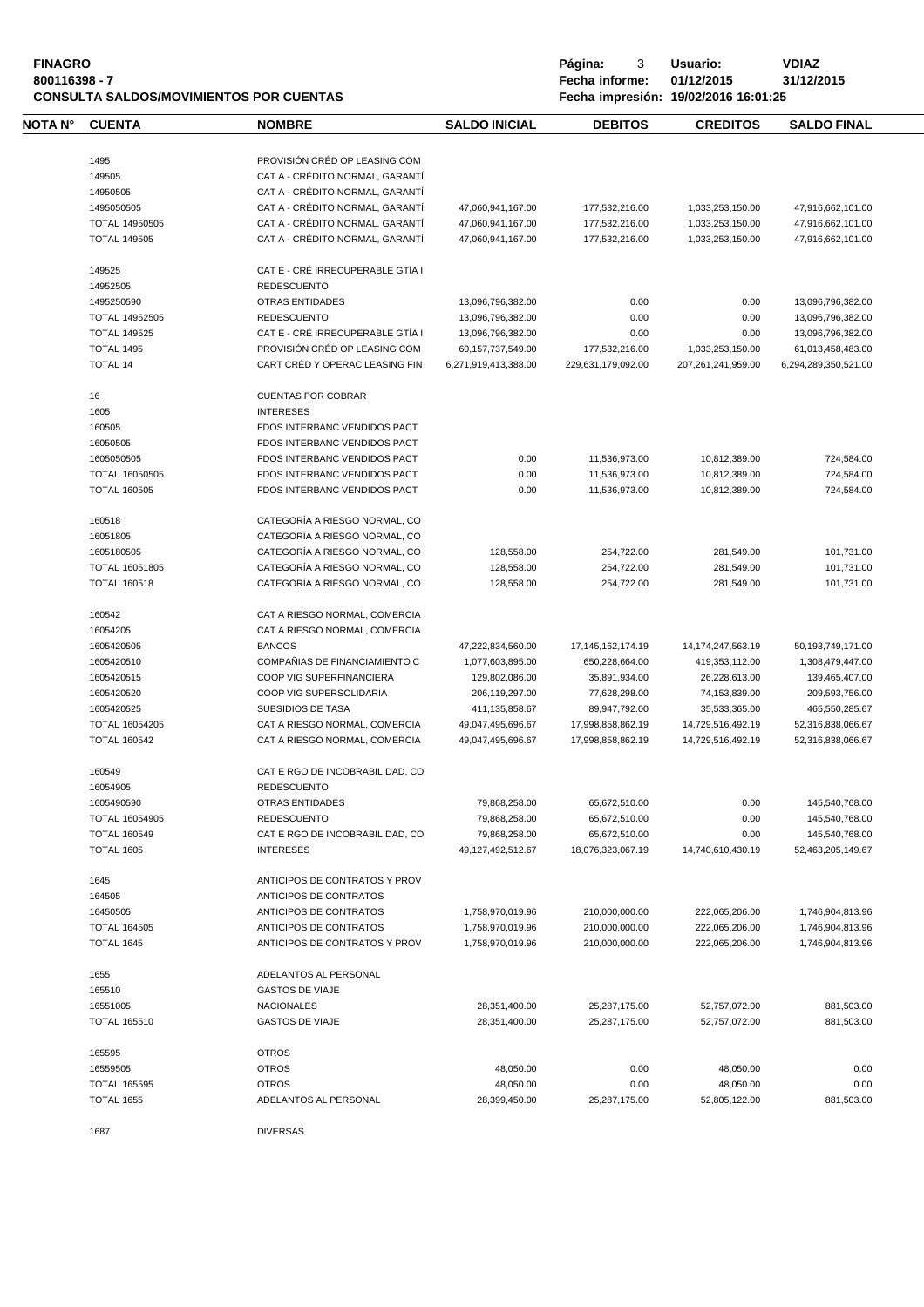| <b>FINAGRO</b><br>800116398 - 7 |                                       | <b>CONSULTA SALDOS/MOVIMIENTOS POR CUENTAS</b>                     |                                           | Página:<br>3<br>Fecha informe:       | Usuario:<br>01/12/2015<br>Fecha impresión: 19/02/2016 16:01:25 | <b>VDIAZ</b><br>31/12/2015                |
|---------------------------------|---------------------------------------|--------------------------------------------------------------------|-------------------------------------------|--------------------------------------|----------------------------------------------------------------|-------------------------------------------|
| NOTA N°                         | <b>CUENTA</b>                         | <b>NOMBRE</b>                                                      | <b>SALDO INICIAL</b>                      | <b>DEBITOS</b>                       | <b>CREDITOS</b>                                                | <b>SALDO FINAL</b>                        |
|                                 |                                       | PROVISIÓN CRÉD OP LEASING COM                                      |                                           |                                      |                                                                |                                           |
|                                 | 1495                                  |                                                                    |                                           |                                      |                                                                |                                           |
|                                 | 149505                                | CAT A - CRÉDITO NORMAL, GARANTÍ                                    |                                           |                                      |                                                                |                                           |
|                                 | 14950505                              | CAT A - CRÉDITO NORMAL, GARANTÍ                                    |                                           |                                      |                                                                |                                           |
|                                 | 1495050505                            | CAT A - CRÉDITO NORMAL, GARANTÍ                                    | 47,060,941,167.00                         | 177,532,216.00                       | 1,033,253,150.00                                               | 47,916,662,101.00                         |
|                                 | TOTAL 14950505<br><b>TOTAL 149505</b> | CAT A - CRÉDITO NORMAL, GARANTÍ<br>CAT A - CRÉDITO NORMAL, GARANTÍ | 47,060,941,167.00<br>47,060,941,167.00    | 177,532,216.00<br>177,532,216.00     | 1,033,253,150.00<br>1,033,253,150.00                           | 47,916,662,101.00<br>47,916,662,101.00    |
|                                 |                                       |                                                                    |                                           |                                      |                                                                |                                           |
|                                 | 149525                                | CAT E - CRÉ IRRECUPERABLE GTÍA I                                   |                                           |                                      |                                                                |                                           |
|                                 | 14952505                              | <b>REDESCUENTO</b>                                                 |                                           |                                      |                                                                |                                           |
|                                 | 1495250590                            | <b>OTRAS ENTIDADES</b>                                             | 13,096,796,382.00                         | 0.00                                 | 0.00                                                           | 13,096,796,382.00                         |
|                                 | <b>TOTAL 14952505</b>                 | <b>REDESCUENTO</b>                                                 | 13,096,796,382.00                         | 0.00                                 | 0.00                                                           | 13,096,796,382.00                         |
|                                 | <b>TOTAL 149525</b>                   | CAT E - CRÉ IRRECUPERABLE GTÍA I                                   | 13,096,796,382.00                         | 0.00                                 | 0.00                                                           | 13,096,796,382.00                         |
|                                 | <b>TOTAL 1495</b><br><b>TOTAL 14</b>  | PROVISIÓN CRÉD OP LEASING COM<br>CART CRÉD Y OPERAC LEASING FIN    | 60,157,737,549.00<br>6,271,919,413,388.00 | 177,532,216.00<br>229,631,179,092.00 | 1,033,253,150.00<br>207,261,241,959.00                         | 61,013,458,483.00<br>6,294,289,350,521.00 |
|                                 |                                       |                                                                    |                                           |                                      |                                                                |                                           |
|                                 | 16                                    | <b>CUENTAS POR COBRAR</b>                                          |                                           |                                      |                                                                |                                           |
|                                 | 1605                                  | <b>INTERESES</b>                                                   |                                           |                                      |                                                                |                                           |
|                                 | 160505                                | FDOS INTERBANC VENDIDOS PACT                                       |                                           |                                      |                                                                |                                           |
|                                 | 16050505                              | FDOS INTERBANC VENDIDOS PACT                                       |                                           |                                      |                                                                |                                           |
|                                 | 1605050505                            | FDOS INTERBANC VENDIDOS PACT                                       | 0.00                                      | 11,536,973.00                        | 10,812,389.00                                                  | 724,584.00                                |
|                                 | <b>TOTAL 16050505</b>                 | FDOS INTERBANC VENDIDOS PACT                                       | 0.00                                      | 11,536,973.00                        | 10,812,389.00                                                  | 724,584.00                                |
|                                 | <b>TOTAL 160505</b>                   | FDOS INTERBANC VENDIDOS PACT                                       | 0.00                                      | 11,536,973.00                        | 10,812,389.00                                                  | 724,584.00                                |
|                                 | 160518                                | CATEGORÍA A RIESGO NORMAL, CO                                      |                                           |                                      |                                                                |                                           |
|                                 | 16051805                              | CATEGORÍA A RIESGO NORMAL, CO                                      |                                           |                                      |                                                                |                                           |
|                                 | 1605180505                            | CATEGORÍA A RIESGO NORMAL, CO                                      | 128,558.00                                | 254,722.00                           | 281,549.00                                                     | 101,731.00                                |
|                                 | <b>TOTAL 16051805</b>                 | CATEGORÍA A RIESGO NORMAL, CO                                      | 128,558.00                                | 254,722.00                           | 281,549.00                                                     | 101,731.00                                |
|                                 | <b>TOTAL 160518</b>                   | CATEGORÍA A RIESGO NORMAL, CO                                      | 128,558.00                                | 254,722.00                           | 281,549.00                                                     | 101,731.00                                |
|                                 | 160542                                | CAT A RIESGO NORMAL, COMERCIA                                      |                                           |                                      |                                                                |                                           |
|                                 | 16054205                              | CAT A RIESGO NORMAL, COMERCIA                                      |                                           |                                      |                                                                |                                           |
|                                 | 1605420505                            | <b>BANCOS</b>                                                      | 47,222,834,560.00                         | 17, 145, 162, 174. 19                | 14,174,247,563.19                                              | 50, 193, 749, 171.00                      |
|                                 | 1605420510                            | COMPAÑIAS DE FINANCIAMIENTO C                                      | 1,077,603,895.00                          | 650,228,664.00                       | 419,353,112.00                                                 | 1,308,479,447.00                          |
|                                 | 1605420515                            | COOP VIG SUPERFINANCIERA                                           | 129,802,086.00                            | 35,891,934.00                        | 26,228,613.00                                                  | 139,465,407.00                            |
|                                 | 1605420520                            | COOP VIG SUPERSOLIDARIA                                            | 206,119,297.00                            | 77,628,298.00                        | 74,153,839.00                                                  | 209,593,756.00                            |
|                                 | 1605420525                            | <b>SUBSIDIOS DE TASA</b>                                           | 411, 135, 858.67                          | 89,947,792.00                        | 35,533,365.00                                                  | 465,550,285.67                            |
|                                 | TOTAL 16054205                        | CAT A RIESGO NORMAL, COMERCIA                                      | 49,047,495,696.67                         | 17,998,858,862.19                    | 14,729,516,492.19                                              | 52,316,838,066.67                         |
|                                 | <b>TOTAL 160542</b>                   | CAT A RIESGO NORMAL, COMERCIA                                      | 49,047,495,696.67                         | 17,998,858,862.19                    | 14,729,516,492.19                                              | 52,316,838,066.67                         |
|                                 | 160549                                | CAT E RGO DE INCOBRABILIDAD, CO                                    |                                           |                                      |                                                                |                                           |
|                                 | 16054905                              | <b>REDESCUENTO</b>                                                 |                                           |                                      |                                                                |                                           |
|                                 | 1605490590                            | <b>OTRAS ENTIDADES</b>                                             | 79,868,258.00                             | 65,672,510.00                        | 0.00                                                           | 145,540,768.00                            |
|                                 | TOTAL 16054905                        | <b>REDESCUENTO</b>                                                 | 79,868,258.00                             | 65,672,510.00                        | 0.00                                                           | 145,540,768.00                            |
|                                 | <b>TOTAL 160549</b>                   | CAT E RGO DE INCOBRABILIDAD, CO                                    | 79,868,258.00                             | 65,672,510.00                        | 0.00                                                           | 145,540,768.00                            |
|                                 | <b>TOTAL 1605</b>                     | <b>INTERESES</b>                                                   | 49,127,492,512.67                         | 18,076,323,067.19                    | 14,740,610,430.19                                              | 52,463,205,149.67                         |
|                                 | 1645                                  | ANTICIPOS DE CONTRATOS Y PROV                                      |                                           |                                      |                                                                |                                           |
|                                 |                                       |                                                                    |                                           |                                      |                                                                |                                           |
|                                 | 164505                                | ANTICIPOS DE CONTRATOS                                             |                                           |                                      | 222,065,206.00                                                 |                                           |
|                                 | 16450505<br><b>TOTAL 164505</b>       | ANTICIPOS DE CONTRATOS<br>ANTICIPOS DE CONTRATOS                   | 1,758,970,019.96<br>1,758,970,019.96      | 210,000,000.00                       |                                                                | 1,746,904,813.96<br>1,746,904,813.96      |
|                                 | TOTAL 1645                            | ANTICIPOS DE CONTRATOS Y PROV                                      | 1,758,970,019.96                          | 210,000,000.00<br>210,000,000.00     | 222,065,206.00<br>222,065,206.00                               | 1,746,904,813.96                          |
|                                 |                                       |                                                                    |                                           |                                      |                                                                |                                           |
|                                 | 1655                                  | ADELANTOS AL PERSONAL                                              |                                           |                                      |                                                                |                                           |
|                                 | 165510                                | <b>GASTOS DE VIAJE</b>                                             |                                           |                                      |                                                                |                                           |
|                                 | 16551005                              | <b>NACIONALES</b>                                                  | 28,351,400.00                             | 25,287,175.00                        | 52,757,072.00                                                  | 881,503.00                                |
|                                 | <b>TOTAL 165510</b>                   | <b>GASTOS DE VIAJE</b>                                             | 28,351,400.00                             | 25,287,175.00                        | 52,757,072.00                                                  | 881,503.00                                |
|                                 | 165595                                | <b>OTROS</b>                                                       |                                           |                                      |                                                                |                                           |
|                                 | 16559505                              | <b>OTROS</b>                                                       | 48,050.00                                 | 0.00                                 | 48,050.00                                                      | 0.00                                      |
|                                 | <b>TOTAL 165595</b>                   | <b>OTROS</b>                                                       | 48,050.00                                 | 0.00                                 | 48,050.00                                                      | 0.00                                      |
|                                 | <b>TOTAL 1655</b>                     | ADELANTOS AL PERSONAL                                              | 28,399,450.00                             | 25,287,175.00                        | 52,805,122.00                                                  | 881,503.00                                |
|                                 | 1687                                  | <b>DIVERSAS</b>                                                    |                                           |                                      |                                                                |                                           |
|                                 |                                       |                                                                    |                                           |                                      |                                                                |                                           |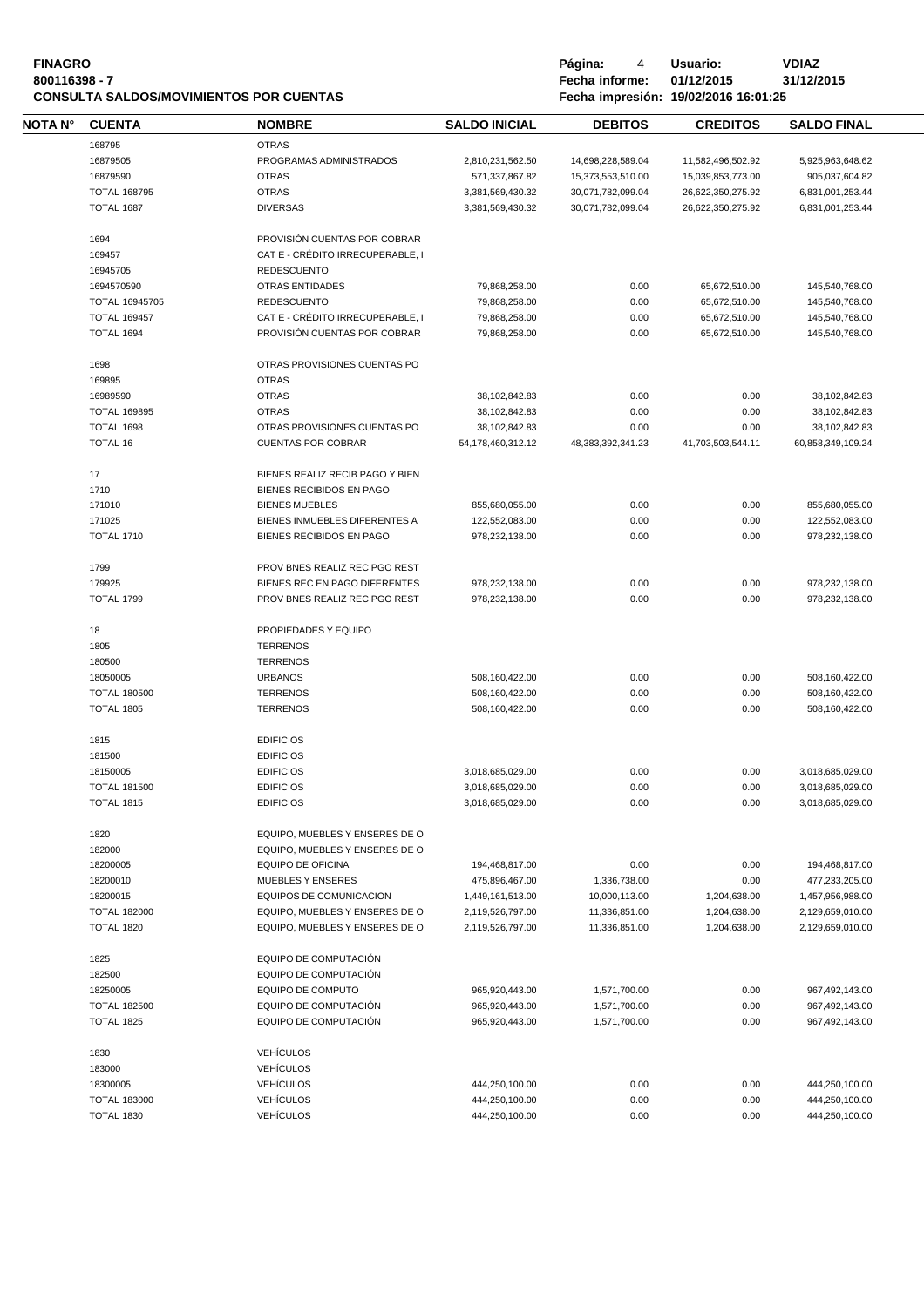| <b>FINAGRO</b>                                 | Página:        | Usuario:                             | <b>VDIAZ</b> |
|------------------------------------------------|----------------|--------------------------------------|--------------|
| 800116398 - 7                                  | Fecha informe: | 01/12/2015                           | 31/12/2015   |
| <b>CONSULTA SALDOS/MOVIMIENTOS POR CUENTAS</b> |                | Fecha impresión: 19/02/2016 16:01:25 |              |

**Fágina:** 4 **Usuario: VDIAZ**<br>**Fecha informe: 01/12/2015 31/12/2015** 

| NOTA N° | <b>CUENTA</b>         | <b>NOMBRE</b>                    | <b>SALDO INICIAL</b> | <b>DEBITOS</b>    | <b>CREDITOS</b>              | <b>SALDO FINAL</b> |  |
|---------|-----------------------|----------------------------------|----------------------|-------------------|------------------------------|--------------------|--|
|         | 168795                | <b>OTRAS</b>                     |                      |                   |                              |                    |  |
|         | 16879505              | PROGRAMAS ADMINISTRADOS          | 2,810,231,562.50     | 14,698,228,589.04 | 11,582,496,502.92            | 5,925,963,648.62   |  |
|         | 16879590              | <b>OTRAS</b>                     | 571,337,867.82       | 15,373,553,510.00 | 15,039,853,773.00            | 905,037,604.82     |  |
|         | <b>TOTAL 168795</b>   | <b>OTRAS</b>                     | 3,381,569,430.32     | 30,071,782,099.04 | 26,622,350,275.92            | 6,831,001,253.44   |  |
|         | <b>TOTAL 1687</b>     | <b>DIVERSAS</b>                  | 3,381,569,430.32     | 30,071,782,099.04 | 26,622,350,275.92            | 6,831,001,253.44   |  |
|         |                       |                                  |                      |                   |                              |                    |  |
|         | 1694                  | PROVISIÓN CUENTAS POR COBRAR     |                      |                   |                              |                    |  |
|         | 169457                | CAT E - CRÉDITO IRRECUPERABLE, I |                      |                   |                              |                    |  |
|         | 16945705              | <b>REDESCUENTO</b>               |                      |                   |                              |                    |  |
|         | 1694570590            | <b>OTRAS ENTIDADES</b>           | 79,868,258.00        | 0.00              | 65,672,510.00                | 145,540,768.00     |  |
|         | <b>TOTAL 16945705</b> | <b>REDESCUENTO</b>               | 79,868,258.00        | 0.00              | 65,672,510.00                | 145,540,768.00     |  |
|         | <b>TOTAL 169457</b>   | CAT E - CRÉDITO IRRECUPERABLE, I | 79,868,258.00        | 0.00              | 65,672,510.00                | 145,540,768.00     |  |
|         | TOTAL 1694            | PROVISIÓN CUENTAS POR COBRAR     | 79,868,258.00        | 0.00              | 65,672,510.00                | 145,540,768.00     |  |
|         | 1698                  | OTRAS PROVISIONES CUENTAS PO     |                      |                   |                              |                    |  |
|         | 169895                | <b>OTRAS</b>                     |                      |                   |                              |                    |  |
|         | 16989590              | <b>OTRAS</b>                     | 38, 102, 842.83      | 0.00              | 0.00                         | 38,102,842.83      |  |
|         |                       | <b>OTRAS</b>                     |                      |                   |                              |                    |  |
|         | <b>TOTAL 169895</b>   |                                  | 38,102,842.83        | 0.00              | 0.00                         | 38,102,842.83      |  |
|         | TOTAL 1698            | OTRAS PROVISIONES CUENTAS PO     | 38,102,842.83        | 0.00              | 0.00                         | 38,102,842.83      |  |
|         | TOTAL 16              | <b>CUENTAS POR COBRAR</b>        | 54,178,460,312.12    | 48,383,392,341.23 | 41,703,503,544.11            | 60,858,349,109.24  |  |
|         | 17                    | BIENES REALIZ RECIB PAGO Y BIEN  |                      |                   |                              |                    |  |
|         | 1710                  | BIENES RECIBIDOS EN PAGO         |                      |                   |                              |                    |  |
|         | 171010                | <b>BIENES MUEBLES</b>            | 855,680,055.00       | 0.00              | 0.00                         | 855,680,055.00     |  |
|         | 171025                | BIENES INMUEBLES DIFERENTES A    | 122,552,083.00       | 0.00              | 0.00                         | 122,552,083.00     |  |
|         | <b>TOTAL 1710</b>     | BIENES RECIBIDOS EN PAGO         | 978,232,138.00       | 0.00              | 0.00                         | 978,232,138.00     |  |
|         |                       |                                  |                      |                   |                              |                    |  |
|         | 1799                  | PROV BNES REALIZ REC PGO REST    |                      |                   |                              |                    |  |
|         | 179925                | BIENES REC EN PAGO DIFERENTES    | 978,232,138.00       | 0.00              | 0.00                         | 978,232,138.00     |  |
|         | <b>TOTAL 1799</b>     | PROV BNES REALIZ REC PGO REST    | 978,232,138.00       | 0.00              | 0.00                         | 978,232,138.00     |  |
|         | 18                    | PROPIEDADES Y EQUIPO             |                      |                   |                              |                    |  |
|         | 1805                  | <b>TERRENOS</b>                  |                      |                   |                              |                    |  |
|         | 180500                | <b>TERRENOS</b>                  |                      |                   |                              |                    |  |
|         | 18050005              | <b>URBANOS</b>                   | 508,160,422.00       | 0.00              | 0.00                         | 508,160,422.00     |  |
|         | <b>TOTAL 180500</b>   | <b>TERRENOS</b>                  | 508,160,422.00       | 0.00              | 0.00                         | 508,160,422.00     |  |
|         | <b>TOTAL 1805</b>     | <b>TERRENOS</b>                  | 508,160,422.00       | 0.00              | 0.00                         | 508,160,422.00     |  |
|         |                       |                                  |                      |                   |                              |                    |  |
|         | 1815                  | <b>EDIFICIOS</b>                 |                      |                   |                              |                    |  |
|         | 181500                | <b>EDIFICIOS</b>                 |                      |                   |                              |                    |  |
|         | 18150005              | <b>EDIFICIOS</b>                 | 3,018,685,029.00     | 0.00              | 0.00                         | 3,018,685,029.00   |  |
|         | <b>TOTAL 181500</b>   | <b>EDIFICIOS</b>                 | 3,018,685,029.00     | 0.00              | 0.00                         | 3,018,685,029.00   |  |
|         | <b>TOTAL 1815</b>     | <b>EDIFICIOS</b>                 | 3,018,685,029.00     | 0.00              | 0.00                         | 3,018,685,029.00   |  |
|         | 1820                  | EQUIPO, MUEBLES Y ENSERES DE O   |                      |                   |                              |                    |  |
|         | 182000                | EQUIPO, MUEBLES Y ENSERES DE O   |                      |                   |                              |                    |  |
|         | 18200005              | EQUIPO DE OFICINA                | 194,468,817.00       | 0.00              | 0.00                         | 194,468,817.00     |  |
|         | 18200010              | <b>MUEBLES Y ENSERES</b>         | 475,896,467.00       | 1,336,738.00      | 0.00                         | 477,233,205.00     |  |
|         | 18200015              | EQUIPOS DE COMUNICACION          | 1,449,161,513.00     | 10,000,113.00     |                              | 1,457,956,988.00   |  |
|         | <b>TOTAL 182000</b>   | EQUIPO, MUEBLES Y ENSERES DE O   | 2,119,526,797.00     | 11,336,851.00     | 1,204,638.00<br>1,204,638.00 | 2,129,659,010.00   |  |
|         |                       |                                  |                      | 11,336,851.00     | 1,204,638.00                 |                    |  |
|         | TOTAL 1820            | EQUIPO, MUEBLES Y ENSERES DE O   | 2,119,526,797.00     |                   |                              | 2,129,659,010.00   |  |
|         | 1825                  | EQUIPO DE COMPUTACIÓN            |                      |                   |                              |                    |  |
|         | 182500                | EQUIPO DE COMPUTACIÓN            |                      |                   |                              |                    |  |
|         | 18250005              | EQUIPO DE COMPUTO                | 965,920,443.00       | 1,571,700.00      | 0.00                         | 967,492,143.00     |  |
|         | <b>TOTAL 182500</b>   | EQUIPO DE COMPUTACIÓN            | 965,920,443.00       | 1,571,700.00      | 0.00                         | 967,492,143.00     |  |
|         | TOTAL 1825            | EQUIPO DE COMPUTACIÓN            | 965,920,443.00       | 1,571,700.00      | 0.00                         | 967,492,143.00     |  |
|         |                       |                                  |                      |                   |                              |                    |  |
|         | 1830                  | <b>VEHÍCULOS</b>                 |                      |                   |                              |                    |  |
|         | 183000                | <b>VEHÍCULOS</b>                 |                      |                   |                              |                    |  |
|         | 18300005              | <b>VEHÍCULOS</b>                 | 444,250,100.00       | 0.00              | 0.00                         | 444,250,100.00     |  |
|         | <b>TOTAL 183000</b>   | <b>VEHÍCULOS</b>                 | 444,250,100.00       | 0.00              | 0.00                         | 444,250,100.00     |  |
|         | <b>TOTAL 1830</b>     | <b>VEHÍCULOS</b>                 | 444,250,100.00       | 0.00              | 0.00                         | 444,250,100.00     |  |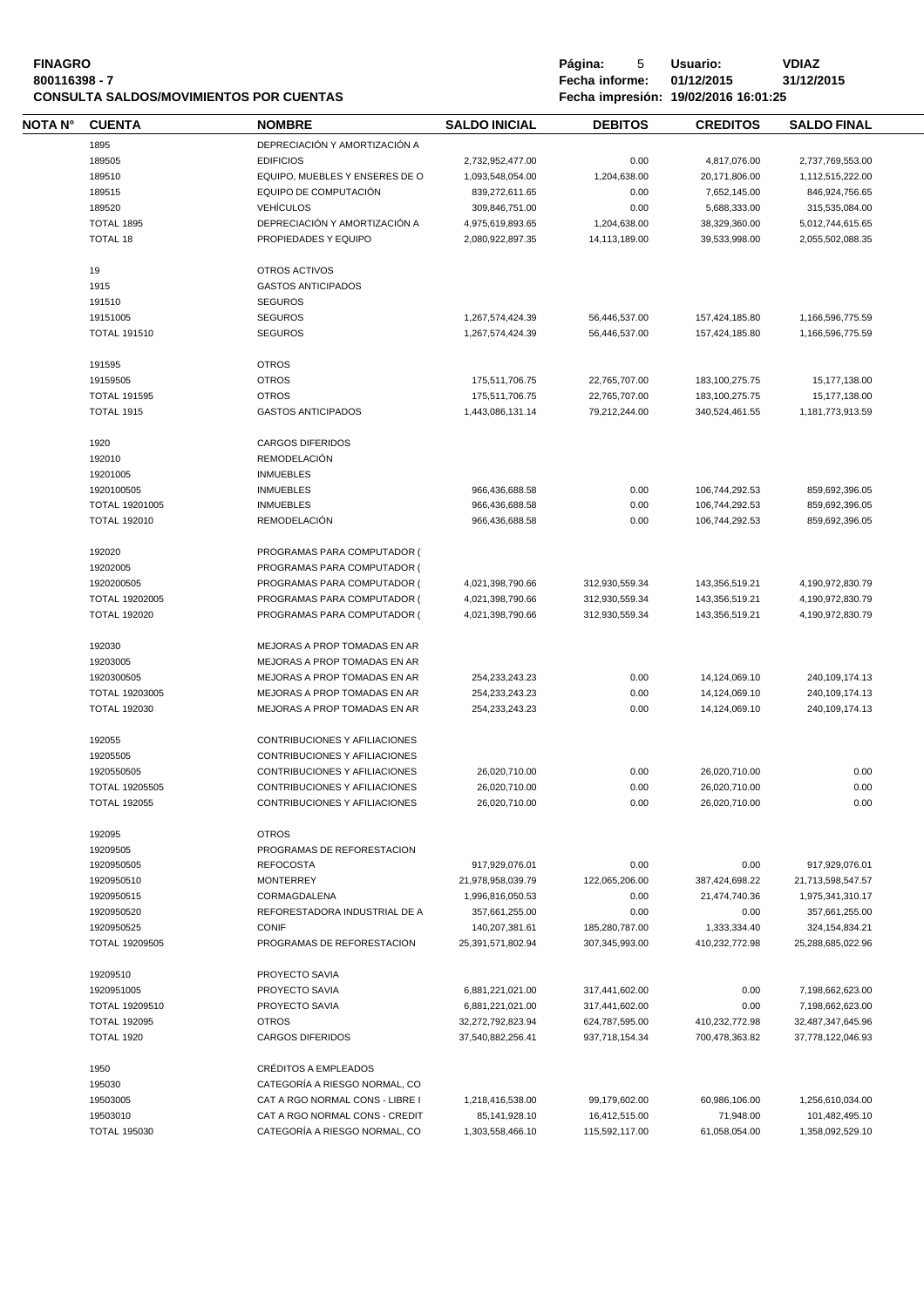# Página: 5 Usuario: VDIAZ<br>1999 - Bagina: 5 Antonio: VDIAZ<br>1999 - Fecha informe: 01/12/2015 31/12/2015 **CONSULTA SALDOS/MOVIMIENTOS POR CUENTAS**

**8**<br>**8**<br>**800116398 Fecha informe:** 01/12/2015<br>**18.01:25** 

| NOTA N° | <b>CUENTA</b>         | <b>NOMBRE</b>                   | <b>SALDO INICIAL</b> | <b>DEBITOS</b> | <b>CREDITOS</b>   | <b>SALDO FINAL</b> |  |
|---------|-----------------------|---------------------------------|----------------------|----------------|-------------------|--------------------|--|
|         | 1895                  | DEPRECIACIÓN Y AMORTIZACIÓN A   |                      |                |                   |                    |  |
|         | 189505                | <b>EDIFICIOS</b>                | 2,732,952,477.00     | 0.00           | 4,817,076.00      | 2,737,769,553.00   |  |
|         | 189510                | EQUIPO, MUEBLES Y ENSERES DE O  | 1,093,548,054.00     | 1,204,638.00   | 20,171,806.00     | 1,112,515,222.00   |  |
|         | 189515                | EQUIPO DE COMPUTACIÓN           | 839.272.611.65       | 0.00           | 7,652,145.00      | 846,924,756.65     |  |
|         | 189520                | <b>VEHÍCULOS</b>                | 309,846,751.00       | 0.00           | 5,688,333.00      | 315.535.084.00     |  |
|         | TOTAL 1895            | DEPRECIACIÓN Y AMORTIZACIÓN A   | 4,975,619,893.65     | 1,204,638.00   | 38,329,360.00     | 5,012,744,615.65   |  |
|         |                       |                                 |                      |                |                   |                    |  |
|         | <b>TOTAL 18</b>       | PROPIEDADES Y EQUIPO            | 2,080,922,897.35     | 14,113,189.00  | 39,533,998.00     | 2,055,502,088.35   |  |
|         | 19                    | OTROS ACTIVOS                   |                      |                |                   |                    |  |
|         | 1915                  | <b>GASTOS ANTICIPADOS</b>       |                      |                |                   |                    |  |
|         | 191510                | <b>SEGUROS</b>                  |                      |                |                   |                    |  |
|         | 19151005              | <b>SEGUROS</b>                  | 1,267,574,424.39     | 56,446,537.00  | 157,424,185.80    | 1,166,596,775.59   |  |
|         | <b>TOTAL 191510</b>   | <b>SEGUROS</b>                  | 1,267,574,424.39     | 56,446,537.00  | 157,424,185.80    | 1,166,596,775.59   |  |
|         |                       |                                 |                      |                |                   |                    |  |
|         | 191595                | <b>OTROS</b>                    |                      |                |                   |                    |  |
|         | 19159505              | <b>OTROS</b>                    | 175,511,706.75       | 22,765,707.00  | 183, 100, 275. 75 | 15,177,138.00      |  |
|         | <b>TOTAL 191595</b>   | <b>OTROS</b>                    | 175,511,706.75       | 22,765,707.00  | 183,100,275.75    | 15,177,138.00      |  |
|         | <b>TOTAL 1915</b>     | <b>GASTOS ANTICIPADOS</b>       | 1,443,086,131.14     | 79,212,244.00  | 340,524,461.55    | 1,181,773,913.59   |  |
|         | 1920                  | <b>CARGOS DIFERIDOS</b>         |                      |                |                   |                    |  |
|         | 192010                | <b>REMODELACIÓN</b>             |                      |                |                   |                    |  |
|         | 19201005              | <b>INMUEBLES</b>                |                      |                |                   |                    |  |
|         |                       | <b>INMUEBLES</b>                |                      |                | 106,744,292.53    |                    |  |
|         | 1920100505            |                                 | 966,436,688.58       | 0.00           |                   | 859,692,396.05     |  |
|         | TOTAL 19201005        | <b>INMUEBLES</b>                | 966,436,688.58       | 0.00           | 106,744,292.53    | 859,692,396.05     |  |
|         | <b>TOTAL 192010</b>   | <b>REMODELACIÓN</b>             | 966,436,688.58       | 0.00           | 106,744,292.53    | 859,692,396.05     |  |
|         | 192020                | PROGRAMAS PARA COMPUTADOR (     |                      |                |                   |                    |  |
|         | 19202005              | PROGRAMAS PARA COMPUTADOR (     |                      |                |                   |                    |  |
|         | 1920200505            | PROGRAMAS PARA COMPUTADOR (     | 4,021,398,790.66     | 312,930,559.34 | 143,356,519.21    | 4,190,972,830.79   |  |
|         | TOTAL 19202005        | PROGRAMAS PARA COMPUTADOR (     | 4,021,398,790.66     | 312,930,559.34 | 143,356,519.21    | 4,190,972,830.79   |  |
|         | <b>TOTAL 192020</b>   | PROGRAMAS PARA COMPUTADOR (     | 4,021,398,790.66     | 312,930,559.34 | 143,356,519.21    | 4,190,972,830.79   |  |
|         |                       |                                 |                      |                |                   |                    |  |
|         | 192030                | MEJORAS A PROP TOMADAS EN AR    |                      |                |                   |                    |  |
|         | 19203005              | MEJORAS A PROP TOMADAS EN AR    |                      |                |                   |                    |  |
|         | 1920300505            | MEJORAS A PROP TOMADAS EN AR    | 254,233,243.23       | 0.00           | 14,124,069.10     | 240,109,174.13     |  |
|         | TOTAL 19203005        | MEJORAS A PROP TOMADAS EN AR    | 254,233,243.23       | 0.00           | 14,124,069.10     | 240,109,174.13     |  |
|         | <b>TOTAL 192030</b>   | MEJORAS A PROP TOMADAS EN AR    | 254,233,243.23       | 0.00           | 14,124,069.10     | 240,109,174.13     |  |
|         |                       |                                 |                      |                |                   |                    |  |
|         | 192055                | CONTRIBUCIONES Y AFILIACIONES   |                      |                |                   |                    |  |
|         | 19205505              | CONTRIBUCIONES Y AFILIACIONES   |                      |                |                   |                    |  |
|         | 1920550505            | CONTRIBUCIONES Y AFILIACIONES   | 26,020,710.00        | 0.00           | 26,020,710.00     | 0.00               |  |
|         | <b>TOTAL 19205505</b> | CONTRIBUCIONES Y AFILIACIONES   | 26,020,710.00        | 0.00           | 26,020,710.00     | 0.00               |  |
|         | <b>TOTAL 192055</b>   | CONTRIBUCIONES Y AFILIACIONES   | 26,020,710.00        | 0.00           | 26,020,710.00     | 0.00               |  |
|         | 192095                | <b>OTROS</b>                    |                      |                |                   |                    |  |
|         | 19209505              | PROGRAMAS DE REFORESTACION      |                      |                |                   |                    |  |
|         |                       |                                 | 917,929,076.01       |                |                   |                    |  |
|         | 1920950505            | <b>REFOCOSTA</b>                |                      | 0.00           | 0.00              | 917,929,076.01     |  |
|         | 1920950510            | <b>MONTERREY</b>                | 21,978,958,039.79    | 122,065,206.00 | 387,424,698.22    | 21,713,598,547.57  |  |
|         | 1920950515            | CORMAGDALENA                    | 1,996,816,050.53     | 0.00           | 21,474,740.36     | 1,975,341,310.17   |  |
|         | 1920950520            | REFORESTADORA INDUSTRIAL DE A   | 357,661,255.00       | 0.00           | 0.00              | 357,661,255.00     |  |
|         | 1920950525            | <b>CONIF</b>                    | 140,207,381.61       | 185,280,787.00 | 1,333,334.40      | 324, 154, 834. 21  |  |
|         | TOTAL 19209505        | PROGRAMAS DE REFORESTACION      | 25,391,571,802.94    | 307,345,993.00 | 410,232,772.98    | 25,288,685,022.96  |  |
|         | 19209510              | PROYECTO SAVIA                  |                      |                |                   |                    |  |
|         | 1920951005            | PROYECTO SAVIA                  | 6,881,221,021.00     | 317,441,602.00 | 0.00              | 7,198,662,623.00   |  |
|         | TOTAL 19209510        | PROYECTO SAVIA                  | 6,881,221,021.00     | 317,441,602.00 | 0.00              | 7,198,662,623.00   |  |
|         | <b>TOTAL 192095</b>   | <b>OTROS</b>                    | 32,272,792,823.94    | 624,787,595.00 | 410,232,772.98    | 32,487,347,645.96  |  |
|         | <b>TOTAL 1920</b>     | <b>CARGOS DIFERIDOS</b>         | 37,540,882,256.41    | 937,718,154.34 | 700,478,363.82    | 37,778,122,046.93  |  |
|         |                       |                                 |                      |                |                   |                    |  |
|         | 1950                  | CRÉDITOS A EMPLEADOS            |                      |                |                   |                    |  |
|         | 195030                | CATEGORÍA A RIESGO NORMAL, CO   |                      |                |                   |                    |  |
|         | 19503005              | CAT A RGO NORMAL CONS - LIBRE I | 1,218,416,538.00     | 99,179,602.00  | 60,986,106.00     | 1,256,610,034.00   |  |
|         | 19503010              | CAT A RGO NORMAL CONS - CREDIT  | 85,141,928.10        | 16,412,515.00  | 71,948.00         | 101,482,495.10     |  |
|         | <b>TOTAL 195030</b>   | CATEGORÍA A RIESGO NORMAL, CO   | 1,303,558,466.10     | 115,592,117.00 | 61,058,054.00     | 1,358,092,529.10   |  |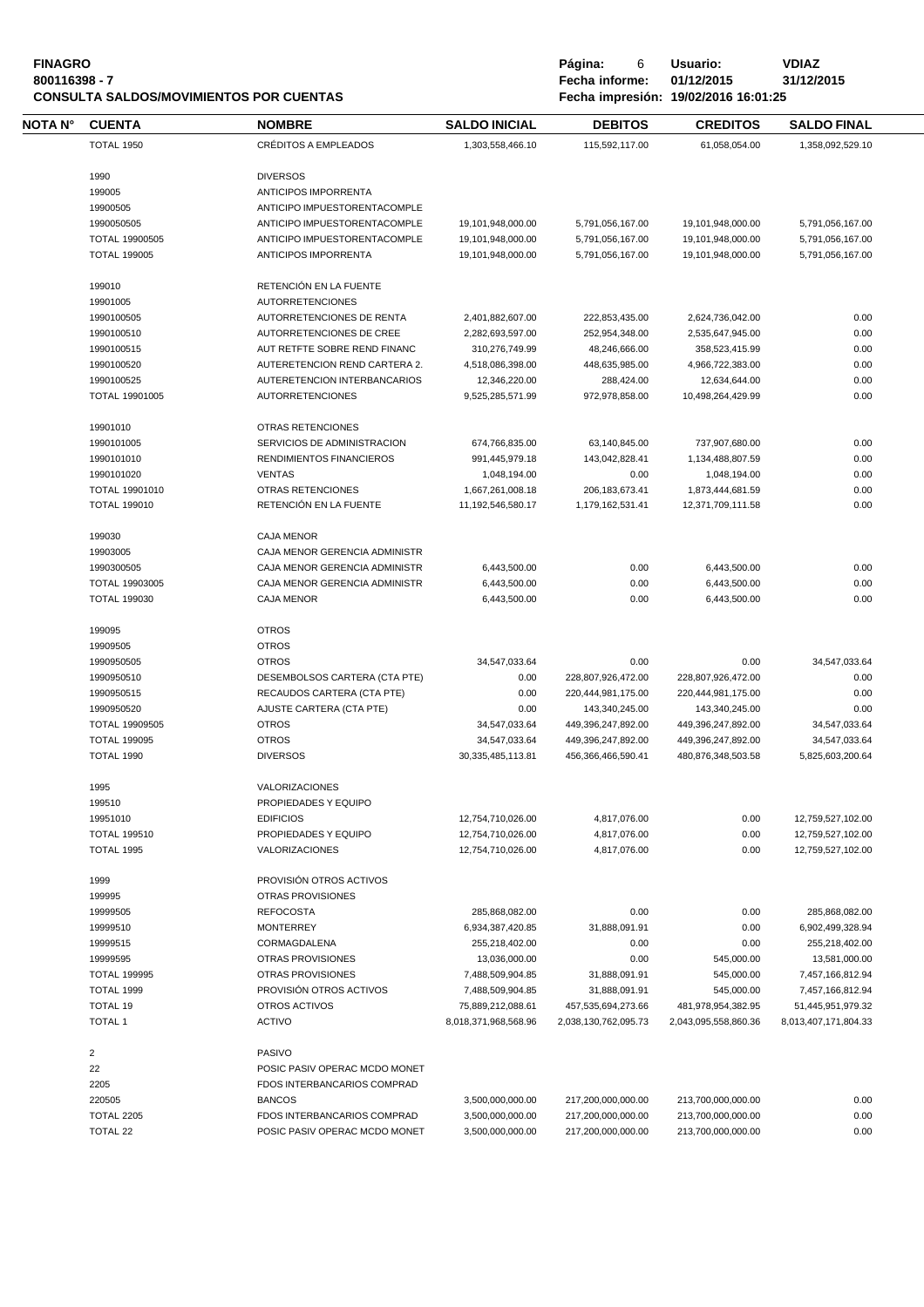| <b>FINAGRO</b>                                 | Página:        | Usuario:                             | VDIAZ   |
|------------------------------------------------|----------------|--------------------------------------|---------|
| 800116398 - 7                                  | Fecha informe: | 01/12/2015                           | 31/12/: |
| <b>CONSULTA SALDOS/MOVIMIENTOS POR CUENTAS</b> |                | Fecha impresión: 19/02/2016 16:01:25 |         |

**800116398 - 7 Fecha informe: 01/12/2015 31/12/2015 CONSULTA SALDOS/MOVIMIENTOS POR CUENTAS Fecha impresión: 19/02/2016 16:01:25**

| ΝΟΤΑ Ν° | <b>CUENTA</b>           | <b>NOMBRE</b>                 | <b>SALDO INICIAL</b> | <b>DEBITOS</b>       | <b>CREDITOS</b>      | <b>SALDO FINAL</b>   |
|---------|-------------------------|-------------------------------|----------------------|----------------------|----------------------|----------------------|
|         | <b>TOTAL 1950</b>       | <b>CRÉDITOS A EMPLEADOS</b>   | 1,303,558,466.10     | 115,592,117.00       | 61,058,054.00        | 1,358,092,529.10     |
|         | 1990                    | <b>DIVERSOS</b>               |                      |                      |                      |                      |
|         | 199005                  | ANTICIPOS IMPORRENTA          |                      |                      |                      |                      |
|         |                         |                               |                      |                      |                      |                      |
|         | 19900505                | ANTICIPO IMPUESTORENTACOMPLE  |                      |                      |                      |                      |
|         | 1990050505              | ANTICIPO IMPUESTORENTACOMPLE  | 19,101,948,000.00    | 5,791,056,167.00     | 19,101,948,000.00    | 5,791,056,167.00     |
|         | TOTAL 19900505          | ANTICIPO IMPUESTORENTACOMPLE  | 19,101,948,000.00    | 5,791,056,167.00     | 19,101,948,000.00    | 5,791,056,167.00     |
|         | <b>TOTAL 199005</b>     | ANTICIPOS IMPORRENTA          | 19,101,948,000.00    | 5,791,056,167.00     | 19,101,948,000.00    | 5,791,056,167.00     |
|         | 199010                  | RETENCIÓN EN LA FUENTE        |                      |                      |                      |                      |
|         | 19901005                | <b>AUTORRETENCIONES</b>       |                      |                      |                      |                      |
|         | 1990100505              | AUTORRETENCIONES DE RENTA     | 2,401,882,607.00     | 222,853,435.00       | 2,624,736,042.00     | 0.00                 |
|         | 1990100510              | AUTORRETENCIONES DE CREE      | 2,282,693,597.00     | 252,954,348.00       | 2,535,647,945.00     | 0.00                 |
|         | 1990100515              | AUT RETFTE SOBRE REND FINANC  | 310,276,749.99       | 48,246,666.00        | 358,523,415.99       | 0.00                 |
|         | 1990100520              | AUTERETENCION REND CARTERA 2. | 4,518,086,398.00     | 448,635,985.00       | 4,966,722,383.00     | 0.00                 |
|         | 1990100525              | AUTERETENCION INTERBANCARIOS  |                      |                      |                      | 0.00                 |
|         |                         |                               | 12,346,220.00        | 288,424.00           | 12,634,644.00        |                      |
|         | TOTAL 19901005          | <b>AUTORRETENCIONES</b>       | 9,525,285,571.99     | 972,978,858.00       | 10,498,264,429.99    | 0.00                 |
|         | 19901010                | <b>OTRAS RETENCIONES</b>      |                      |                      |                      |                      |
|         | 1990101005              | SERVICIOS DE ADMINISTRACION   | 674,766,835.00       | 63,140,845.00        | 737,907,680.00       | 0.00                 |
|         | 1990101010              | RENDIMIENTOS FINANCIEROS      | 991,445,979.18       | 143,042,828.41       | 1,134,488,807.59     | 0.00                 |
|         | 1990101020              | <b>VENTAS</b>                 | 1,048,194.00         | 0.00                 | 1,048,194.00         | 0.00                 |
|         | TOTAL 19901010          | <b>OTRAS RETENCIONES</b>      | 1,667,261,008.18     | 206, 183, 673.41     | 1,873,444,681.59     | 0.00                 |
|         | <b>TOTAL 199010</b>     | RETENCIÓN EN LA FUENTE        | 11,192,546,580.17    | 1,179,162,531.41     | 12,371,709,111.58    | 0.00                 |
|         | 199030                  | <b>CAJA MENOR</b>             |                      |                      |                      |                      |
|         |                         |                               |                      |                      |                      |                      |
|         | 19903005                | CAJA MENOR GERENCIA ADMINISTR |                      |                      |                      |                      |
|         | 1990300505              | CAJA MENOR GERENCIA ADMINISTR | 6,443,500.00         | 0.00                 | 6,443,500.00         | 0.00                 |
|         | TOTAL 19903005          | CAJA MENOR GERENCIA ADMINISTR | 6,443,500.00         | 0.00                 | 6,443,500.00         | 0.00                 |
|         | <b>TOTAL 199030</b>     | <b>CAJA MENOR</b>             | 6,443,500.00         | 0.00                 | 6,443,500.00         | 0.00                 |
|         | 199095                  | <b>OTROS</b>                  |                      |                      |                      |                      |
|         | 19909505                | <b>OTROS</b>                  |                      |                      |                      |                      |
|         | 1990950505              | <b>OTROS</b>                  | 34,547,033.64        | 0.00                 | 0.00                 | 34,547,033.64        |
|         | 1990950510              | DESEMBOLSOS CARTERA (CTA PTE) | 0.00                 | 228,807,926,472.00   | 228,807,926,472.00   | 0.00                 |
|         |                         |                               |                      |                      |                      |                      |
|         | 1990950515              | RECAUDOS CARTERA (CTA PTE)    | 0.00                 | 220,444,981,175.00   | 220,444,981,175.00   | 0.00                 |
|         | 1990950520              | AJUSTE CARTERA (CTA PTE)      | 0.00                 | 143,340,245.00       | 143,340,245.00       | 0.00                 |
|         | TOTAL 19909505          | <b>OTROS</b>                  | 34,547,033.64        | 449,396,247,892.00   | 449,396,247,892.00   | 34,547,033.64        |
|         | <b>TOTAL 199095</b>     | <b>OTROS</b>                  | 34,547,033.64        | 449,396,247,892.00   | 449,396,247,892.00   | 34,547,033.64        |
|         | <b>TOTAL 1990</b>       | <b>DIVERSOS</b>               | 30.335.485.113.81    | 456,366,466,590.41   | 480,876,348,503.58   | 5,825,603,200.64     |
|         | 1995                    | <b>VALORIZACIONES</b>         |                      |                      |                      |                      |
|         | 199510                  | PROPIEDADES Y EQUIPO          |                      |                      |                      |                      |
|         | 19951010                | <b>EDIFICIOS</b>              | 12,754,710,026.00    | 4,817,076.00         | 0.00                 | 12,759,527,102.00    |
|         | <b>TOTAL 199510</b>     | PROPIEDADES Y EQUIPO          | 12,754,710,026.00    | 4,817,076.00         | 0.00                 | 12,759,527,102.00    |
|         | <b>TOTAL 1995</b>       | <b>VALORIZACIONES</b>         | 12,754,710,026.00    | 4,817,076.00         | 0.00                 | 12,759,527,102.00    |
|         |                         | PROVISIÓN OTROS ACTIVOS       |                      |                      |                      |                      |
|         | 1999                    |                               |                      |                      |                      |                      |
|         | 199995                  | OTRAS PROVISIONES             |                      |                      |                      |                      |
|         | 19999505                | <b>REFOCOSTA</b>              | 285,868,082.00       | 0.00                 | 0.00                 | 285,868,082.00       |
|         | 19999510                | <b>MONTERREY</b>              | 6,934,387,420.85     | 31,888,091.91        | 0.00                 | 6,902,499,328.94     |
|         | 19999515                | CORMAGDALENA                  | 255,218,402.00       | 0.00                 | 0.00                 | 255,218,402.00       |
|         | 19999595                | <b>OTRAS PROVISIONES</b>      | 13,036,000.00        | 0.00                 | 545,000.00           | 13,581,000.00        |
|         | <b>TOTAL 199995</b>     | OTRAS PROVISIONES             | 7,488,509,904.85     | 31,888,091.91        | 545,000.00           | 7,457,166,812.94     |
|         | TOTAL 1999              | PROVISIÓN OTROS ACTIVOS       | 7,488,509,904.85     | 31,888,091.91        | 545,000.00           | 7,457,166,812.94     |
|         | TOTAL 19                | OTROS ACTIVOS                 | 75,889,212,088.61    | 457,535,694,273.66   | 481,978,954,382.95   | 51,445,951,979.32    |
|         | <b>TOTAL 1</b>          | <b>ACTIVO</b>                 | 8,018,371,968,568.96 | 2,038,130,762,095.73 | 2,043,095,558,860.36 | 8,013,407,171,804.33 |
|         | $\overline{\mathbf{c}}$ | PASIVO                        |                      |                      |                      |                      |
|         |                         |                               |                      |                      |                      |                      |
|         | 22                      | POSIC PASIV OPERAC MCDO MONET |                      |                      |                      |                      |
|         | 2205                    | FDOS INTERBANCARIOS COMPRAD   |                      |                      |                      |                      |
|         | 220505                  | <b>BANCOS</b>                 | 3,500,000,000.00     | 217,200,000,000.00   | 213,700,000,000.00   | 0.00                 |
|         | <b>TOTAL 2205</b>       | FDOS INTERBANCARIOS COMPRAD   | 3,500,000,000.00     | 217,200,000,000.00   | 213,700,000,000.00   | 0.00                 |
|         | TOTAL 22                | POSIC PASIV OPERAC MCDO MONET | 3,500,000,000.00     | 217,200,000,000.00   | 213,700,000,000.00   | 0.00                 |
|         |                         |                               |                      |                      |                      |                      |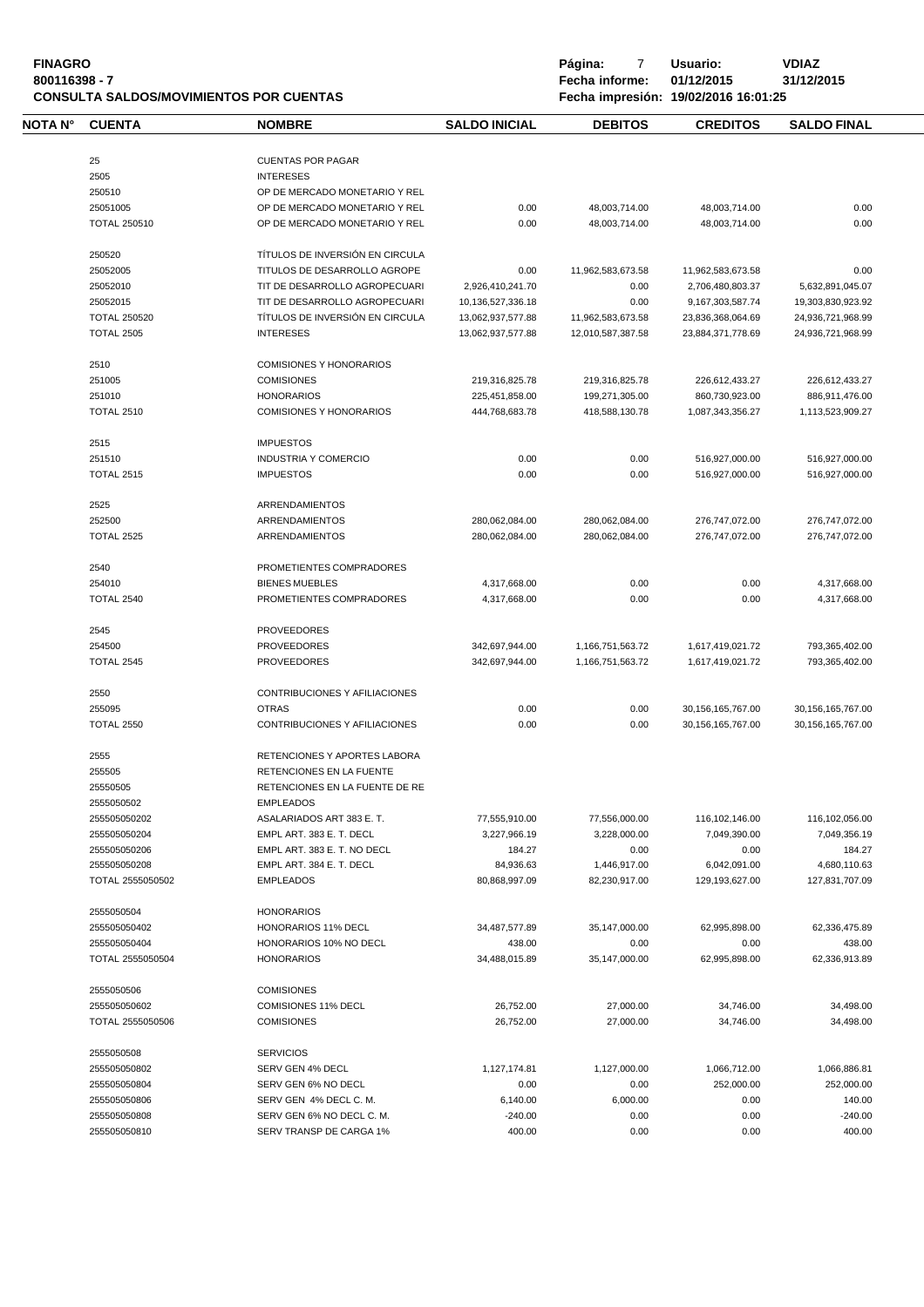| <b>FINAGRO</b><br>800116398 - 7 |                     | <b>CONSULTA SALDOS/MOVIMIENTOS POR CUENTAS</b> |                      | Página:<br>7<br>Fecha informe: | Usuario:<br>01/12/2015<br>Fecha impresión: 19/02/2016 16:01:25 | <b>VDIAZ</b><br>31/12/2015 |
|---------------------------------|---------------------|------------------------------------------------|----------------------|--------------------------------|----------------------------------------------------------------|----------------------------|
| NOTA N°                         | <b>CUENTA</b>       | <b>NOMBRE</b>                                  | <b>SALDO INICIAL</b> | <b>DEBITOS</b>                 | <b>CREDITOS</b>                                                | <b>SALDO FINAL</b>         |
|                                 | 25                  | <b>CUENTAS POR PAGAR</b>                       |                      |                                |                                                                |                            |
|                                 | 2505                | <b>INTERESES</b>                               |                      |                                |                                                                |                            |
|                                 | 250510              | OP DE MERCADO MONETARIO Y REL                  |                      |                                |                                                                |                            |
|                                 |                     |                                                |                      |                                |                                                                |                            |
|                                 | 25051005            | OP DE MERCADO MONETARIO Y REL                  | 0.00                 | 48,003,714.00                  | 48,003,714.00                                                  | 0.00                       |
|                                 | <b>TOTAL 250510</b> | OP DE MERCADO MONETARIO Y REL                  | 0.00                 | 48,003,714.00                  | 48,003,714.00                                                  | 0.00                       |
|                                 | 250520              | TÍTULOS DE INVERSIÓN EN CIRCULA                |                      |                                |                                                                |                            |
|                                 | 25052005            | TITULOS DE DESARROLLO AGROPE                   | 0.00                 | 11,962,583,673.58              | 11,962,583,673.58                                              | 0.00                       |
|                                 | 25052010            | TIT DE DESARROLLO AGROPECUARI                  | 2,926,410,241.70     | 0.00                           | 2,706,480,803.37                                               | 5,632,891,045.07           |
|                                 | 25052015            | TIT DE DESARROLLO AGROPECUARI                  | 10,136,527,336.18    | 0.00                           | 9,167,303,587.74                                               | 19,303,830,923.92          |
|                                 | <b>TOTAL 250520</b> | TÍTULOS DE INVERSIÓN EN CIRCULA                | 13,062,937,577.88    | 11,962,583,673.58              | 23,836,368,064.69                                              | 24,936,721,968.99          |
|                                 | <b>TOTAL 2505</b>   | <b>INTERESES</b>                               | 13,062,937,577.88    | 12,010,587,387.58              | 23,884,371,778.69                                              | 24,936,721,968.99          |
|                                 | 2510                | <b>COMISIONES Y HONORARIOS</b>                 |                      |                                |                                                                |                            |
|                                 | 251005              | <b>COMISIONES</b>                              | 219,316,825.78       | 219,316,825.78                 | 226,612,433.27                                                 | 226,612,433.27             |
|                                 | 251010              | <b>HONORARIOS</b>                              | 225,451,858.00       | 199,271,305.00                 | 860,730,923.00                                                 | 886,911,476.00             |
|                                 | <b>TOTAL 2510</b>   | <b>COMISIONES Y HONORARIOS</b>                 | 444,768,683.78       | 418.588.130.78                 | 1,087,343,356.27                                               | 1,113,523,909.27           |
|                                 |                     |                                                |                      |                                |                                                                |                            |
|                                 | 2515                | <b>IMPUESTOS</b>                               |                      |                                |                                                                |                            |
|                                 | 251510              | <b>INDUSTRIA Y COMERCIO</b>                    | 0.00                 | 0.00                           | 516,927,000.00                                                 | 516,927,000.00             |
|                                 | <b>TOTAL 2515</b>   | <b>IMPUESTOS</b>                               | 0.00                 | 0.00                           | 516,927,000.00                                                 | 516,927,000.00             |
|                                 | 2525                | ARRENDAMIENTOS                                 |                      |                                |                                                                |                            |
|                                 | 252500              | <b>ARRENDAMIENTOS</b>                          | 280,062,084.00       | 280,062,084.00                 | 276,747,072.00                                                 | 276,747,072.00             |
|                                 | <b>TOTAL 2525</b>   | ARRENDAMIENTOS                                 | 280,062,084.00       | 280,062,084.00                 | 276,747,072.00                                                 | 276,747,072.00             |
|                                 |                     |                                                |                      |                                |                                                                |                            |
|                                 | 2540                | PROMETIENTES COMPRADORES                       |                      |                                |                                                                |                            |
|                                 | 254010              | <b>BIENES MUEBLES</b>                          | 4,317,668.00         | 0.00                           | 0.00                                                           | 4,317,668.00               |
|                                 | <b>TOTAL 2540</b>   | PROMETIENTES COMPRADORES                       | 4,317,668.00         | 0.00                           | 0.00                                                           | 4,317,668.00               |
|                                 | 2545                | <b>PROVEEDORES</b>                             |                      |                                |                                                                |                            |
|                                 | 254500              | <b>PROVEEDORES</b>                             | 342,697,944.00       | 1,166,751,563.72               | 1,617,419,021.72                                               | 793,365,402.00             |
|                                 | <b>TOTAL 2545</b>   | <b>PROVEEDORES</b>                             | 342,697,944.00       | 1,166,751,563.72               | 1,617,419,021.72                                               | 793,365,402.00             |
|                                 | 2550                | CONTRIBUCIONES Y AFILIACIONES                  |                      |                                |                                                                |                            |
|                                 |                     |                                                |                      |                                |                                                                |                            |
|                                 | 255095              | <b>OTRAS</b>                                   | 0.00                 | 0.00                           | 30,156,165,767.00                                              | 30, 156, 165, 767.00       |
|                                 | <b>TOTAL 2550</b>   | CONTRIBUCIONES Y AFILIACIONES                  | 0.00                 | 0.00                           | 30,156,165,767.00                                              | 30, 156, 165, 767.00       |
|                                 | 2555                | RETENCIONES Y APORTES LABORA                   |                      |                                |                                                                |                            |
|                                 | 255505              | <b>RETENCIONES EN LA FUENTE</b>                |                      |                                |                                                                |                            |
|                                 | 25550505            | RETENCIONES EN LA FUENTE DE RE                 |                      |                                |                                                                |                            |
|                                 | 2555050502          | <b>EMPLEADOS</b>                               |                      |                                |                                                                |                            |
|                                 | 255505050202        | ASALARIADOS ART 383 E. T.                      | 77,555,910.00        | 77,556,000.00                  | 116,102,146.00                                                 | 116,102,056.00             |
|                                 | 255505050204        | EMPL ART. 383 E. T. DECL                       | 3,227,966.19         | 3,228,000.00                   | 7,049,390.00                                                   | 7,049,356.19               |
|                                 | 255505050206        | EMPL ART, 383 E. T. NO DECL                    | 184.27               | 0.00                           | 0.00                                                           | 184.27                     |
|                                 | 255505050208        | EMPL ART, 384 E. T. DECL                       | 84.936.63            | 1,446,917.00                   | 6,042,091.00                                                   | 4,680,110.63               |
|                                 | TOTAL 2555050502    | <b>EMPLEADOS</b>                               | 80,868,997.09        | 82,230,917.00                  | 129,193,627.00                                                 | 127,831,707.09             |
|                                 | 2555050504          | <b>HONORARIOS</b>                              |                      |                                |                                                                |                            |
|                                 | 255505050402        | HONORARIOS 11% DECL                            | 34,487,577.89        | 35,147,000.00                  | 62,995,898.00                                                  | 62,336,475.89              |
|                                 |                     | HONORARIOS 10% NO DECL                         |                      |                                |                                                                |                            |
|                                 | 255505050404        |                                                | 438.00               | 0.00                           | 0.00                                                           | 438.00                     |
|                                 | TOTAL 2555050504    | <b>HONORARIOS</b>                              | 34,488,015.89        | 35,147,000.00                  | 62,995,898.00                                                  | 62,336,913.89              |
|                                 | 2555050506          | <b>COMISIONES</b>                              |                      |                                |                                                                |                            |
|                                 | 255505050602        | <b>COMISIONES 11% DECL</b>                     | 26,752.00            | 27,000.00                      | 34,746.00                                                      | 34,498.00                  |
|                                 | TOTAL 2555050506    | <b>COMISIONES</b>                              | 26,752.00            | 27,000.00                      | 34,746.00                                                      | 34,498.00                  |
|                                 | 2555050508          | <b>SERVICIOS</b>                               |                      |                                |                                                                |                            |
|                                 | 255505050802        | SERV GEN 4% DECL                               | 1,127,174.81         | 1,127,000.00                   | 1,066,712.00                                                   | 1,066,886.81               |
|                                 | 255505050804        | SERV GEN 6% NO DECL                            | 0.00                 | 0.00                           | 252,000.00                                                     | 252,000.00                 |
|                                 |                     |                                                |                      |                                |                                                                |                            |
|                                 | 255505050806        | SERV GEN 4% DECL C. M.                         | 6,140.00             | 6,000.00                       | 0.00                                                           | 140.00                     |
|                                 | 255505050808        | SERV GEN 6% NO DECL C. M.                      | $-240.00$            | 0.00                           | 0.00                                                           | $-240.00$                  |
|                                 | 255505050810        | SERV TRANSP DE CARGA 1%                        | 400.00               | 0.00                           | 0.00                                                           | 400.00                     |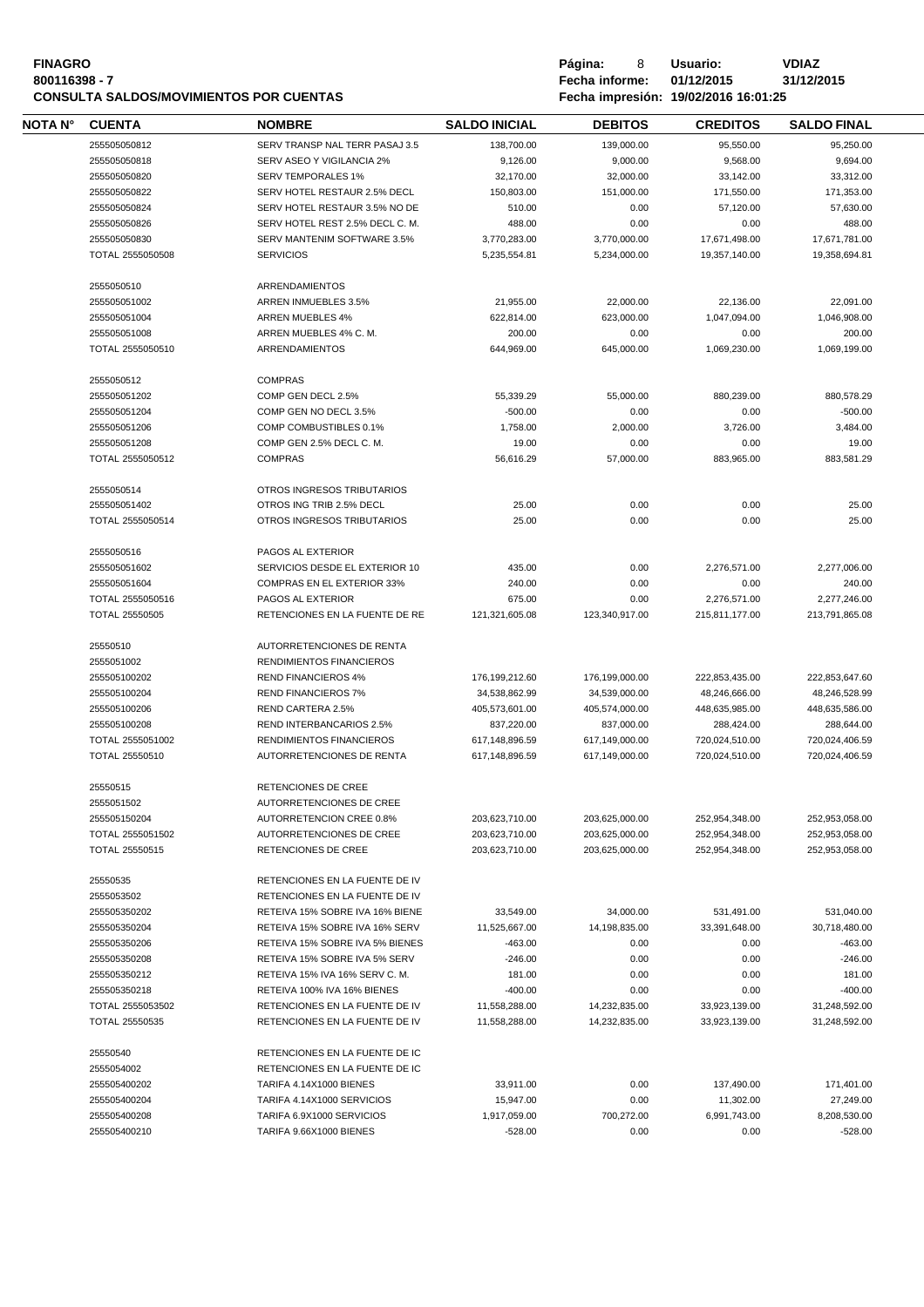### **FINAGRO P á g i n a :** 8 **U s u a r i o : VDIAZ 800116398 - 7 Fecha informe: 01/12/2015 31/12/2015 CONSULTA SALDOS/MOVIMIENTOS POR CUENTAS**

| NOTA N° | <b>CUENTA</b>         | <b>NOMBRE</b>                     | <b>SALDO INICIAL</b>           | <b>DEBITOS</b>                 | <b>CREDITOS</b>                | <b>SALDO FINAL</b> |
|---------|-----------------------|-----------------------------------|--------------------------------|--------------------------------|--------------------------------|--------------------|
|         | 255505050812          | SERV TRANSP NAL TERR PASAJ 3.5    | 138,700.00                     | 139,000.00                     | 95,550.00                      | 95,250.00          |
|         | 255505050818          | SERV ASEO Y VIGILANCIA 2%         | 9,126.00                       | 9,000.00                       | 9,568.00                       | 9,694.00           |
|         | 255505050820          | <b>SERV TEMPORALES 1%</b>         | 32,170.00                      | 32,000.00                      | 33,142.00                      | 33,312.00          |
|         | 255505050822          | SERV HOTEL RESTAUR 2.5% DECL      | 150,803.00                     | 151,000.00                     | 171,550.00                     | 171,353.00         |
|         | 255505050824          | SERV HOTEL RESTAUR 3.5% NO DE     | 510.00                         | 0.00                           | 57,120.00                      | 57,630.00          |
|         | 255505050826          | SERV HOTEL REST 2.5% DECL C. M.   | 488.00                         | 0.00                           | 0.00                           | 488.00             |
|         | 255505050830          | SERV MANTENIM SOFTWARE 3.5%       | 3,770,283.00                   | 3,770,000.00                   | 17,671,498.00                  | 17,671,781.00      |
|         | TOTAL 2555050508      | <b>SERVICIOS</b>                  | 5,235,554.81                   | 5,234,000.00                   | 19,357,140.00                  | 19,358,694.81      |
|         |                       |                                   |                                |                                |                                |                    |
|         | 2555050510            | <b>ARRENDAMIENTOS</b>             |                                |                                |                                |                    |
|         | 255505051002          | ARREN INMUEBLES 3.5%              | 21,955.00                      | 22,000.00                      | 22.136.00                      | 22,091.00          |
|         | 255505051004          | <b>ARREN MUEBLES 4%</b>           | 622.814.00                     | 623,000.00                     | 1,047,094.00                   | 1,046,908.00       |
|         | 255505051008          | ARREN MUEBLES 4% C.M.             | 200.00                         | 0.00                           | 0.00                           | 200.00             |
|         | TOTAL 2555050510      | ARRENDAMIENTOS                    | 644,969.00                     | 645,000.00                     | 1,069,230.00                   | 1,069,199.00       |
|         |                       |                                   |                                |                                |                                |                    |
|         | 2555050512            | <b>COMPRAS</b>                    |                                |                                |                                |                    |
|         | 255505051202          | COMP GEN DECL 2.5%                | 55,339.29                      | 55,000.00                      | 880,239.00                     | 880,578.29         |
|         | 255505051204          | COMP GEN NO DECL 3.5%             | $-500.00$                      | 0.00                           | 0.00                           | $-500.00$          |
|         | 255505051206          | COMP COMBUSTIBLES 0.1%            | 1,758.00                       | 2,000.00                       | 3,726.00                       | 3,484.00           |
|         | 255505051208          | COMP GEN 2.5% DECL C. M.          | 19.00                          | 0.00                           | 0.00                           | 19.00              |
|         | TOTAL 2555050512      | <b>COMPRAS</b>                    | 56,616.29                      | 57,000.00                      | 883,965.00                     | 883,581.29         |
|         |                       |                                   |                                |                                |                                |                    |
|         | 2555050514            | OTROS INGRESOS TRIBUTARIOS        |                                |                                |                                |                    |
|         | 255505051402          | OTROS ING TRIB 2.5% DECL          | 25.00                          | 0.00                           | 0.00                           | 25.00              |
|         | TOTAL 2555050514      | OTROS INGRESOS TRIBUTARIOS        | 25.00                          | 0.00                           | 0.00                           | 25.00              |
|         | 2555050516            | PAGOS AL EXTERIOR                 |                                |                                |                                |                    |
|         | 255505051602          | SERVICIOS DESDE EL EXTERIOR 10    | 435.00                         | 0.00                           | 2,276,571.00                   | 2,277,006.00       |
|         | 255505051604          | <b>COMPRAS EN EL EXTERIOR 33%</b> | 240.00                         | 0.00                           | 0.00                           | 240.00             |
|         |                       |                                   |                                |                                |                                |                    |
|         | TOTAL 2555050516      | PAGOS AL EXTERIOR                 | 675.00                         | 0.00                           | 2,276,571.00                   | 2,277,246.00       |
|         | <b>TOTAL 25550505</b> | RETENCIONES EN LA FUENTE DE RE    | 121,321,605.08                 | 123,340,917.00                 | 215,811,177.00                 | 213,791,865.08     |
|         | 25550510              | AUTORRETENCIONES DE RENTA         |                                |                                |                                |                    |
|         | 2555051002            | RENDIMIENTOS FINANCIEROS          |                                |                                |                                |                    |
|         | 255505100202          | <b>REND FINANCIEROS 4%</b>        | 176,199,212.60                 | 176,199,000.00                 | 222,853,435.00                 | 222,853,647.60     |
|         | 255505100204          | <b>REND FINANCIEROS 7%</b>        | 34,538,862.99                  | 34,539,000.00                  | 48,246,666.00                  | 48,246,528.99      |
|         | 255505100206          | REND CARTERA 2.5%                 | 405,573,601.00                 | 405,574,000.00                 | 448,635,985.00                 | 448.635.586.00     |
|         | 255505100208          | REND INTERBANCARIOS 2.5%          | 837,220.00                     | 837,000.00                     | 288,424.00                     | 288,644.00         |
|         | TOTAL 2555051002      | RENDIMIENTOS FINANCIEROS          | 617,148,896.59                 | 617,149,000.00                 | 720,024,510.00                 | 720,024,406.59     |
|         | TOTAL 25550510        | AUTORRETENCIONES DE RENTA         | 617,148,896.59                 | 617.149.000.00                 | 720,024,510.00                 | 720,024,406.59     |
|         |                       |                                   |                                |                                |                                |                    |
|         | 25550515              | RETENCIONES DE CREE               |                                |                                |                                |                    |
|         | 2555051502            | AUTORRETENCIONES DE CREE          |                                |                                |                                |                    |
|         | 255505150204          | AUTORRETENCION CREE 0.8%          | 203,623,710.00                 | 203,625,000.00                 | 252,954,348.00                 | 252,953,058.00     |
|         | TOTAL 2555051502      | AUTORRETENCIONES DE CREE          | 203,623,710.00                 | 203,625,000.00                 | 252,954,348.00                 | 252,953,058.00     |
|         | TOTAL 25550515        | RETENCIONES DE CREE               | 203,623,710.00                 | 203,625,000.00                 | 252,954,348.00                 | 252,953,058.00     |
|         | 25550535              | RETENCIONES EN LA FUENTE DE IV    |                                |                                |                                |                    |
|         | 2555053502            | RETENCIONES EN LA FUENTE DE IV    |                                |                                |                                |                    |
|         | 255505350202          | RETEIVA 15% SOBRE IVA 16% BIENE   | 33,549.00                      | 34,000.00                      | 531,491.00                     | 531,040.00         |
|         | 255505350204          | RETEIVA 15% SOBRE IVA 16% SERV    | 11,525,667.00                  | 14,198,835.00                  | 33,391,648.00                  | 30,718,480.00      |
|         | 255505350206          | RETEIVA 15% SOBRE IVA 5% BIENES   | $-463.00$                      | 0.00                           | 0.00                           | $-463.00$          |
|         | 255505350208          | RETEIVA 15% SOBRE IVA 5% SERV     | $-246.00$                      | 0.00                           | 0.00                           | $-246.00$          |
|         | 255505350212          | RETEIVA 15% IVA 16% SERV C.M.     | 181.00                         | 0.00                           | 0.00                           | 181.00             |
|         | 255505350218          | RETEIVA 100% IVA 16% BIENES       | $-400.00$                      | 0.00                           | 0.00                           | $-400.00$          |
|         | TOTAL 2555053502      | RETENCIONES EN LA FUENTE DE IV    |                                |                                |                                | 31,248,592.00      |
|         | TOTAL 25550535        | RETENCIONES EN LA FUENTE DE IV    | 11,558,288.00<br>11,558,288.00 | 14,232,835.00<br>14,232,835.00 | 33,923,139.00<br>33,923,139.00 | 31,248,592.00      |
|         |                       |                                   |                                |                                |                                |                    |
|         | 25550540              | RETENCIONES EN LA FUENTE DE IC    |                                |                                |                                |                    |
|         | 2555054002            | RETENCIONES EN LA FUENTE DE IC    |                                |                                |                                |                    |
|         | 255505400202          | TARIFA 4.14X1000 BIENES           | 33,911.00                      | 0.00                           | 137,490.00                     | 171,401.00         |
|         | 255505400204          | TARIFA 4.14X1000 SERVICIOS        | 15,947.00                      | 0.00                           | 11,302.00                      | 27,249.00          |
|         | 255505400208          | TARIFA 6.9X1000 SERVICIOS         | 1,917,059.00                   | 700,272.00                     | 6,991,743.00                   | 8,208,530.00       |
|         | 255505400210          | TARIFA 9.66X1000 BIENES           | $-528.00$                      | 0.00                           | 0.00                           | $-528.00$          |
|         |                       |                                   |                                |                                |                                |                    |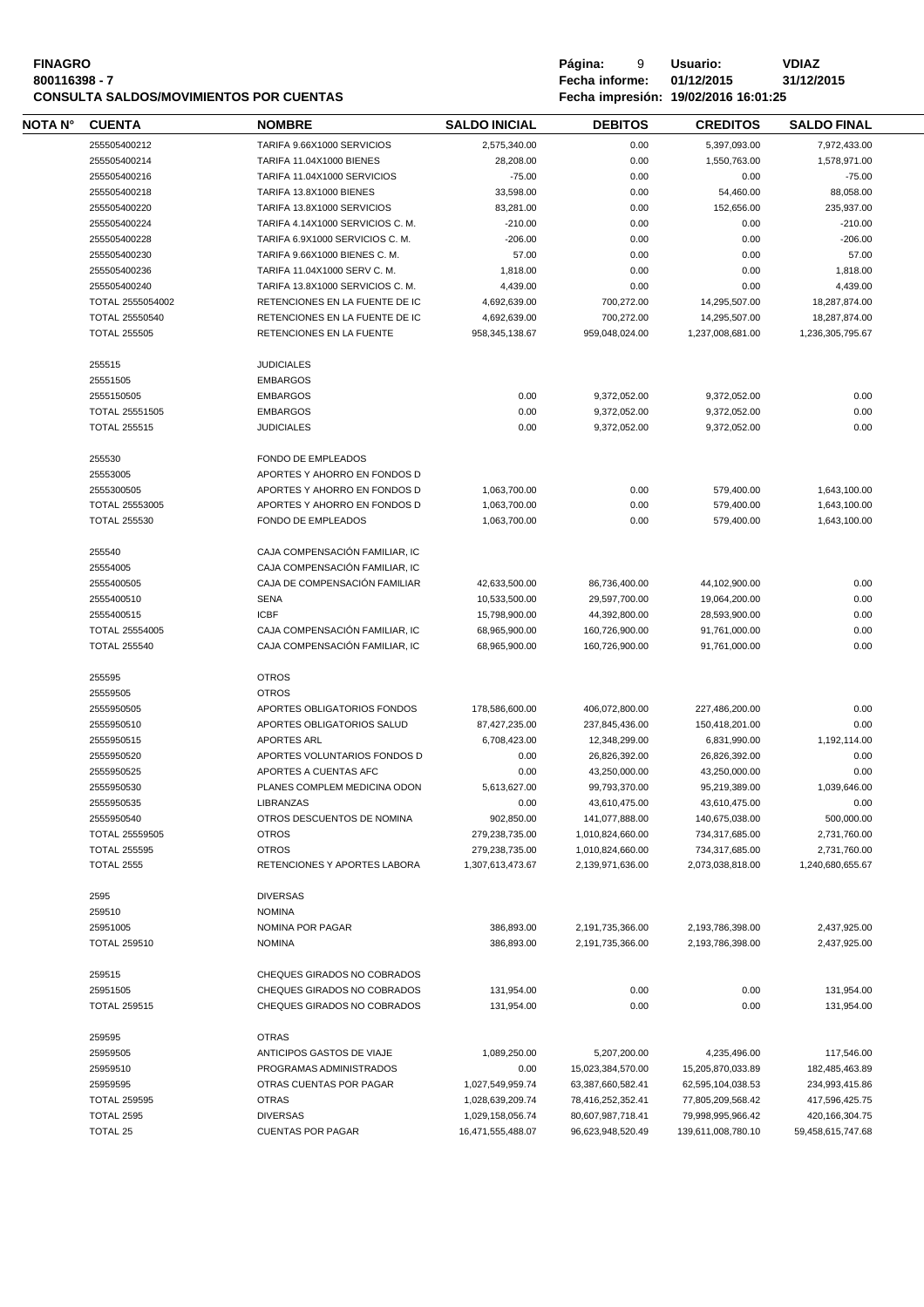| <b>FINAGRO</b>                                 | Página:               | Usuario:                             | VDIAZ      |
|------------------------------------------------|-----------------------|--------------------------------------|------------|
| 800116398 - 7                                  | <b>Fecha informe:</b> | 01/12/2015                           | 31/12/2015 |
| <b>CONSULTA SALDOS/MOVIMIENTOS POR CUENTAS</b> |                       | Fecha impresión: 19/02/2016 16:01:25 |            |

|         |                       | <b>CONSULTA SALDOS/MOVIMIENTOS POR CUENTAS</b> | Fecha impresión: 19/02/2016 16:01:25 |                   |                    |                    |  |
|---------|-----------------------|------------------------------------------------|--------------------------------------|-------------------|--------------------|--------------------|--|
| NOTA N° | <b>CUENTA</b>         | <b>NOMBRE</b>                                  | <b>SALDO INICIAL</b>                 | <b>DEBITOS</b>    | <b>CREDITOS</b>    | <b>SALDO FINAL</b> |  |
|         | 255505400212          | TARIFA 9.66X1000 SERVICIOS                     | 2,575,340.00                         | 0.00              | 5,397,093.00       | 7,972,433.00       |  |
|         | 255505400214          | <b>TARIFA 11.04X1000 BIENES</b>                | 28,208.00                            | 0.00              | 1,550,763.00       | 1,578,971.00       |  |
|         | 255505400216          | TARIFA 11.04X1000 SERVICIOS                    | $-75.00$                             | 0.00              | 0.00               | $-75.00$           |  |
|         | 255505400218          | TARIFA 13.8X1000 BIENES                        | 33,598.00                            | 0.00              | 54,460.00          | 88,058.00          |  |
|         | 255505400220          | TARIFA 13.8X1000 SERVICIOS                     | 83,281.00                            | 0.00              | 152,656.00         | 235,937.00         |  |
|         | 255505400224          | TARIFA 4.14X1000 SERVICIOS C.M.                | $-210.00$                            | 0.00              | 0.00               | $-210.00$          |  |
|         | 255505400228          | TARIFA 6.9X1000 SERVICIOS C. M.                | $-206.00$                            | 0.00              | 0.00               | $-206.00$          |  |
|         | 255505400230          | TARIFA 9.66X1000 BIENES C. M.                  | 57.00                                | 0.00              | 0.00               | 57.00              |  |
|         | 255505400236          | TARIFA 11.04X1000 SERV C. M.                   | 1,818.00                             | 0.00              | 0.00               | 1,818.00           |  |
|         | 255505400240          | TARIFA 13.8X1000 SERVICIOS C. M.               | 4,439.00                             | 0.00              | 0.00               | 4,439.00           |  |
|         | TOTAL 2555054002      | RETENCIONES EN LA FUENTE DE IC                 | 4,692,639.00                         | 700,272.00        | 14,295,507.00      | 18,287,874.00      |  |
|         | TOTAL 25550540        | RETENCIONES EN LA FUENTE DE IC                 | 4,692,639.00                         | 700,272.00        | 14,295,507.00      | 18,287,874.00      |  |
|         | <b>TOTAL 255505</b>   | RETENCIONES EN LA FUENTE                       | 958, 345, 138.67                     | 959,048,024.00    | 1,237,008,681.00   | 1,236,305,795.67   |  |
|         | 255515                | <b>JUDICIALES</b>                              |                                      |                   |                    |                    |  |
|         | 25551505              | <b>EMBARGOS</b>                                |                                      |                   |                    |                    |  |
|         | 2555150505            | <b>EMBARGOS</b>                                | 0.00                                 | 9.372.052.00      | 9,372,052.00       | 0.00               |  |
|         | TOTAL 25551505        | <b>EMBARGOS</b>                                | 0.00                                 | 9,372,052.00      | 9,372,052.00       | 0.00               |  |
|         | <b>TOTAL 255515</b>   | <b>JUDICIALES</b>                              | 0.00                                 | 9,372,052.00      | 9,372,052.00       | 0.00               |  |
|         | 255530                | <b>FONDO DE EMPLEADOS</b>                      |                                      |                   |                    |                    |  |
|         | 25553005              | APORTES Y AHORRO EN FONDOS D                   |                                      |                   |                    |                    |  |
|         | 2555300505            | APORTES Y AHORRO EN FONDOS D                   | 1,063,700.00                         | 0.00              | 579,400.00         | 1,643,100.00       |  |
|         | <b>TOTAL 25553005</b> | APORTES Y AHORRO EN FONDOS D                   | 1,063,700.00                         | 0.00              | 579,400.00         | 1,643,100.00       |  |
|         | <b>TOTAL 255530</b>   | FONDO DE EMPLEADOS                             | 1,063,700.00                         | 0.00              | 579,400.00         | 1,643,100.00       |  |
|         |                       |                                                |                                      |                   |                    |                    |  |
|         | 255540                | CAJA COMPENSACIÓN FAMILIAR, IC                 |                                      |                   |                    |                    |  |
|         | 25554005              | CAJA COMPENSACIÓN FAMILIAR, IC                 |                                      |                   |                    |                    |  |
|         | 2555400505            | CAJA DE COMPENSACIÓN FAMILIAR                  | 42,633,500.00                        | 86,736,400.00     | 44,102,900.00      | 0.00               |  |
|         | 2555400510            | <b>SENA</b>                                    | 10,533,500.00                        | 29,597,700.00     | 19,064,200.00      | 0.00               |  |
|         | 2555400515            | <b>ICBF</b>                                    | 15,798,900.00                        | 44,392,800.00     | 28,593,900.00      | 0.00               |  |
|         | TOTAL 25554005        | CAJA COMPENSACIÓN FAMILIAR, IC                 | 68,965,900.00                        | 160,726,900.00    | 91,761,000.00      | 0.00               |  |
|         | <b>TOTAL 255540</b>   | CAJA COMPENSACIÓN FAMILIAR, IC                 | 68,965,900.00                        | 160,726,900.00    | 91,761,000.00      | 0.00               |  |
|         | 255595                | <b>OTROS</b>                                   |                                      |                   |                    |                    |  |
|         | 25559505              | <b>OTROS</b>                                   |                                      |                   |                    |                    |  |
|         | 2555950505            | APORTES OBLIGATORIOS FONDOS                    | 178,586,600.00                       | 406,072,800.00    | 227,486,200.00     | 0.00               |  |
|         | 2555950510            | APORTES OBLIGATORIOS SALUD                     | 87,427,235.00                        | 237,845,436.00    | 150,418,201.00     | 0.00               |  |
|         | 2555950515            | <b>APORTES ARL</b>                             | 6,708,423.00                         | 12,348,299.00     | 6,831,990.00       | 1,192,114.00       |  |
|         | 2555950520            | APORTES VOLUNTARIOS FONDOS D                   | 0.00                                 | 26,826,392.00     | 26,826,392.00      | 0.00               |  |
|         | 2555950525            | APORTES A CUENTAS AFC                          | 0.00                                 | 43,250,000.00     | 43,250,000.00      | 0.00               |  |
|         | 2555950530            | PLANES COMPLEM MEDICINA ODON                   | 5,613,627.00                         | 99,793,370.00     | 95,219,389.00      | 1,039,646.00       |  |
|         | 2555950535            | <b>LIBRANZAS</b>                               | 0.00                                 | 43,610,475.00     | 43,610,475.00      | 0.00               |  |
|         | 2555950540            | OTROS DESCUENTOS DE NOMINA                     | 902,850.00                           | 141,077,888.00    | 140,675,038.00     | 500,000.00         |  |
|         | TOTAL 25559505        | <b>OTROS</b>                                   | 279,238,735.00                       | 1,010,824,660.00  | 734,317,685.00     | 2,731,760.00       |  |
|         | <b>TOTAL 255595</b>   | <b>OTROS</b>                                   | 279,238,735.00                       | 1,010,824,660.00  | 734,317,685.00     | 2,731,760.00       |  |
|         | <b>TOTAL 2555</b>     | RETENCIONES Y APORTES LABORA                   | 1,307,613,473.67                     | 2,139,971,636.00  | 2,073,038,818.00   | 1,240,680,655.67   |  |
|         | 2595                  | <b>DIVERSAS</b>                                |                                      |                   |                    |                    |  |
|         | 259510                | <b>NOMINA</b>                                  |                                      |                   |                    |                    |  |
|         | 25951005              | NOMINA POR PAGAR                               | 386,893.00                           | 2,191,735,366.00  | 2,193,786,398.00   | 2,437,925.00       |  |
|         | <b>TOTAL 259510</b>   | <b>NOMINA</b>                                  | 386,893.00                           | 2,191,735,366.00  | 2,193,786,398.00   | 2,437,925.00       |  |
|         | 259515                | CHEQUES GIRADOS NO COBRADOS                    |                                      |                   |                    |                    |  |
|         | 25951505              | CHEQUES GIRADOS NO COBRADOS                    | 131,954.00                           | 0.00              | 0.00               | 131,954.00         |  |
|         | <b>TOTAL 259515</b>   | CHEQUES GIRADOS NO COBRADOS                    | 131,954.00                           | 0.00              | 0.00               | 131,954.00         |  |
|         |                       | <b>OTRAS</b>                                   |                                      |                   |                    |                    |  |
|         | 259595<br>25959505    | ANTICIPOS GASTOS DE VIAJE                      | 1,089,250.00                         | 5,207,200.00      | 4,235,496.00       | 117,546.00         |  |
|         | 25959510              | PROGRAMAS ADMINISTRADOS                        | 0.00                                 | 15,023,384,570.00 | 15,205,870,033.89  | 182,485,463.89     |  |
|         | 25959595              | OTRAS CUENTAS POR PAGAR                        | 1,027,549,959.74                     | 63,387,660,582.41 | 62,595,104,038.53  | 234,993,415.86     |  |
|         | <b>TOTAL 259595</b>   | <b>OTRAS</b>                                   | 1,028,639,209.74                     | 78,416,252,352.41 | 77,805,209,568.42  | 417,596,425.75     |  |
|         | <b>TOTAL 2595</b>     | <b>DIVERSAS</b>                                | 1,029,158,056.74                     | 80,607,987,718.41 | 79,998,995,966.42  | 420,166,304.75     |  |
|         | TOTAL 25              | <b>CUENTAS POR PAGAR</b>                       | 16,471,555,488.07                    | 96,623,948,520.49 | 139,611,008,780.10 | 59,458,615,747.68  |  |
|         |                       |                                                |                                      |                   |                    |                    |  |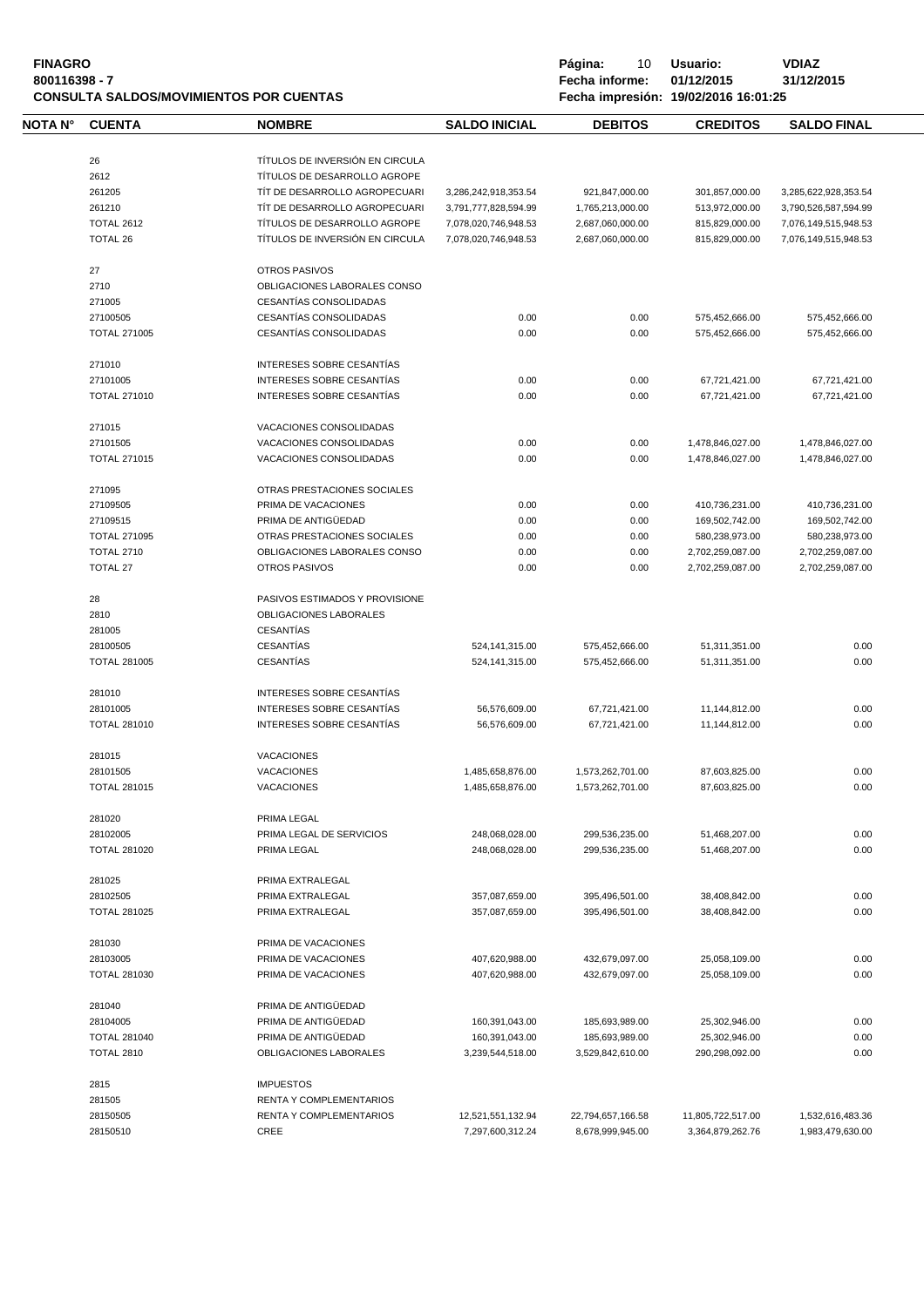| <b>FINAGRO</b><br>800116398 - 7 |                     | <b>CONSULTA SALDOS/MOVIMIENTOS POR CUENTAS</b>                  |                      | Página:<br>10<br>Fecha informe:<br>Fecha impresión: 19/02/2016 16:01:25 | Usuario:<br>01/12/2015 | <b>VDIAZ</b><br>31/12/2015 |
|---------------------------------|---------------------|-----------------------------------------------------------------|----------------------|-------------------------------------------------------------------------|------------------------|----------------------------|
| NOTA N°                         | <b>CUENTA</b>       | <b>NOMBRE</b>                                                   | <b>SALDO INICIAL</b> | <b>DEBITOS</b>                                                          | <b>CREDITOS</b>        | <b>SALDO FINAL</b>         |
|                                 | 26<br>2612          | TÍTULOS DE INVERSIÓN EN CIRCULA<br>TÍTULOS DE DESARROLLO AGROPE |                      |                                                                         |                        |                            |
|                                 | 261205              | TÍT DE DESARROLLO AGROPECUARI                                   | 3,286,242,918,353.54 | 921,847,000.00                                                          | 301,857,000.00         | 3,285,622,928,353.54       |
|                                 | 261210              | TÍT DE DESARROLLO AGROPECUARI                                   | 3,791,777,828,594.99 | 1,765,213,000.00                                                        | 513,972,000.00         | 3,790,526,587,594.99       |
|                                 | <b>TOTAL 2612</b>   | TÍTULOS DE DESARROLLO AGROPE                                    | 7,078,020,746,948.53 | 2,687,060,000.00                                                        | 815,829,000.00         | 7,076,149,515,948.53       |
|                                 | <b>TOTAL 26</b>     | TÍTULOS DE INVERSIÓN EN CIRCULA                                 | 7,078,020,746,948.53 | 2,687,060,000.00                                                        | 815,829,000.00         | 7,076,149,515,948.53       |
|                                 | 27                  | <b>OTROS PASIVOS</b>                                            |                      |                                                                         |                        |                            |
|                                 | 2710                | OBLIGACIONES LABORALES CONSO                                    |                      |                                                                         |                        |                            |
|                                 | 271005              | CESANTÍAS CONSOLIDADAS                                          |                      |                                                                         |                        |                            |
|                                 | 27100505            | CESANTÍAS CONSOLIDADAS                                          | 0.00                 | 0.00                                                                    | 575,452,666.00         | 575,452,666.00             |
|                                 | <b>TOTAL 271005</b> | <b>CESANTÍAS CONSOLIDADAS</b>                                   | 0.00                 | 0.00                                                                    | 575,452,666.00         | 575,452,666.00             |
|                                 |                     |                                                                 |                      |                                                                         |                        |                            |
|                                 | 271010              | INTERESES SOBRE CESANTÍAS                                       |                      |                                                                         |                        |                            |
|                                 | 27101005            | INTERESES SOBRE CESANTÍAS                                       | 0.00                 | 0.00                                                                    | 67,721,421.00          | 67,721,421.00              |
|                                 | <b>TOTAL 271010</b> | INTERESES SOBRE CESANTÍAS                                       | 0.00                 | 0.00                                                                    | 67,721,421.00          | 67,721,421.00              |
|                                 | 271015              | VACACIONES CONSOLIDADAS                                         |                      |                                                                         |                        |                            |
|                                 | 27101505            | VACACIONES CONSOLIDADAS                                         | 0.00                 | 0.00                                                                    | 1,478,846,027.00       | 1,478,846,027.00           |
|                                 | <b>TOTAL 271015</b> | VACACIONES CONSOLIDADAS                                         | 0.00                 | 0.00                                                                    | 1,478,846,027.00       | 1,478,846,027.00           |
|                                 | 271095              | OTRAS PRESTACIONES SOCIALES                                     |                      |                                                                         |                        |                            |
|                                 | 27109505            | PRIMA DE VACACIONES                                             | 0.00                 | 0.00                                                                    | 410,736,231.00         | 410,736,231.00             |
|                                 | 27109515            | PRIMA DE ANTIGÜEDAD                                             | 0.00                 |                                                                         |                        |                            |
|                                 |                     |                                                                 |                      | 0.00                                                                    | 169,502,742.00         | 169,502,742.00             |
|                                 | <b>TOTAL 271095</b> | OTRAS PRESTACIONES SOCIALES                                     | 0.00                 | 0.00                                                                    | 580,238,973.00         | 580,238,973.00             |
|                                 | <b>TOTAL 2710</b>   | OBLIGACIONES LABORALES CONSO                                    | 0.00                 | 0.00                                                                    | 2,702,259,087.00       | 2,702,259,087.00           |
|                                 | <b>TOTAL 27</b>     | <b>OTROS PASIVOS</b>                                            | 0.00                 | 0.00                                                                    | 2,702,259,087.00       | 2,702,259,087.00           |
|                                 | 28                  | PASIVOS ESTIMADOS Y PROVISIONE                                  |                      |                                                                         |                        |                            |
|                                 | 2810                | OBLIGACIONES LABORALES                                          |                      |                                                                         |                        |                            |
|                                 | 281005              | <b>CESANTÍAS</b>                                                |                      |                                                                         |                        |                            |
|                                 | 28100505            | <b>CESANTÍAS</b>                                                | 524, 141, 315.00     | 575,452,666.00                                                          | 51,311,351.00          | 0.00                       |
|                                 | <b>TOTAL 281005</b> | <b>CESANTÍAS</b>                                                | 524, 141, 315.00     | 575,452,666.00                                                          | 51,311,351.00          | 0.00                       |
|                                 | 281010              | INTERESES SOBRE CESANTÍAS                                       |                      |                                                                         |                        |                            |
|                                 | 28101005            | INTERESES SOBRE CESANTÍAS                                       | 56,576,609.00        | 67,721,421.00                                                           | 11,144,812.00          | 0.00                       |
|                                 | <b>TOTAL 281010</b> | INTERESES SOBRE CESANTÍAS                                       | 56,576,609.00        | 67,721,421.00                                                           | 11,144,812.00          | 0.00                       |
|                                 |                     |                                                                 |                      |                                                                         |                        |                            |
|                                 | 281015              | <b>VACACIONES</b>                                               |                      |                                                                         |                        |                            |
|                                 | 28101505            | <b>VACACIONES</b>                                               | 1,485,658,876.00     | 1,573,262,701.00                                                        | 87,603,825.00          | 0.00                       |
|                                 | <b>TOTAL 281015</b> | <b>VACACIONES</b>                                               | 1,485,658,876.00     | 1,573,262,701.00                                                        | 87,603,825.00          | 0.00                       |
|                                 | 281020              | PRIMA LEGAL                                                     |                      |                                                                         |                        |                            |
|                                 | 28102005            | PRIMA LEGAL DE SERVICIOS                                        | 248,068,028.00       | 299,536,235.00                                                          | 51,468,207.00          | 0.00                       |
|                                 | <b>TOTAL 281020</b> | PRIMA LEGAL                                                     | 248,068,028.00       | 299,536,235.00                                                          | 51,468,207.00          | 0.00                       |
|                                 |                     |                                                                 |                      |                                                                         |                        |                            |
|                                 | 281025              | PRIMA EXTRALEGAL                                                |                      |                                                                         |                        |                            |
|                                 | 28102505            | PRIMA EXTRALEGAL                                                | 357,087,659.00       | 395,496,501.00                                                          | 38,408,842.00          | 0.00                       |
|                                 | <b>TOTAL 281025</b> | PRIMA EXTRALEGAL                                                | 357.087.659.00       | 395,496,501.00                                                          | 38,408,842.00          | 0.00                       |
|                                 | 281030              | PRIMA DE VACACIONES                                             |                      |                                                                         |                        |                            |
|                                 | 28103005            | PRIMA DE VACACIONES                                             | 407,620,988.00       | 432,679,097.00                                                          | 25,058,109.00          | 0.00                       |
|                                 | <b>TOTAL 281030</b> | PRIMA DE VACACIONES                                             | 407,620,988.00       | 432,679,097.00                                                          | 25,058,109.00          | 0.00                       |
|                                 | 281040              | PRIMA DE ANTIGÜEDAD                                             |                      |                                                                         |                        |                            |
|                                 | 28104005            | PRIMA DE ANTIGÜEDAD                                             | 160,391,043.00       | 185,693,989.00                                                          | 25,302,946.00          | 0.00                       |
|                                 | <b>TOTAL 281040</b> | PRIMA DE ANTIGÜEDAD                                             | 160,391,043.00       | 185,693,989.00                                                          | 25,302,946.00          | 0.00                       |
|                                 | <b>TOTAL 2810</b>   | OBLIGACIONES LABORALES                                          | 3,239,544,518.00     | 3,529,842,610.00                                                        | 290,298,092.00         | 0.00                       |
|                                 |                     |                                                                 |                      |                                                                         |                        |                            |
|                                 | 2815                | <b>IMPUESTOS</b>                                                |                      |                                                                         |                        |                            |
|                                 | 281505              | RENTA Y COMPLEMENTARIOS                                         |                      |                                                                         |                        |                            |
|                                 | 28150505            | RENTA Y COMPLEMENTARIOS                                         | 12,521,551,132.94    | 22,794,657,166.58                                                       | 11,805,722,517.00      | 1,532,616,483.36           |
|                                 | 28150510            | CREE                                                            | 7,297,600,312.24     | 8,678,999,945.00                                                        | 3,364,879,262.76       | 1,983,479,630.00           |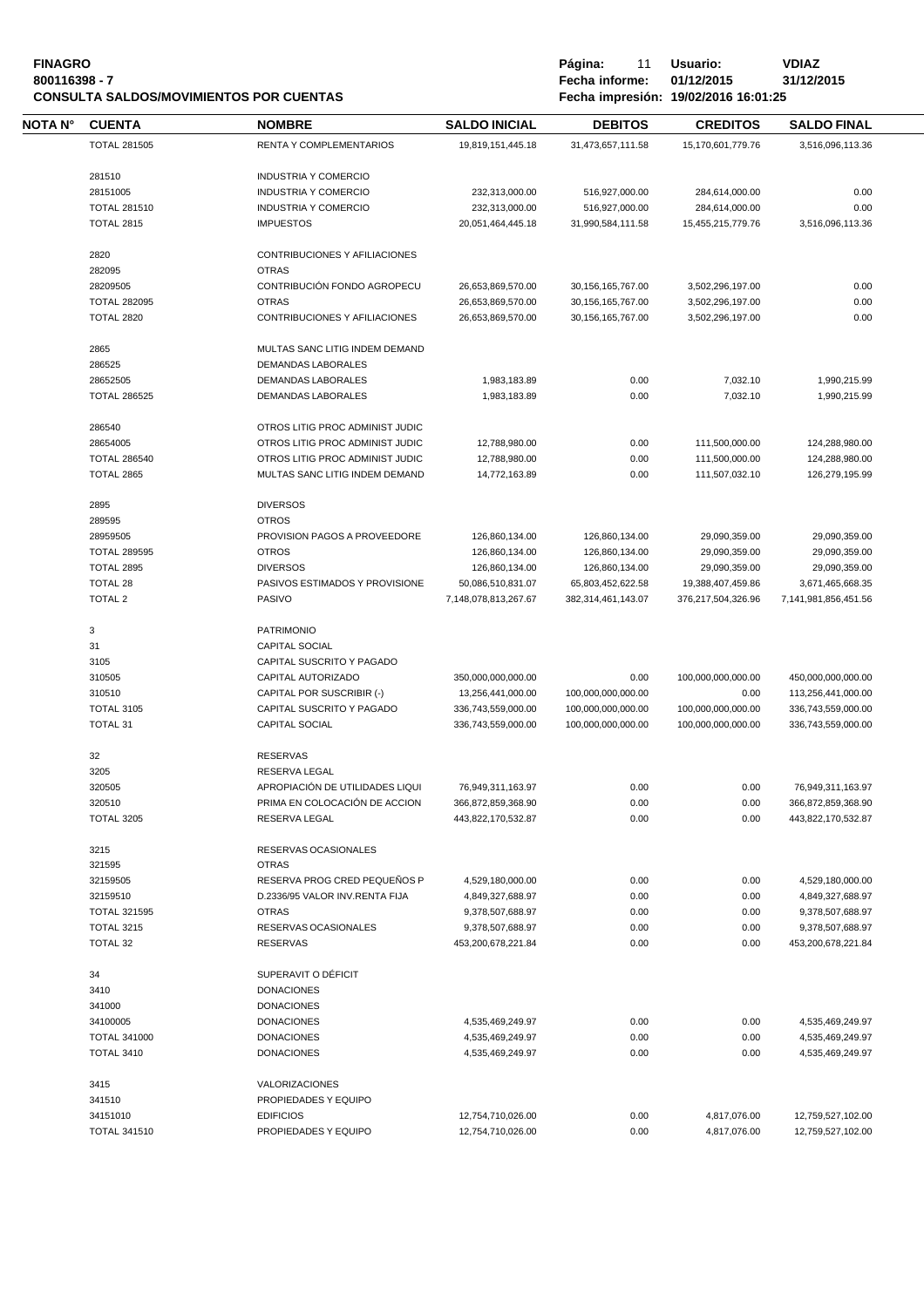| <b>FINAGRO</b>                                 |
|------------------------------------------------|
| 800116398 - 7                                  |
| <b>CONSULTA SALDOS/MOVIMIENTOS POR CUENTAS</b> |

**Página:** 11 **Usuario: <br>Fecha informe: 01/12/2015 31/12/2015 800116398 - 7 Fecha informe: 01/12/2015 31/12/2015 CONSULTA SALDOS/MOVIMIENTOS POR CUENTAS Fecha impresión: 19/02/2016 16:01:25**

| NOTA N° | <b>CUENTA</b>                            | <b>NOMBRE</b>                                   | <b>SALDO INICIAL</b>                | <b>DEBITOS</b>                      | <b>CREDITOS</b>                    | <b>SALDO FINAL</b>             |  |
|---------|------------------------------------------|-------------------------------------------------|-------------------------------------|-------------------------------------|------------------------------------|--------------------------------|--|
|         | <b>TOTAL 281505</b>                      | RENTA Y COMPLEMENTARIOS                         | 19,819,151,445.18                   | 31,473,657,111.58                   | 15,170,601,779.76                  | 3,516,096,113.36               |  |
|         |                                          |                                                 |                                     |                                     |                                    |                                |  |
|         | 281510                                   | <b>INDUSTRIA Y COMERCIO</b>                     |                                     |                                     |                                    |                                |  |
|         | 28151005                                 | <b>INDUSTRIA Y COMERCIO</b>                     | 232,313,000.00                      | 516,927,000.00                      | 284,614,000.00                     | 0.00                           |  |
|         | <b>TOTAL 281510</b><br><b>TOTAL 2815</b> | <b>INDUSTRIA Y COMERCIO</b><br><b>IMPUESTOS</b> | 232,313,000.00                      | 516,927,000.00                      | 284,614,000.00                     | 0.00                           |  |
|         |                                          |                                                 | 20,051,464,445.18                   | 31,990,584,111.58                   | 15,455,215,779.76                  | 3,516,096,113.36               |  |
|         | 2820                                     | CONTRIBUCIONES Y AFILIACIONES                   |                                     |                                     |                                    |                                |  |
|         | 282095                                   | <b>OTRAS</b>                                    |                                     |                                     |                                    |                                |  |
|         | 28209505                                 | CONTRIBUCIÓN FONDO AGROPECU                     | 26,653,869,570.00                   | 30,156,165,767.00                   | 3,502,296,197.00                   | 0.00                           |  |
|         | <b>TOTAL 282095</b>                      | <b>OTRAS</b>                                    | 26,653,869,570.00                   | 30,156,165,767.00                   | 3,502,296,197.00                   | 0.00                           |  |
|         | <b>TOTAL 2820</b>                        | CONTRIBUCIONES Y AFILIACIONES                   | 26,653,869,570.00                   | 30, 156, 165, 767.00                | 3,502,296,197.00                   | 0.00                           |  |
|         | 2865                                     | MULTAS SANC LITIG INDEM DEMAND                  |                                     |                                     |                                    |                                |  |
|         | 286525                                   | DEMANDAS LABORALES                              |                                     |                                     |                                    |                                |  |
|         | 28652505                                 | <b>DEMANDAS LABORALES</b>                       | 1,983,183.89                        | 0.00                                | 7,032.10                           | 1,990,215.99                   |  |
|         | <b>TOTAL 286525</b>                      | DEMANDAS LABORALES                              | 1,983,183.89                        | 0.00                                | 7,032.10                           | 1,990,215.99                   |  |
|         | 286540                                   | OTROS LITIG PROC ADMINIST JUDIC                 |                                     |                                     |                                    |                                |  |
|         | 28654005                                 | OTROS LITIG PROC ADMINIST JUDIC                 | 12,788,980.00                       | 0.00                                | 111,500,000.00                     | 124,288,980.00                 |  |
|         | <b>TOTAL 286540</b>                      | OTROS LITIG PROC ADMINIST JUDIC                 | 12,788,980.00                       | 0.00                                | 111,500,000.00                     | 124,288,980.00                 |  |
|         | TOTAL 2865                               | MULTAS SANC LITIG INDEM DEMAND                  | 14,772,163.89                       | 0.00                                | 111,507,032.10                     | 126,279,195.99                 |  |
|         |                                          |                                                 |                                     |                                     |                                    |                                |  |
|         | 2895                                     | <b>DIVERSOS</b>                                 |                                     |                                     |                                    |                                |  |
|         | 289595                                   | <b>OTROS</b><br>PROVISION PAGOS A PROVEEDORE    |                                     |                                     |                                    |                                |  |
|         | 28959505                                 | <b>OTROS</b>                                    | 126,860,134.00<br>126,860,134.00    | 126,860,134.00                      | 29,090,359.00                      | 29,090,359.00                  |  |
|         | <b>TOTAL 289595</b><br><b>TOTAL 2895</b> | <b>DIVERSOS</b>                                 |                                     | 126,860,134.00                      | 29,090,359.00                      | 29,090,359.00<br>29,090,359.00 |  |
|         | TOTAL 28                                 | PASIVOS ESTIMADOS Y PROVISIONE                  | 126,860,134.00<br>50,086,510,831.07 | 126,860,134.00<br>65,803,452,622.58 | 29,090,359.00<br>19,388,407,459.86 | 3,671,465,668.35               |  |
|         | <b>TOTAL 2</b>                           | <b>PASIVO</b>                                   | 7,148,078,813,267.67                | 382,314,461,143.07                  | 376,217,504,326.96                 | 7,141,981,856,451.56           |  |
|         |                                          |                                                 |                                     |                                     |                                    |                                |  |
|         | 3                                        | <b>PATRIMONIO</b>                               |                                     |                                     |                                    |                                |  |
|         | 31                                       | <b>CAPITAL SOCIAL</b>                           |                                     |                                     |                                    |                                |  |
|         | 3105                                     | CAPITAL SUSCRITO Y PAGADO                       |                                     |                                     |                                    |                                |  |
|         | 310505                                   | CAPITAL AUTORIZADO                              | 350,000,000,000.00                  | 0.00                                | 100,000,000,000.00                 | 450,000,000,000.00             |  |
|         | 310510                                   | CAPITAL POR SUSCRIBIR (-)                       | 13,256,441,000.00                   | 100,000,000,000.00                  | 0.00                               | 113,256,441,000.00             |  |
|         | <b>TOTAL 3105</b>                        | CAPITAL SUSCRITO Y PAGADO                       | 336,743,559,000.00                  | 100,000,000,000.00                  | 100,000,000,000.00                 | 336,743,559,000.00             |  |
|         | <b>TOTAL 31</b>                          | <b>CAPITAL SOCIAL</b>                           | 336,743,559,000.00                  | 100.000.000.000.00                  | 100,000,000,000.00                 | 336,743,559,000.00             |  |
|         | 32                                       | <b>RESERVAS</b>                                 |                                     |                                     |                                    |                                |  |
|         | 3205                                     | <b>RESERVA LEGAL</b>                            |                                     |                                     |                                    |                                |  |
|         | 320505                                   | APROPIACIÓN DE UTILIDADES LIQUI                 | 76,949,311,163.97                   | 0.00                                | 0.00                               | 76.949.311.163.97              |  |
|         | 320510                                   | PRIMA EN COLOCACIÓN DE ACCION                   | 366,872,859,368.90                  | 0.00                                | 0.00                               | 366,872,859,368.90             |  |
|         | TOTAL 3205                               | RESERVA LEGAL                                   | 443,822,170,532.87                  | 0.00                                | 0.00                               | 443,822,170,532.87             |  |
|         | 3215                                     | RESERVAS OCASIONALES                            |                                     |                                     |                                    |                                |  |
|         | 321595                                   | <b>OTRAS</b>                                    |                                     |                                     |                                    |                                |  |
|         | 32159505                                 | RESERVA PROG CRED PEQUEÑOS P                    | 4,529,180,000.00                    | 0.00                                | 0.00                               | 4,529,180,000.00               |  |
|         | 32159510                                 | D.2336/95 VALOR INV.RENTA FIJA                  | 4,849,327,688.97                    | 0.00                                | 0.00                               | 4,849,327,688.97               |  |
|         | <b>TOTAL 321595</b>                      | <b>OTRAS</b>                                    | 9,378,507,688.97                    | 0.00                                | 0.00                               | 9,378,507,688.97               |  |
|         | <b>TOTAL 3215</b>                        | RESERVAS OCASIONALES                            | 9,378,507,688.97                    | 0.00                                | 0.00                               | 9,378,507,688.97               |  |
|         | TOTAL 32                                 | <b>RESERVAS</b>                                 | 453,200,678,221.84                  | 0.00                                | 0.00                               | 453,200,678,221.84             |  |
|         | 34                                       | SUPERAVIT O DÉFICIT                             |                                     |                                     |                                    |                                |  |
|         | 3410                                     | <b>DONACIONES</b>                               |                                     |                                     |                                    |                                |  |
|         | 341000                                   | <b>DONACIONES</b>                               |                                     |                                     |                                    |                                |  |
|         | 34100005                                 | <b>DONACIONES</b>                               | 4,535,469,249.97                    | 0.00                                | 0.00                               | 4,535,469,249.97               |  |
|         | <b>TOTAL 341000</b>                      | <b>DONACIONES</b>                               | 4,535,469,249.97                    | 0.00                                | 0.00                               | 4,535,469,249.97               |  |
|         | <b>TOTAL 3410</b>                        | <b>DONACIONES</b>                               | 4,535,469,249.97                    | 0.00                                | 0.00                               | 4,535,469,249.97               |  |
|         | 3415                                     | <b>VALORIZACIONES</b>                           |                                     |                                     |                                    |                                |  |
|         | 341510                                   | PROPIEDADES Y EQUIPO                            |                                     |                                     |                                    |                                |  |
|         | 34151010                                 | <b>EDIFICIOS</b>                                | 12,754,710,026.00                   | 0.00                                | 4,817,076.00                       | 12,759,527,102.00              |  |
|         | <b>TOTAL 341510</b>                      | PROPIEDADES Y EQUIPO                            | 12,754,710,026.00                   | 0.00                                | 4,817,076.00                       | 12,759,527,102.00              |  |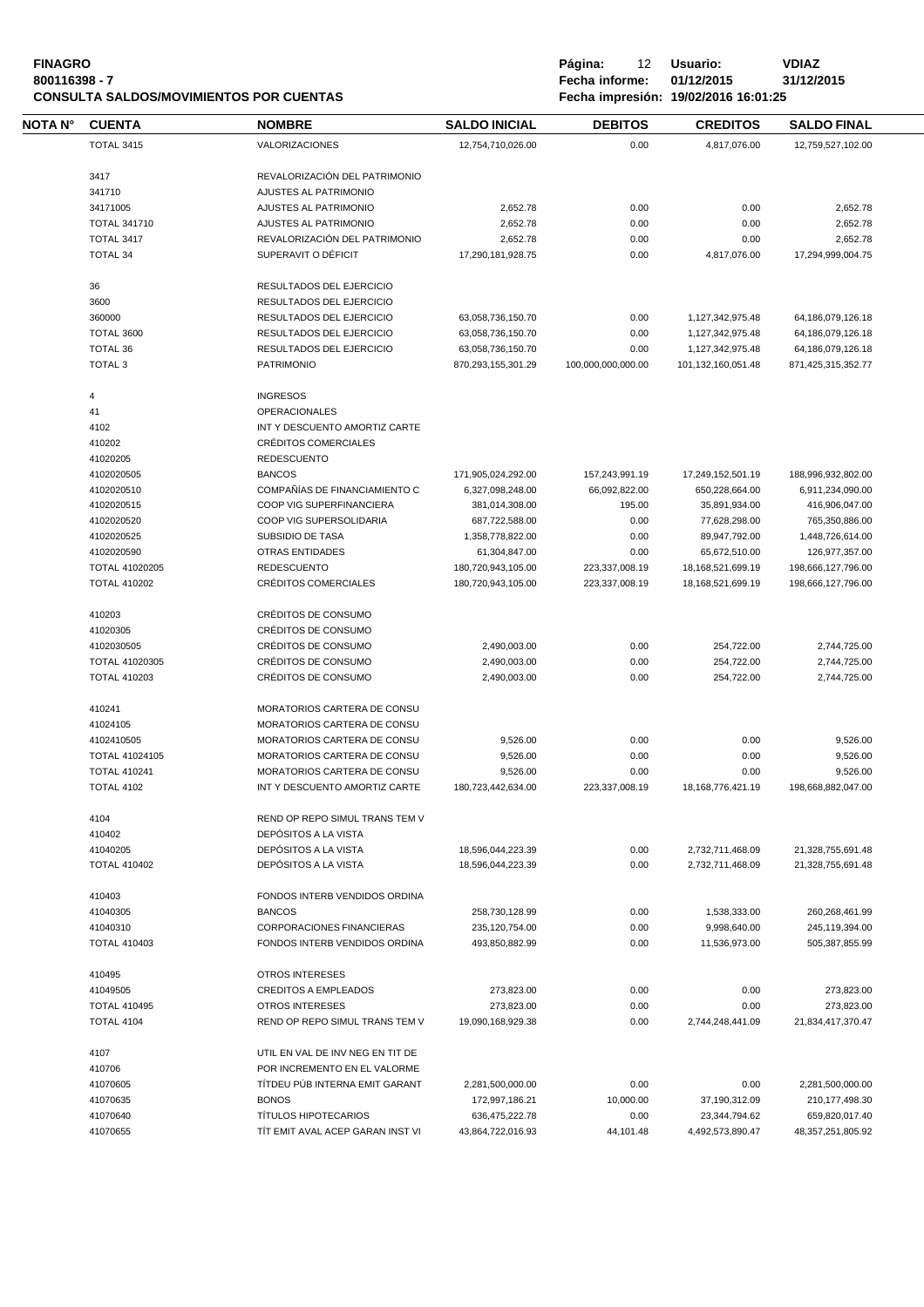| <b>FINAGRO</b><br>800116398 - 7 |                                 | <b>CONSULTA SALDOS/MOVIMIENTOS POR CUENTAS</b> |                                        | Página:<br>12<br>Fecha informe:<br>Fecha impresión: 19/02/2016 16:01:25 | Usuario:<br>01/12/2015               | <b>VDIAZ</b><br>31/12/2015             |  |
|---------------------------------|---------------------------------|------------------------------------------------|----------------------------------------|-------------------------------------------------------------------------|--------------------------------------|----------------------------------------|--|
| NOTA N°                         | <b>CUENTA</b>                   | <b>NOMBRE</b>                                  | <b>SALDO INICIAL</b>                   | <b>DEBITOS</b>                                                          | <b>CREDITOS</b>                      | <b>SALDO FINAL</b>                     |  |
|                                 | <b>TOTAL 3415</b>               | <b>VALORIZACIONES</b>                          | 12,754,710,026.00                      | 0.00                                                                    | 4,817,076.00                         | 12,759,527,102.00                      |  |
|                                 | 3417                            | REVALORIZACIÓN DEL PATRIMONIO                  |                                        |                                                                         |                                      |                                        |  |
|                                 |                                 |                                                |                                        |                                                                         |                                      |                                        |  |
|                                 | 341710                          | AJUSTES AL PATRIMONIO                          |                                        |                                                                         |                                      |                                        |  |
|                                 | 34171005                        | AJUSTES AL PATRIMONIO                          | 2,652.78                               | 0.00                                                                    | 0.00                                 | 2,652.78                               |  |
|                                 | <b>TOTAL 341710</b>             | AJUSTES AL PATRIMONIO                          | 2,652.78                               | 0.00                                                                    | 0.00                                 | 2,652.78                               |  |
|                                 | TOTAL 3417                      | REVALORIZACIÓN DEL PATRIMONIO                  | 2,652.78                               | 0.00                                                                    | 0.00                                 | 2,652.78                               |  |
|                                 | <b>TOTAL 34</b>                 | SUPERAVIT O DÉFICIT                            | 17,290,181,928.75                      | 0.00                                                                    | 4,817,076.00                         | 17,294,999,004.75                      |  |
|                                 | 36                              | RESULTADOS DEL EJERCICIO                       |                                        |                                                                         |                                      |                                        |  |
|                                 | 3600                            | RESULTADOS DEL EJERCICIO                       |                                        |                                                                         |                                      |                                        |  |
|                                 | 360000                          | RESULTADOS DEL EJERCICIO                       | 63,058,736,150.70                      | 0.00                                                                    | 1,127,342,975.48                     | 64,186,079,126.18                      |  |
|                                 | <b>TOTAL 3600</b>               | RESULTADOS DEL EJERCICIO                       | 63,058,736,150.70                      | 0.00                                                                    | 1,127,342,975.48                     | 64,186,079,126.18                      |  |
|                                 | <b>TOTAL 36</b>                 | RESULTADOS DEL EJERCICIO                       | 63,058,736,150.70                      | 0.00                                                                    | 1,127,342,975.48                     | 64,186,079,126.18                      |  |
|                                 | TOTAL <sub>3</sub>              | <b>PATRIMONIO</b>                              | 870,293,155,301.29                     | 100,000,000,000.00                                                      | 101,132,160,051.48                   | 871,425,315,352.77                     |  |
|                                 |                                 |                                                |                                        |                                                                         |                                      |                                        |  |
|                                 | 4<br>41                         | <b>INGRESOS</b><br><b>OPERACIONALES</b>        |                                        |                                                                         |                                      |                                        |  |
|                                 | 4102                            | INT Y DESCUENTO AMORTIZ CARTE                  |                                        |                                                                         |                                      |                                        |  |
|                                 |                                 | <b>CRÉDITOS COMERCIALES</b>                    |                                        |                                                                         |                                      |                                        |  |
|                                 | 410202                          |                                                |                                        |                                                                         |                                      |                                        |  |
|                                 | 41020205                        | <b>REDESCUENTO</b>                             |                                        |                                                                         |                                      |                                        |  |
|                                 | 4102020505                      | <b>BANCOS</b>                                  | 171,905,024,292.00                     | 157,243,991.19                                                          | 17,249,152,501.19                    | 188,996,932,802.00                     |  |
|                                 | 4102020510                      | COMPAÑÍAS DE FINANCIAMIENTO C                  | 6,327,098,248.00                       | 66,092,822.00                                                           | 650,228,664.00                       | 6,911,234,090.00                       |  |
|                                 | 4102020515                      | COOP VIG SUPERFINANCIERA                       | 381,014,308.00                         | 195.00                                                                  | 35,891,934.00                        | 416,906,047.00                         |  |
|                                 | 4102020520                      | COOP VIG SUPERSOLIDARIA                        | 687,722,588.00                         | 0.00                                                                    | 77,628,298.00                        | 765,350,886.00                         |  |
|                                 | 4102020525                      | SUBSIDIO DE TASA                               | 1,358,778,822.00                       | 0.00                                                                    | 89,947,792.00                        | 1,448,726,614.00                       |  |
|                                 | 4102020590                      | <b>OTRAS ENTIDADES</b>                         | 61,304,847.00                          | 0.00                                                                    | 65,672,510.00                        | 126,977,357.00                         |  |
|                                 | TOTAL 41020205                  | <b>REDESCUENTO</b>                             | 180,720,943,105.00                     | 223,337,008.19                                                          | 18,168,521,699.19                    | 198,666,127,796.00                     |  |
|                                 | <b>TOTAL 410202</b>             | CRÉDITOS COMERCIALES                           | 180,720,943,105.00                     | 223,337,008.19                                                          | 18,168,521,699.19                    | 198,666,127,796.00                     |  |
|                                 | 410203                          | CRÉDITOS DE CONSUMO                            |                                        |                                                                         |                                      |                                        |  |
|                                 | 41020305                        | CRÉDITOS DE CONSUMO                            |                                        |                                                                         |                                      |                                        |  |
|                                 |                                 |                                                |                                        |                                                                         |                                      |                                        |  |
|                                 | 4102030505                      | CRÉDITOS DE CONSUMO                            | 2,490,003.00                           | 0.00                                                                    | 254,722.00                           | 2,744,725.00                           |  |
|                                 | <b>TOTAL 41020305</b>           | <b>CRÉDITOS DE CONSUMO</b>                     | 2,490,003.00                           | 0.00                                                                    | 254,722.00                           | 2,744,725.00                           |  |
|                                 | <b>TOTAL 410203</b>             | CRÉDITOS DE CONSUMO                            | 2,490,003.00                           | 0.00                                                                    | 254,722.00                           | 2,744,725.00                           |  |
|                                 | 410241                          | MORATORIOS CARTERA DE CONSU                    |                                        |                                                                         |                                      |                                        |  |
|                                 | 41024105                        | MORATORIOS CARTERA DE CONSU                    |                                        |                                                                         |                                      |                                        |  |
|                                 | 4102410505                      | MORATORIOS CARTERA DE CONSU                    | 9,526.00                               | 0.00                                                                    | 0.00                                 | 9.526.00                               |  |
|                                 | TOTAL 41024105                  | MORATORIOS CARTERA DE CONSU                    | 9,526.00                               | 0.00                                                                    | 0.00                                 | 9,526.00                               |  |
|                                 | <b>TOTAL 410241</b>             | MORATORIOS CARTERA DE CONSU                    | 9,526.00                               | 0.00                                                                    | 0.00                                 | 9,526.00                               |  |
|                                 | <b>TOTAL 4102</b>               | INT Y DESCUENTO AMORTIZ CARTE                  | 180,723,442,634.00                     | 223,337,008.19                                                          | 18, 168, 776, 421. 19                | 198,668,882,047.00                     |  |
|                                 | 4104                            | REND OP REPO SIMUL TRANS TEM V                 |                                        |                                                                         |                                      |                                        |  |
|                                 | 410402                          | DEPÓSITOS A LA VISTA                           |                                        |                                                                         |                                      |                                        |  |
|                                 |                                 |                                                |                                        |                                                                         |                                      |                                        |  |
|                                 | 41040205<br><b>TOTAL 410402</b> | DEPÓSITOS A LA VISTA<br>DEPÓSITOS A LA VISTA   | 18,596,044,223.39<br>18,596,044,223.39 | 0.00<br>0.00                                                            | 2,732,711,468.09<br>2,732,711,468.09 | 21,328,755,691.48<br>21,328,755,691.48 |  |
|                                 |                                 |                                                |                                        |                                                                         |                                      |                                        |  |
|                                 | 410403                          | FONDOS INTERB VENDIDOS ORDINA                  |                                        |                                                                         |                                      |                                        |  |
|                                 | 41040305                        | <b>BANCOS</b>                                  | 258,730,128.99                         | 0.00                                                                    | 1,538,333.00                         | 260,268,461.99                         |  |
|                                 | 41040310                        | <b>CORPORACIONES FINANCIERAS</b>               | 235,120,754.00                         | 0.00                                                                    | 9,998,640.00                         | 245,119,394.00                         |  |
|                                 | <b>TOTAL 410403</b>             | FONDOS INTERB VENDIDOS ORDINA                  | 493,850,882.99                         | 0.00                                                                    | 11,536,973.00                        | 505,387,855.99                         |  |
|                                 | 410495                          | OTROS INTERESES                                |                                        |                                                                         |                                      |                                        |  |
|                                 | 41049505                        | <b>CREDITOS A EMPLEADOS</b>                    | 273,823.00                             | 0.00                                                                    | 0.00                                 | 273,823.00                             |  |
|                                 | <b>TOTAL 410495</b>             | <b>OTROS INTERESES</b>                         | 273,823.00                             | 0.00                                                                    | 0.00                                 | 273,823.00                             |  |
|                                 | TOTAL 4104                      | REND OP REPO SIMUL TRANS TEM V                 | 19,090,168,929.38                      | 0.00                                                                    | 2,744,248,441.09                     | 21,834,417,370.47                      |  |
|                                 |                                 |                                                |                                        |                                                                         |                                      |                                        |  |
|                                 | 4107                            | UTIL EN VAL DE INV NEG EN TIT DE               |                                        |                                                                         |                                      |                                        |  |
|                                 | 410706                          | POR INCREMENTO EN EL VALORME                   |                                        |                                                                         |                                      |                                        |  |
|                                 | 41070605                        | TÍTDEU PÚB INTERNA EMIT GARANT                 | 2,281,500,000.00                       | 0.00                                                                    | 0.00                                 | 2,281,500,000.00                       |  |
|                                 | 41070635                        | <b>BONOS</b>                                   | 172,997,186.21                         | 10,000.00                                                               | 37,190,312.09                        | 210,177,498.30                         |  |
|                                 | 41070640                        | <b>TÍTULOS HIPOTECARIOS</b>                    | 636,475,222.78                         | 0.00                                                                    | 23,344,794.62                        | 659,820,017.40                         |  |
|                                 | 41070655                        | TIT EMIT AVAL ACEP GARAN INST VI               | 43,864,722,016.93                      | 44,101.48                                                               | 4,492,573,890.47                     | 48, 357, 251, 805. 92                  |  |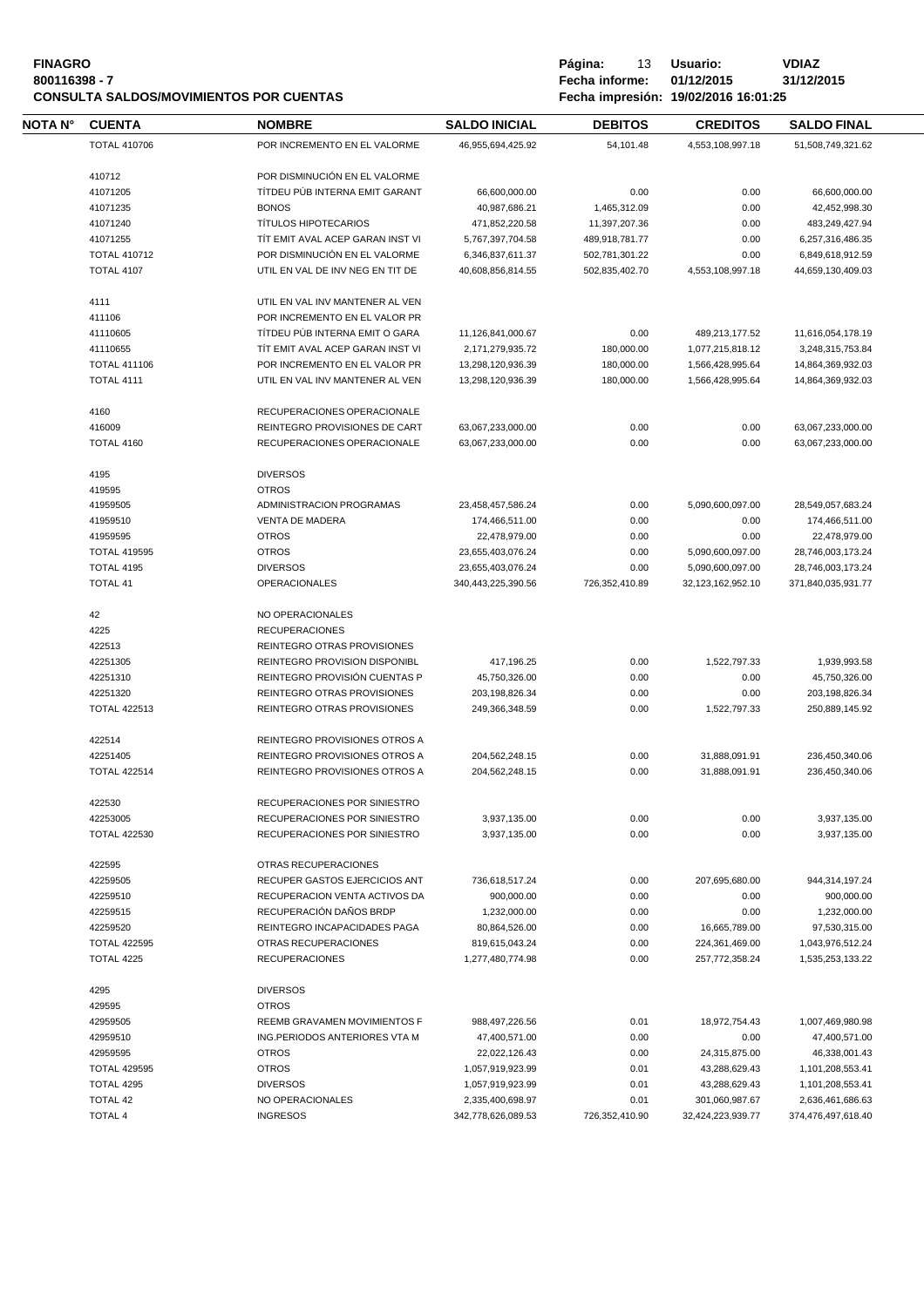# **FINAGRO P á g i n a :** 13 **U s u a r i o : VDIAZ CONSULTA SALDOS/MOVIMIENTOS POR CUENTAS**

**800011639**<br>**8111669 - Fecha informe:** 01/12/2015<br>**811169 - 812/12/2016** 16:01:25

| NOTA N° | <b>CUENTA</b>       | <b>NOMBRE</b>                    | <b>SALDO INICIAL</b> | <b>DEBITOS</b> | <b>CREDITOS</b>   | <b>SALDO FINAL</b> |  |
|---------|---------------------|----------------------------------|----------------------|----------------|-------------------|--------------------|--|
|         | <b>TOTAL 410706</b> | POR INCREMENTO EN EL VALORME     | 46,955,694,425.92    | 54,101.48      | 4,553,108,997.18  | 51,508,749,321.62  |  |
|         |                     |                                  |                      |                |                   |                    |  |
|         | 410712              | POR DISMINUCIÓN EN EL VALORME    |                      |                |                   |                    |  |
|         | 41071205            | TÍTDEU PÚB INTERNA EMIT GARANT   | 66,600,000.00        | 0.00           | 0.00              | 66,600,000.00      |  |
|         | 41071235            | <b>BONOS</b>                     | 40,987,686.21        | 1,465,312.09   | 0.00              | 42,452,998.30      |  |
|         | 41071240            | <b>TÍTULOS HIPOTECARIOS</b>      | 471,852,220.58       | 11,397,207.36  | 0.00              | 483,249,427.94     |  |
|         | 41071255            | TIT EMIT AVAL ACEP GARAN INST VI | 5,767,397,704.58     | 489,918,781.77 | 0.00              | 6,257,316,486.35   |  |
|         | <b>TOTAL 410712</b> | POR DISMINUCIÓN EN EL VALORME    | 6,346,837,611.37     | 502,781,301.22 | 0.00              | 6,849,618,912.59   |  |
|         | <b>TOTAL 4107</b>   | UTIL EN VAL DE INV NEG EN TIT DE | 40,608,856,814.55    | 502,835,402.70 | 4,553,108,997.18  | 44,659,130,409.03  |  |
|         | 4111                | UTIL EN VAL INV MANTENER AL VEN  |                      |                |                   |                    |  |
|         | 411106              | POR INCREMENTO EN EL VALOR PR    |                      |                |                   |                    |  |
|         | 41110605            | TÍTDEU PÚB INTERNA EMIT O GARA   | 11,126,841,000.67    | 0.00           | 489,213,177.52    | 11,616,054,178.19  |  |
|         | 41110655            | TIT EMIT AVAL ACEP GARAN INST VI | 2,171,279,935.72     | 180,000.00     | 1,077,215,818.12  | 3,248,315,753.84   |  |
|         | <b>TOTAL 411106</b> | POR INCREMENTO EN EL VALOR PR    | 13,298,120,936.39    | 180,000.00     | 1,566,428,995.64  | 14,864,369,932.03  |  |
|         | <b>TOTAL 4111</b>   | UTIL EN VAL INV MANTENER AL VEN  | 13,298,120,936.39    | 180,000.00     | 1,566,428,995.64  | 14,864,369,932.03  |  |
|         |                     |                                  |                      |                |                   |                    |  |
|         | 4160                | RECUPERACIONES OPERACIONALE      |                      |                |                   |                    |  |
|         | 416009              | REINTEGRO PROVISIONES DE CART    | 63,067,233,000.00    | 0.00           | 0.00              | 63,067,233,000.00  |  |
|         | TOTAL 4160          | RECUPERACIONES OPERACIONALE      | 63,067,233,000.00    | 0.00           | 0.00              | 63,067,233,000.00  |  |
|         | 4195                | <b>DIVERSOS</b>                  |                      |                |                   |                    |  |
|         | 419595              | <b>OTROS</b>                     |                      |                |                   |                    |  |
|         | 41959505            | ADMINISTRACION PROGRAMAS         |                      |                |                   |                    |  |
|         |                     |                                  | 23,458,457,586.24    | 0.00           | 5,090,600,097.00  | 28,549,057,683.24  |  |
|         | 41959510            | <b>VENTA DE MADERA</b>           | 174,466,511.00       | 0.00           | 0.00              | 174,466,511.00     |  |
|         | 41959595            | <b>OTROS</b>                     | 22,478,979.00        | 0.00           | 0.00              | 22,478,979.00      |  |
|         | <b>TOTAL 419595</b> | <b>OTROS</b>                     | 23,655,403,076.24    | 0.00           | 5,090,600,097.00  | 28,746,003,173.24  |  |
|         | <b>TOTAL 4195</b>   | <b>DIVERSOS</b>                  | 23,655,403,076.24    | 0.00           | 5,090,600,097.00  | 28,746,003,173.24  |  |
|         | <b>TOTAL 41</b>     | <b>OPERACIONALES</b>             | 340,443,225,390.56   | 726,352,410.89 | 32,123,162,952.10 | 371,840,035,931.77 |  |
|         | 42                  | NO OPERACIONALES                 |                      |                |                   |                    |  |
|         | 4225                | <b>RECUPERACIONES</b>            |                      |                |                   |                    |  |
|         | 422513              | REINTEGRO OTRAS PROVISIONES      |                      |                |                   |                    |  |
|         | 42251305            | REINTEGRO PROVISION DISPONIBL    | 417,196.25           | 0.00           | 1,522,797.33      | 1,939,993.58       |  |
|         | 42251310            | REINTEGRO PROVISIÓN CUENTAS P    | 45,750,326.00        | 0.00           | 0.00              | 45,750,326.00      |  |
|         | 42251320            | REINTEGRO OTRAS PROVISIONES      | 203, 198, 826.34     | 0.00           | 0.00              | 203,198,826.34     |  |
|         | <b>TOTAL 422513</b> | REINTEGRO OTRAS PROVISIONES      | 249,366,348.59       | 0.00           | 1,522,797.33      | 250,889,145.92     |  |
|         |                     |                                  |                      |                |                   |                    |  |
|         | 422514              | REINTEGRO PROVISIONES OTROS A    |                      |                |                   |                    |  |
|         | 42251405            | REINTEGRO PROVISIONES OTROS A    | 204,562,248.15       | 0.00           | 31,888,091.91     | 236,450,340.06     |  |
|         | <b>TOTAL 422514</b> | REINTEGRO PROVISIONES OTROS A    | 204,562,248.15       | 0.00           | 31,888,091.91     | 236,450,340.06     |  |
|         | 422530              | RECUPERACIONES POR SINIESTRO     |                      |                |                   |                    |  |
|         | 42253005            | RECUPERACIONES POR SINIESTRO     | 3,937,135.00         | 0.00           | 0.00              | 3,937,135.00       |  |
|         | <b>TOTAL 422530</b> | RECUPERACIONES POR SINIESTRO     | 3,937,135.00         | 0.00           | 0.00              | 3,937,135.00       |  |
|         |                     |                                  |                      |                |                   |                    |  |
|         | 422595              | OTRAS RECUPERACIONES             |                      |                |                   |                    |  |
|         | 42259505            | RECUPER GASTOS EJERCICIOS ANT    | 736,618,517.24       | 0.00           | 207,695,680.00    | 944,314,197.24     |  |
|         | 42259510            | RECUPERACION VENTA ACTIVOS DA    | 900,000.00           | 0.00           | 0.00              | 900,000.00         |  |
|         | 42259515            | RECUPERACIÓN DAÑOS BRDP          | 1,232,000.00         | 0.00           | 0.00              | 1,232,000.00       |  |
|         | 42259520            | REINTEGRO INCAPACIDADES PAGA     | 80,864,526.00        | 0.00           | 16,665,789.00     | 97,530,315.00      |  |
|         | <b>TOTAL 422595</b> | OTRAS RECUPERACIONES             | 819,615,043.24       | 0.00           | 224,361,469.00    | 1,043,976,512.24   |  |
|         | TOTAL 4225          | <b>RECUPERACIONES</b>            | 1,277,480,774.98     | 0.00           | 257,772,358.24    | 1,535,253,133.22   |  |
|         | 4295                | <b>DIVERSOS</b>                  |                      |                |                   |                    |  |
|         | 429595              | <b>OTROS</b>                     |                      |                |                   |                    |  |
|         | 42959505            | REEMB GRAVAMEN MOVIMIENTOS F     | 988,497,226.56       | 0.01           | 18,972,754.43     | 1,007,469,980.98   |  |
|         | 42959510            | ING.PERIODOS ANTERIORES VTA M    | 47,400,571.00        | 0.00           | 0.00              | 47,400,571.00      |  |
|         | 42959595            | <b>OTROS</b>                     | 22,022,126.43        | 0.00           | 24,315,875.00     | 46,338,001.43      |  |
|         | <b>TOTAL 429595</b> | <b>OTROS</b>                     | 1,057,919,923.99     | 0.01           | 43,288,629.43     | 1,101,208,553.41   |  |
|         | TOTAL 4295          | <b>DIVERSOS</b>                  | 1,057,919,923.99     | 0.01           | 43,288,629.43     | 1,101,208,553.41   |  |
|         | <b>TOTAL 42</b>     | NO OPERACIONALES                 | 2,335,400,698.97     | 0.01           | 301,060,987.67    | 2,636,461,686.63   |  |
|         | <b>TOTAL 4</b>      | <b>INGRESOS</b>                  | 342,778,626,089.53   | 726,352,410.90 | 32,424,223,939.77 | 374,476,497,618.40 |  |
|         |                     |                                  |                      |                |                   |                    |  |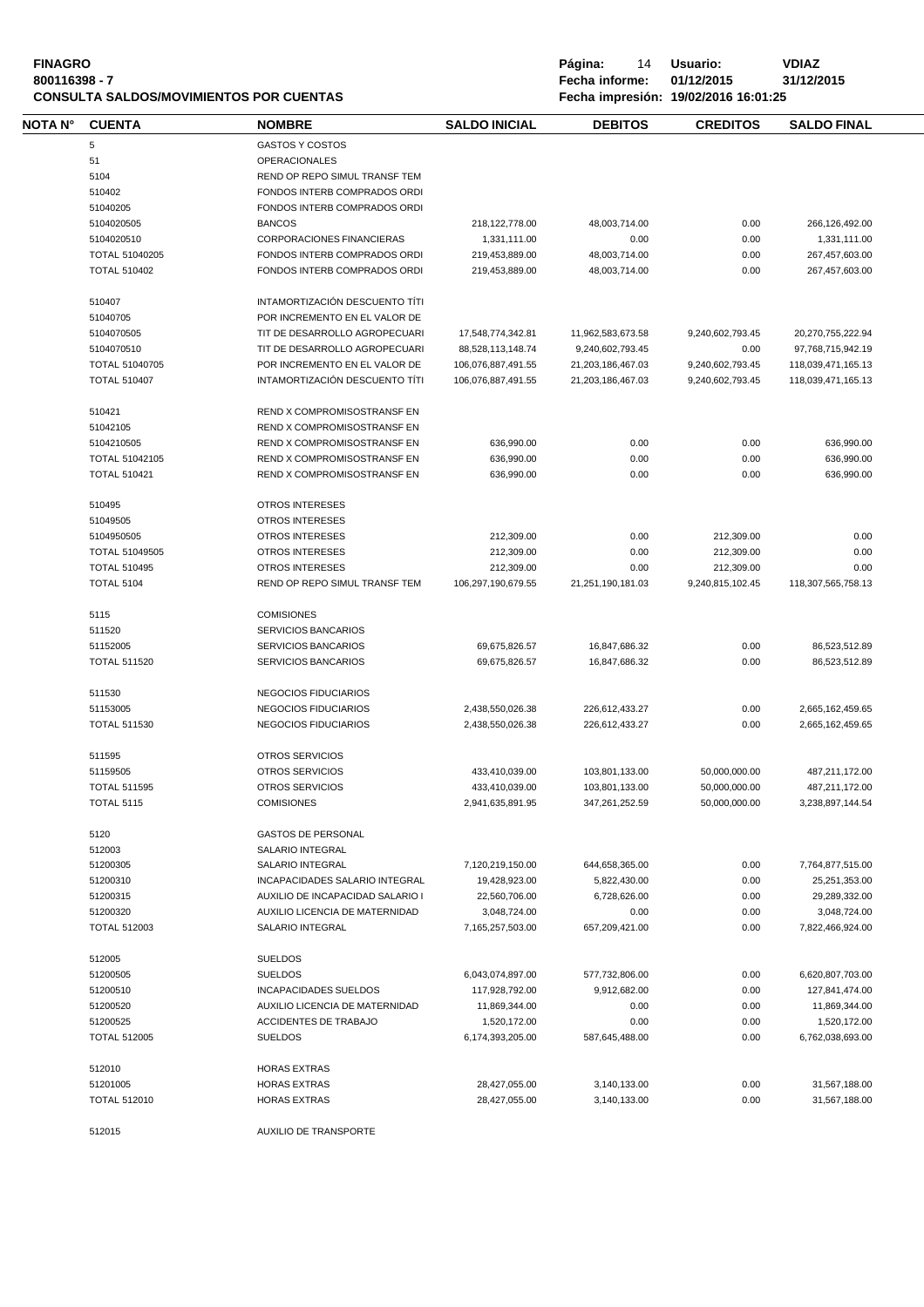| <b>FINAGRO</b>                          | Página:        | 14 | Usuario:                             | VDIAZ      |
|-----------------------------------------|----------------|----|--------------------------------------|------------|
| 800116398 - 7                           | Fecha informe: |    | 01/12/2015                           | 31/12/2015 |
| CONSULTA SALDOS/MOVIMIENTOS POR CUENTAS |                |    | Fecha impresión: 19/02/2016 16:01:25 |            |

| NOTA N° | <b>CUENTA</b>                            | <b>NOMBRE</b>                                   | <b>SALDO INICIAL</b> | <b>DEBITOS</b>    | <b>CREDITOS</b>  | <b>SALDO FINAL</b> |  |
|---------|------------------------------------------|-------------------------------------------------|----------------------|-------------------|------------------|--------------------|--|
|         | 5                                        | <b>GASTOS Y COSTOS</b>                          |                      |                   |                  |                    |  |
|         | 51                                       | <b>OPERACIONALES</b>                            |                      |                   |                  |                    |  |
|         | 5104                                     | REND OP REPO SIMUL TRANSF TEM                   |                      |                   |                  |                    |  |
|         | 510402                                   | FONDOS INTERB COMPRADOS ORDI                    |                      |                   |                  |                    |  |
|         | 51040205                                 | FONDOS INTERB COMPRADOS ORDI                    |                      |                   |                  |                    |  |
|         | 5104020505                               | <b>BANCOS</b>                                   | 218, 122, 778.00     | 48,003,714.00     | 0.00             | 266,126,492.00     |  |
|         | 5104020510                               | CORPORACIONES FINANCIERAS                       | 1,331,111.00         | 0.00              | 0.00             | 1,331,111.00       |  |
|         | TOTAL 51040205                           | FONDOS INTERB COMPRADOS ORDI                    | 219,453,889.00       | 48,003,714.00     | 0.00             | 267,457,603.00     |  |
|         | <b>TOTAL 510402</b>                      | FONDOS INTERB COMPRADOS ORDI                    | 219,453,889.00       | 48.003.714.00     | 0.00             | 267,457,603.00     |  |
|         | 510407                                   | INTAMORTIZACIÓN DESCUENTO TÍTI                  |                      |                   |                  |                    |  |
|         | 51040705                                 | POR INCREMENTO EN EL VALOR DE                   |                      |                   |                  |                    |  |
|         | 5104070505                               | TIT DE DESARROLLO AGROPECUARI                   | 17,548,774,342.81    | 11,962,583,673.58 | 9,240,602,793.45 | 20,270,755,222.94  |  |
|         | 5104070510                               | TIT DE DESARROLLO AGROPECUARI                   | 88,528,113,148.74    | 9,240,602,793.45  | 0.00             | 97,768,715,942.19  |  |
|         | TOTAL 51040705                           | POR INCREMENTO EN EL VALOR DE                   | 106,076,887,491.55   | 21,203,186,467.03 | 9,240,602,793.45 | 118,039,471,165.13 |  |
|         | <b>TOTAL 510407</b>                      | INTAMORTIZACIÓN DESCUENTO TÍTI                  | 106,076,887,491.55   | 21,203,186,467.03 | 9,240,602,793.45 | 118,039,471,165.13 |  |
|         | 510421                                   | REND X COMPROMISOSTRANSF EN                     |                      |                   |                  |                    |  |
|         | 51042105                                 | REND X COMPROMISOSTRANSF EN                     |                      |                   |                  |                    |  |
|         | 5104210505                               | REND X COMPROMISOSTRANSF EN                     | 636,990.00           | 0.00              | 0.00             | 636,990.00         |  |
|         | TOTAL 51042105                           | REND X COMPROMISOSTRANSF EN                     | 636,990.00           | 0.00              | 0.00             | 636,990.00         |  |
|         | <b>TOTAL 510421</b>                      | REND X COMPROMISOSTRANSF EN                     | 636,990.00           | 0.00              | 0.00             | 636,990.00         |  |
|         | 510495                                   | OTROS INTERESES                                 |                      |                   |                  |                    |  |
|         | 51049505                                 | <b>OTROS INTERESES</b>                          |                      |                   |                  |                    |  |
|         | 5104950505                               | <b>OTROS INTERESES</b>                          | 212,309.00           | 0.00              | 212,309.00       | 0.00               |  |
|         | TOTAL 51049505                           | <b>OTROS INTERESES</b>                          | 212,309.00           | 0.00              | 212,309.00       | 0.00               |  |
|         | <b>TOTAL 510495</b>                      | OTROS INTERESES                                 | 212,309.00           | 0.00              | 212,309.00       | 0.00               |  |
|         | <b>TOTAL 5104</b>                        | REND OP REPO SIMUL TRANSF TEM                   | 106,297,190,679.55   | 21,251,190,181.03 | 9,240,815,102.45 | 118,307,565,758.13 |  |
|         |                                          |                                                 |                      |                   |                  |                    |  |
|         | 5115<br>511520                           | <b>COMISIONES</b><br><b>SERVICIOS BANCARIOS</b> |                      |                   |                  |                    |  |
|         | 51152005                                 | SERVICIOS BANCARIOS                             | 69,675,826.57        | 16,847,686.32     | 0.00             | 86,523,512.89      |  |
|         | <b>TOTAL 511520</b>                      | <b>SERVICIOS BANCARIOS</b>                      | 69,675,826.57        | 16,847,686.32     | 0.00             | 86,523,512.89      |  |
|         | 511530                                   | NEGOCIOS FIDUCIARIOS                            |                      |                   |                  |                    |  |
|         | 51153005                                 | NEGOCIOS FIDUCIARIOS                            | 2,438,550,026.38     | 226,612,433.27    | 0.00             | 2,665,162,459.65   |  |
|         | <b>TOTAL 511530</b>                      | NEGOCIOS FIDUCIARIOS                            | 2,438,550,026.38     | 226,612,433.27    | 0.00             | 2,665,162,459.65   |  |
|         |                                          |                                                 |                      |                   |                  |                    |  |
|         | 511595<br>51159505                       | OTROS SERVICIOS<br>OTROS SERVICIOS              | 433,410,039.00       | 103,801,133.00    | 50,000,000.00    | 487,211,172.00     |  |
|         |                                          | OTROS SERVICIOS                                 | 433,410,039.00       | 103,801,133.00    | 50,000,000.00    | 487,211,172.00     |  |
|         | <b>TOTAL 511595</b><br><b>TOTAL 5115</b> | <b>COMISIONES</b>                               | 2,941,635,891.95     | 347,261,252.59    | 50,000,000.00    | 3,238,897,144.54   |  |
|         |                                          |                                                 |                      |                   |                  |                    |  |
|         | 5120                                     | <b>GASTOS DE PERSONAL</b>                       |                      |                   |                  |                    |  |
|         | 512003                                   | <b>SALARIO INTEGRAL</b>                         |                      |                   |                  |                    |  |
|         | 51200305                                 | SALARIO INTEGRAL                                | 7,120,219,150.00     | 644,658,365.00    | 0.00             | 7,764,877,515.00   |  |
|         | 51200310                                 | INCAPACIDADES SALARIO INTEGRAL                  | 19,428,923.00        | 5,822,430.00      | 0.00             | 25,251,353.00      |  |
|         | 51200315                                 | AUXILIO DE INCAPACIDAD SALARIO I                | 22,560,706.00        | 6,728,626.00      | 0.00             | 29,289,332.00      |  |
|         | 51200320                                 | AUXILIO LICENCIA DE MATERNIDAD                  | 3,048,724.00         | 0.00              | 0.00             | 3,048,724.00       |  |
|         | <b>TOTAL 512003</b>                      | SALARIO INTEGRAL                                | 7,165,257,503.00     | 657,209,421.00    | 0.00             | 7,822,466,924.00   |  |
|         | 512005                                   | <b>SUELDOS</b>                                  |                      |                   |                  |                    |  |
|         | 51200505                                 | <b>SUELDOS</b>                                  | 6,043,074,897.00     | 577,732,806.00    | 0.00             | 6,620,807,703.00   |  |
|         | 51200510                                 | INCAPACIDADES SUELDOS                           | 117,928,792.00       | 9,912,682.00      | 0.00             | 127,841,474.00     |  |
|         | 51200520                                 | AUXILIO LICENCIA DE MATERNIDAD                  | 11,869,344.00        | 0.00              | 0.00             | 11,869,344.00      |  |
|         | 51200525                                 | <b>ACCIDENTES DE TRABAJO</b>                    | 1,520,172.00         | 0.00              | 0.00             | 1,520,172.00       |  |
|         | <b>TOTAL 512005</b>                      | <b>SUELDOS</b>                                  | 6,174,393,205.00     | 587,645,488.00    | 0.00             | 6,762,038,693.00   |  |
|         | 512010                                   | <b>HORAS EXTRAS</b>                             |                      |                   |                  |                    |  |
|         | 51201005                                 | <b>HORAS EXTRAS</b>                             | 28,427,055.00        | 3,140,133.00      | 0.00             | 31,567,188.00      |  |
|         | <b>TOTAL 512010</b>                      | <b>HORAS EXTRAS</b>                             | 28,427,055.00        | 3,140,133.00      | 0.00             | 31,567,188.00      |  |
|         | 512015                                   | AUXILIO DE TRANSPORTE                           |                      |                   |                  |                    |  |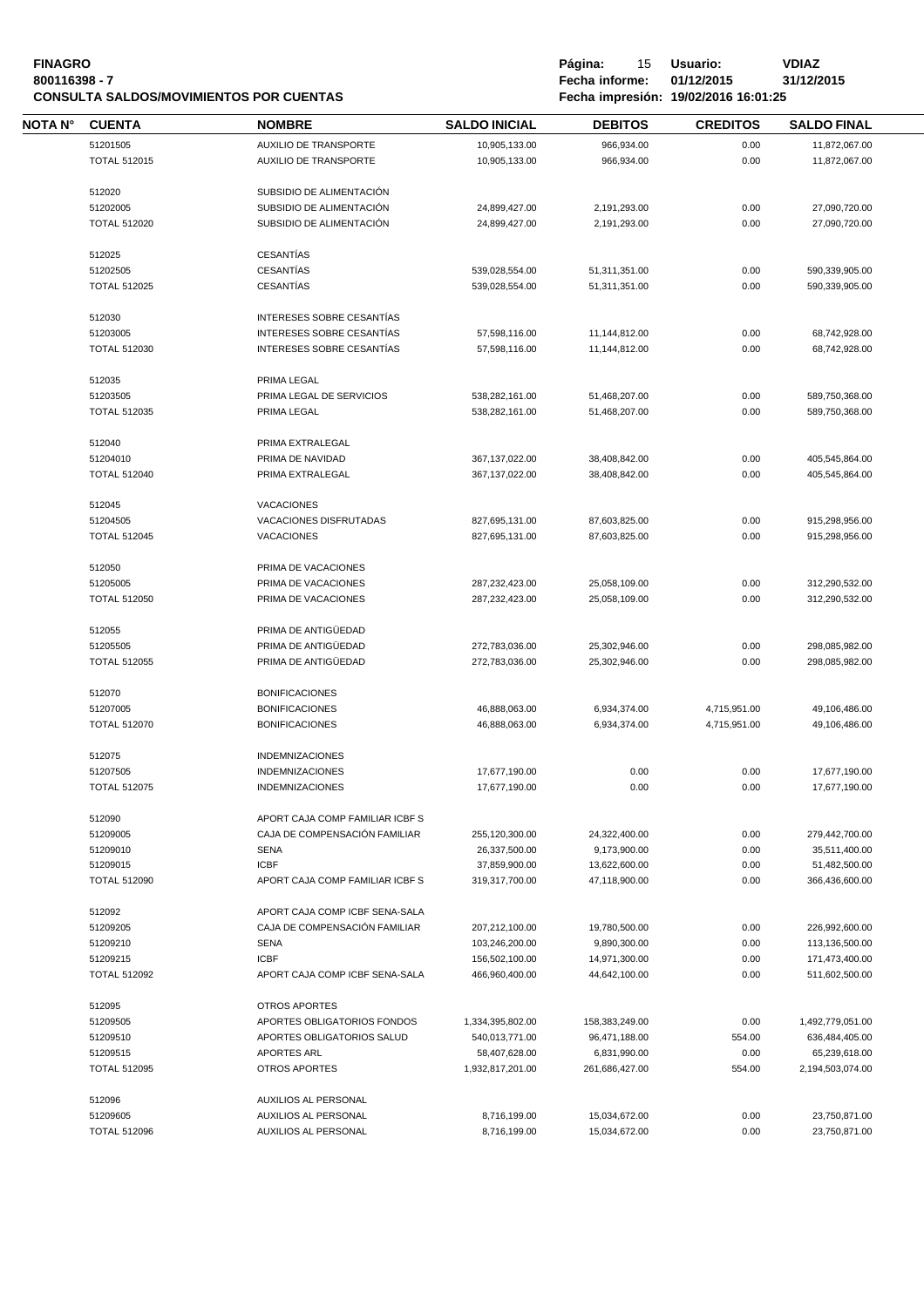| <b>FINAGRO</b><br>800116398 - 7 |                     | <b>CONSULTA SALDOS/MOVIMIENTOS POR CUENTAS</b> |                      | Página:<br>15<br>Fecha informe: | Usuario:<br>01/12/2015<br>Fecha impresión: 19/02/2016 16:01:25 | <b>VDIAZ</b><br>31/12/2015 |
|---------------------------------|---------------------|------------------------------------------------|----------------------|---------------------------------|----------------------------------------------------------------|----------------------------|
| NOTA N°                         | <b>CUENTA</b>       | <b>NOMBRE</b>                                  | <b>SALDO INICIAL</b> | <b>DEBITOS</b>                  | <b>CREDITOS</b>                                                | <b>SALDO FINAL</b>         |
|                                 | 51201505            | AUXILIO DE TRANSPORTE                          | 10,905,133.00        | 966,934.00                      | 0.00                                                           | 11,872,067.00              |
|                                 | <b>TOTAL 512015</b> | AUXILIO DE TRANSPORTE                          | 10,905,133.00        | 966,934.00                      | 0.00                                                           | 11,872,067.00              |
|                                 | 512020              | SUBSIDIO DE ALIMENTACIÓN                       |                      |                                 |                                                                |                            |
|                                 | 51202005            | SUBSIDIO DE ALIMENTACIÓN                       | 24,899,427.00        | 2,191,293.00                    | 0.00                                                           | 27,090,720.00              |
|                                 | <b>TOTAL 512020</b> | SUBSIDIO DE ALIMENTACIÓN                       | 24,899,427.00        | 2,191,293.00                    | 0.00                                                           | 27,090,720.00              |
|                                 | 512025              | <b>CESANTÍAS</b>                               |                      |                                 |                                                                |                            |
|                                 | 51202505            | <b>CESANTÍAS</b>                               | 539,028,554.00       | 51,311,351.00                   | 0.00                                                           | 590,339,905.00             |
|                                 | <b>TOTAL 512025</b> | CESANTÍAS                                      | 539,028,554.00       | 51,311,351.00                   | 0.00                                                           | 590,339,905.00             |
|                                 | 512030              | INTERESES SOBRE CESANTÍAS                      |                      |                                 |                                                                |                            |
|                                 | 51203005            | INTERESES SOBRE CESANTÍAS                      | 57,598,116.00        | 11,144,812.00                   | 0.00                                                           | 68,742,928.00              |
|                                 | <b>TOTAL 512030</b> | INTERESES SOBRE CESANTÍAS                      | 57,598,116.00        | 11,144,812.00                   | 0.00                                                           | 68,742,928.00              |
|                                 | 512035              | PRIMA LEGAL                                    |                      |                                 |                                                                |                            |
|                                 | 51203505            | PRIMA LEGAL DE SERVICIOS                       | 538,282,161.00       | 51,468,207.00                   | 0.00                                                           | 589,750,368.00             |
|                                 | <b>TOTAL 512035</b> | PRIMA LEGAL                                    | 538,282,161.00       | 51,468,207.00                   | 0.00                                                           | 589,750,368.00             |
|                                 | 512040              | PRIMA EXTRALEGAL                               |                      |                                 |                                                                |                            |
|                                 | 51204010            | PRIMA DE NAVIDAD                               | 367, 137, 022.00     | 38,408,842.00                   | 0.00                                                           | 405,545,864.00             |
|                                 | <b>TOTAL 512040</b> | PRIMA EXTRALEGAL                               | 367, 137, 022.00     | 38,408,842.00                   | 0.00                                                           | 405,545,864.00             |
|                                 | 512045              | <b>VACACIONES</b>                              |                      |                                 |                                                                |                            |
|                                 | 51204505            | VACACIONES DISFRUTADAS                         | 827,695,131.00       | 87,603,825.00                   | 0.00                                                           | 915,298,956.00             |
|                                 | <b>TOTAL 512045</b> | <b>VACACIONES</b>                              | 827,695,131.00       | 87,603,825.00                   | 0.00                                                           | 915,298,956.00             |
|                                 | 512050              | PRIMA DE VACACIONES                            |                      |                                 |                                                                |                            |
|                                 | 51205005            | PRIMA DE VACACIONES                            | 287,232,423.00       | 25,058,109.00                   | 0.00                                                           | 312,290,532.00             |
|                                 | <b>TOTAL 512050</b> | PRIMA DE VACACIONES                            | 287,232,423.00       | 25,058,109.00                   | 0.00                                                           | 312,290,532.00             |
|                                 | 512055              | PRIMA DE ANTIGÜEDAD                            |                      |                                 |                                                                |                            |
|                                 | 51205505            | PRIMA DE ANTIGÜEDAD                            | 272,783,036.00       | 25,302,946.00                   | 0.00                                                           | 298,085,982.00             |
|                                 | <b>TOTAL 512055</b> | PRIMA DE ANTIGÜEDAD                            | 272,783,036.00       | 25,302,946.00                   | 0.00                                                           | 298,085,982.00             |
|                                 | 512070              | <b>BONIFICACIONES</b>                          |                      |                                 |                                                                |                            |
|                                 | 51207005            | <b>BONIFICACIONES</b>                          | 46,888,063.00        | 6,934,374.00                    | 4,715,951.00                                                   | 49,106,486.00              |
|                                 | <b>TOTAL 512070</b> | <b>BONIFICACIONES</b>                          | 46,888,063.00        | 6,934,374.00                    | 4,715,951.00                                                   | 49,106,486.00              |
|                                 | 512075              | <b>INDEMNIZACIONES</b>                         |                      |                                 |                                                                |                            |
|                                 | 51207505            | <b>INDEMNIZACIONES</b>                         | 17,677,190.00        | 0.00                            | 0.00                                                           | 17,677,190.00              |
|                                 | <b>TOTAL 512075</b> | <b>INDEMNIZACIONES</b>                         | 17,677,190.00        | 0.00                            | 0.00                                                           | 17,677,190.00              |
|                                 | 512090              | APORT CAJA COMP FAMILIAR ICBF S                |                      |                                 |                                                                |                            |
|                                 | 51209005            | CAJA DE COMPENSACIÓN FAMILIAR                  | 255,120,300.00       | 24,322,400.00                   | 0.00                                                           | 279,442,700.00             |
|                                 | 51209010            | <b>SENA</b>                                    | 26,337,500.00        | 9,173,900.00                    | 0.00                                                           | 35,511,400.00              |
|                                 | 51209015            | <b>ICBF</b>                                    | 37,859,900.00        | 13,622,600.00                   | 0.00                                                           | 51,482,500.00              |
|                                 | <b>TOTAL 512090</b> | APORT CAJA COMP FAMILIAR ICBF S                | 319,317,700.00       | 47,118,900.00                   | 0.00                                                           | 366,436,600.00             |
|                                 | 512092              | APORT CAJA COMP ICBF SENA-SALA                 |                      |                                 |                                                                |                            |
|                                 | 51209205            | CAJA DE COMPENSACIÓN FAMILIAR                  | 207,212,100.00       | 19,780,500.00                   | 0.00                                                           | 226,992,600.00             |
|                                 | 51209210            | <b>SENA</b>                                    | 103,246,200.00       | 9,890,300.00                    | 0.00                                                           | 113,136,500.00             |
|                                 | 51209215            | <b>ICBF</b>                                    | 156,502,100.00       | 14,971,300.00                   | 0.00                                                           | 171,473,400.00             |
|                                 | <b>TOTAL 512092</b> | APORT CAJA COMP ICBF SENA-SALA                 | 466,960,400.00       | 44,642,100.00                   | 0.00                                                           | 511,602,500.00             |
|                                 | 512095              | <b>OTROS APORTES</b>                           |                      |                                 |                                                                |                            |
|                                 | 51209505            | APORTES OBLIGATORIOS FONDOS                    | 1,334,395,802.00     | 158,383,249.00                  | 0.00                                                           | 1,492,779,051.00           |
|                                 | 51209510            | APORTES OBLIGATORIOS SALUD                     | 540,013,771.00       | 96,471,188.00                   | 554.00                                                         | 636,484,405.00             |
|                                 | 51209515            | <b>APORTES ARL</b>                             | 58,407,628.00        | 6,831,990.00                    | 0.00                                                           | 65,239,618.00              |
|                                 | <b>TOTAL 512095</b> | <b>OTROS APORTES</b>                           | 1,932,817,201.00     | 261,686,427.00                  | 554.00                                                         | 2,194,503,074.00           |
|                                 | 512096              | AUXILIOS AL PERSONAL                           |                      |                                 |                                                                |                            |
|                                 | 51209605            | <b>AUXILIOS AL PERSONAL</b>                    | 8,716,199.00         | 15,034,672.00                   | 0.00                                                           | 23,750,871.00              |
|                                 | <b>TOTAL 512096</b> | AUXILIOS AL PERSONAL                           | 8,716,199.00         | 15,034,672.00                   | 0.00                                                           | 23,750,871.00              |
|                                 |                     |                                                |                      |                                 |                                                                |                            |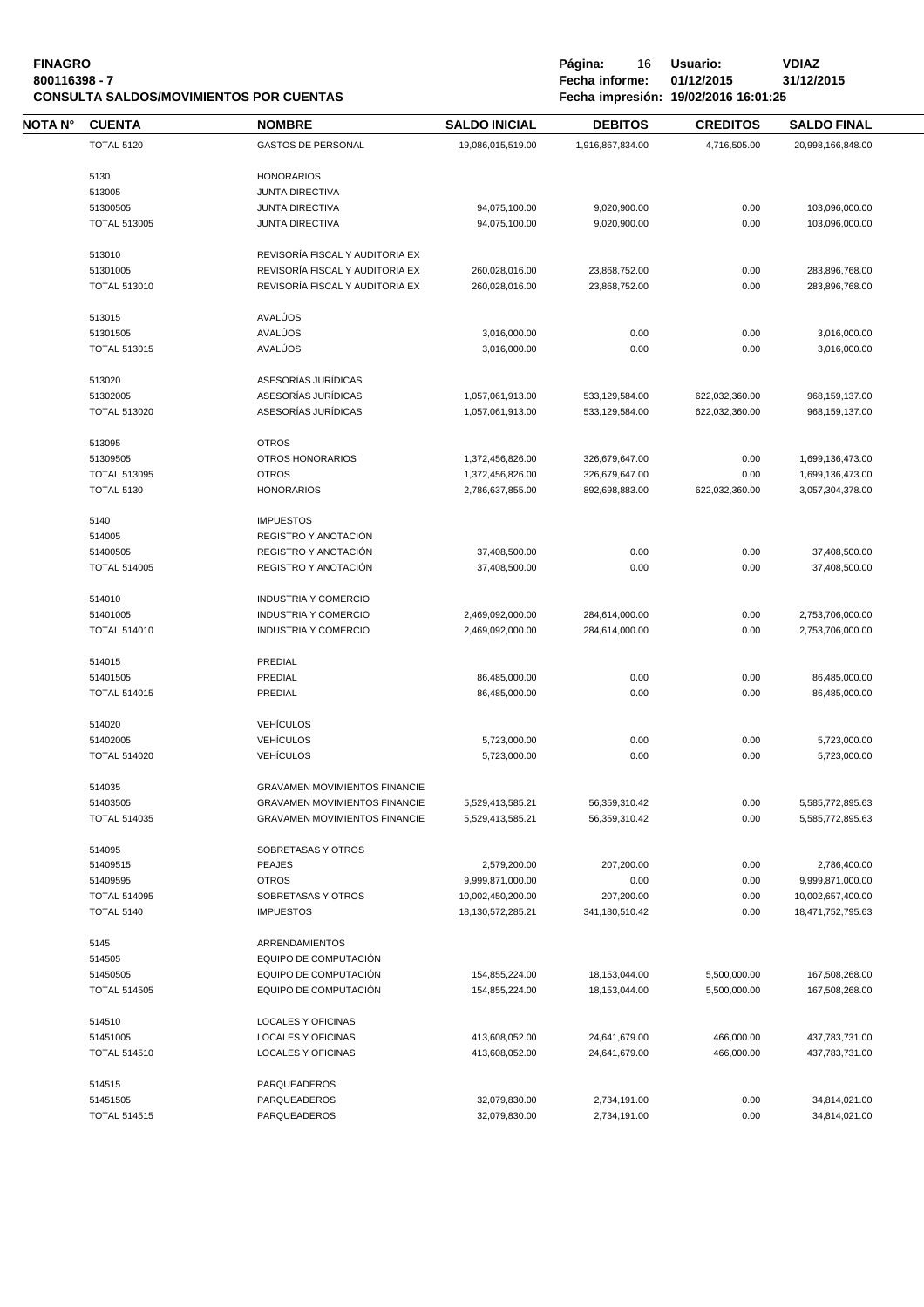### **FINAGRO P á g i n a :** 16 **U s u a r i o : VDIAZ 800116398 - 7 Fecha informe: 01/12/2015 31/12/2015 CONSULTA SALDOS/MOVIMIENTOS POR CUENTAS**

| ΝΟΤΑ Ν° | <b>CUENTA</b>       | <b>NOMBRE</b>                                              | <b>SALDO INICIAL</b>                 | <b>DEBITOS</b>                   | <b>CREDITOS</b> | <b>SALDO FINAL</b>                   |  |
|---------|---------------------|------------------------------------------------------------|--------------------------------------|----------------------------------|-----------------|--------------------------------------|--|
|         | <b>TOTAL 5120</b>   | <b>GASTOS DE PERSONAL</b>                                  | 19,086,015,519.00                    | 1,916,867,834.00                 | 4,716,505.00    | 20,998,166,848.00                    |  |
|         |                     |                                                            |                                      |                                  |                 |                                      |  |
|         | 5130                | <b>HONORARIOS</b>                                          |                                      |                                  |                 |                                      |  |
|         | 513005              | <b>JUNTA DIRECTIVA</b>                                     |                                      |                                  |                 |                                      |  |
|         | 51300505            | <b>JUNTA DIRECTIVA</b>                                     | 94,075,100.00                        | 9,020,900.00                     | 0.00            | 103,096,000.00                       |  |
|         | <b>TOTAL 513005</b> | <b>JUNTA DIRECTIVA</b>                                     | 94,075,100.00                        | 9,020,900.00                     | 0.00            | 103,096,000.00                       |  |
|         | 513010              | REVISORÍA FISCAL Y AUDITORIA EX                            |                                      |                                  |                 |                                      |  |
|         | 51301005            | REVISORÍA FISCAL Y AUDITORIA EX                            | 260,028,016.00                       | 23,868,752.00                    | 0.00            | 283,896,768.00                       |  |
|         | <b>TOTAL 513010</b> | REVISORÍA FISCAL Y AUDITORIA EX                            | 260,028,016.00                       | 23,868,752.00                    | 0.00            | 283,896,768.00                       |  |
|         |                     |                                                            |                                      |                                  |                 |                                      |  |
|         | 513015              | AVALÚOS                                                    |                                      |                                  |                 |                                      |  |
|         | 51301505            | AVALÚOS                                                    | 3,016,000.00                         | 0.00                             | 0.00            | 3,016,000.00                         |  |
|         | <b>TOTAL 513015</b> | AVALÚOS                                                    | 3,016,000.00                         | 0.00                             | 0.00            | 3,016,000.00                         |  |
|         | 513020              | ASESORÍAS JURÍDICAS                                        |                                      |                                  |                 |                                      |  |
|         | 51302005            | ASESORÍAS JURÍDICAS                                        | 1,057,061,913.00                     | 533,129,584.00                   | 622,032,360.00  | 968, 159, 137.00                     |  |
|         | <b>TOTAL 513020</b> | ASESORÍAS JURÍDICAS                                        | 1,057,061,913.00                     | 533,129,584.00                   | 622,032,360.00  | 968,159,137.00                       |  |
|         |                     |                                                            |                                      |                                  |                 |                                      |  |
|         | 513095              | <b>OTROS</b>                                               |                                      |                                  |                 |                                      |  |
|         | 51309505            | OTROS HONORARIOS                                           | 1,372,456,826.00                     | 326,679,647.00                   | 0.00            | 1,699,136,473.00                     |  |
|         | <b>TOTAL 513095</b> | <b>OTROS</b>                                               | 1,372,456,826.00                     | 326,679,647.00                   | 0.00            | 1,699,136,473.00                     |  |
|         | TOTAL 5130          | <b>HONORARIOS</b>                                          | 2,786,637,855.00                     | 892,698,883.00                   | 622,032,360.00  | 3,057,304,378.00                     |  |
|         | 5140                | <b>IMPUESTOS</b>                                           |                                      |                                  |                 |                                      |  |
|         | 514005              | REGISTRO Y ANOTACIÓN                                       |                                      |                                  |                 |                                      |  |
|         | 51400505            | REGISTRO Y ANOTACIÓN                                       | 37,408,500.00                        | 0.00                             | 0.00            | 37,408,500.00                        |  |
|         | <b>TOTAL 514005</b> | REGISTRO Y ANOTACIÓN                                       | 37,408,500.00                        | 0.00                             | 0.00            | 37,408,500.00                        |  |
|         |                     |                                                            |                                      |                                  |                 |                                      |  |
|         | 514010<br>51401005  | <b>INDUSTRIA Y COMERCIO</b>                                |                                      |                                  |                 |                                      |  |
|         | <b>TOTAL 514010</b> | <b>INDUSTRIA Y COMERCIO</b><br><b>INDUSTRIA Y COMERCIO</b> | 2,469,092,000.00<br>2,469,092,000.00 | 284,614,000.00<br>284,614,000.00 | 0.00<br>0.00    | 2,753,706,000.00<br>2,753,706,000.00 |  |
|         |                     |                                                            |                                      |                                  |                 |                                      |  |
|         | 514015              | PREDIAL                                                    |                                      |                                  |                 |                                      |  |
|         | 51401505            | PREDIAL                                                    | 86,485,000.00                        | 0.00                             | 0.00            | 86,485,000.00                        |  |
|         | <b>TOTAL 514015</b> | PREDIAL                                                    | 86,485,000.00                        | 0.00                             | 0.00            | 86,485,000.00                        |  |
|         | 514020              | <b>VEHÍCULOS</b>                                           |                                      |                                  |                 |                                      |  |
|         | 51402005            | <b>VEHÍCULOS</b>                                           | 5,723,000.00                         | 0.00                             | 0.00            | 5,723,000.00                         |  |
|         | <b>TOTAL 514020</b> | <b>VEHÍCULOS</b>                                           | 5,723,000.00                         | 0.00                             | 0.00            | 5,723,000.00                         |  |
|         |                     |                                                            |                                      |                                  |                 |                                      |  |
|         | 514035              | <b>GRAVAMEN MOVIMIENTOS FINANCIE</b>                       |                                      |                                  |                 |                                      |  |
|         | 51403505            | <b>GRAVAMEN MOVIMIENTOS FINANCIE</b>                       | 5,529,413,585.21                     | 56,359,310.42                    | 0.00            | 5,585,772,895.63                     |  |
|         | <b>TOTAL 514035</b> | <b>GRAVAMEN MOVIMIENTOS FINANCIE</b>                       | 5,529,413,585.21                     | 56,359,310.42                    | 0.00            | 5,585,772,895.63                     |  |
|         | 514095              | SOBRETASAS Y OTROS                                         |                                      |                                  |                 |                                      |  |
|         | 51409515            | <b>PEAJES</b>                                              | 2,579,200.00                         | 207,200.00                       | 0.00            | 2,786,400.00                         |  |
|         | 51409595            | <b>OTROS</b>                                               | 9,999,871,000.00                     | 0.00                             | 0.00            | 9,999,871,000.00                     |  |
|         | <b>TOTAL 514095</b> | SOBRETASAS Y OTROS                                         | 10,002,450,200.00                    | 207,200.00                       | 0.00            | 10,002,657,400.00                    |  |
|         | <b>TOTAL 5140</b>   | <b>IMPUESTOS</b>                                           | 18,130,572,285.21                    | 341,180,510.42                   | 0.00            | 18,471,752,795.63                    |  |
|         |                     |                                                            |                                      |                                  |                 |                                      |  |
|         | 5145                | ARRENDAMIENTOS                                             |                                      |                                  |                 |                                      |  |
|         | 514505              | EQUIPO DE COMPUTACIÓN                                      |                                      |                                  |                 |                                      |  |
|         | 51450505            | EQUIPO DE COMPUTACIÓN                                      | 154,855,224.00                       | 18,153,044.00                    | 5,500,000.00    | 167,508,268.00                       |  |
|         | <b>TOTAL 514505</b> | EQUIPO DE COMPUTACIÓN                                      | 154,855,224.00                       | 18,153,044.00                    | 5,500,000.00    | 167,508,268.00                       |  |
|         | 514510              | LOCALES Y OFICINAS                                         |                                      |                                  |                 |                                      |  |
|         | 51451005            | LOCALES Y OFICINAS                                         | 413,608,052.00                       | 24,641,679.00                    | 466,000.00      | 437,783,731.00                       |  |
|         | <b>TOTAL 514510</b> | LOCALES Y OFICINAS                                         | 413,608,052.00                       | 24,641,679.00                    | 466,000.00      | 437,783,731.00                       |  |
|         | 514515              | PARQUEADEROS                                               |                                      |                                  |                 |                                      |  |
|         | 51451505            | PARQUEADEROS                                               | 32,079,830.00                        | 2,734,191.00                     | 0.00            | 34,814,021.00                        |  |
|         | <b>TOTAL 514515</b> | PARQUEADEROS                                               | 32,079,830.00                        |                                  | 0.00            |                                      |  |
|         |                     |                                                            |                                      | 2,734,191.00                     |                 | 34,814,021.00                        |  |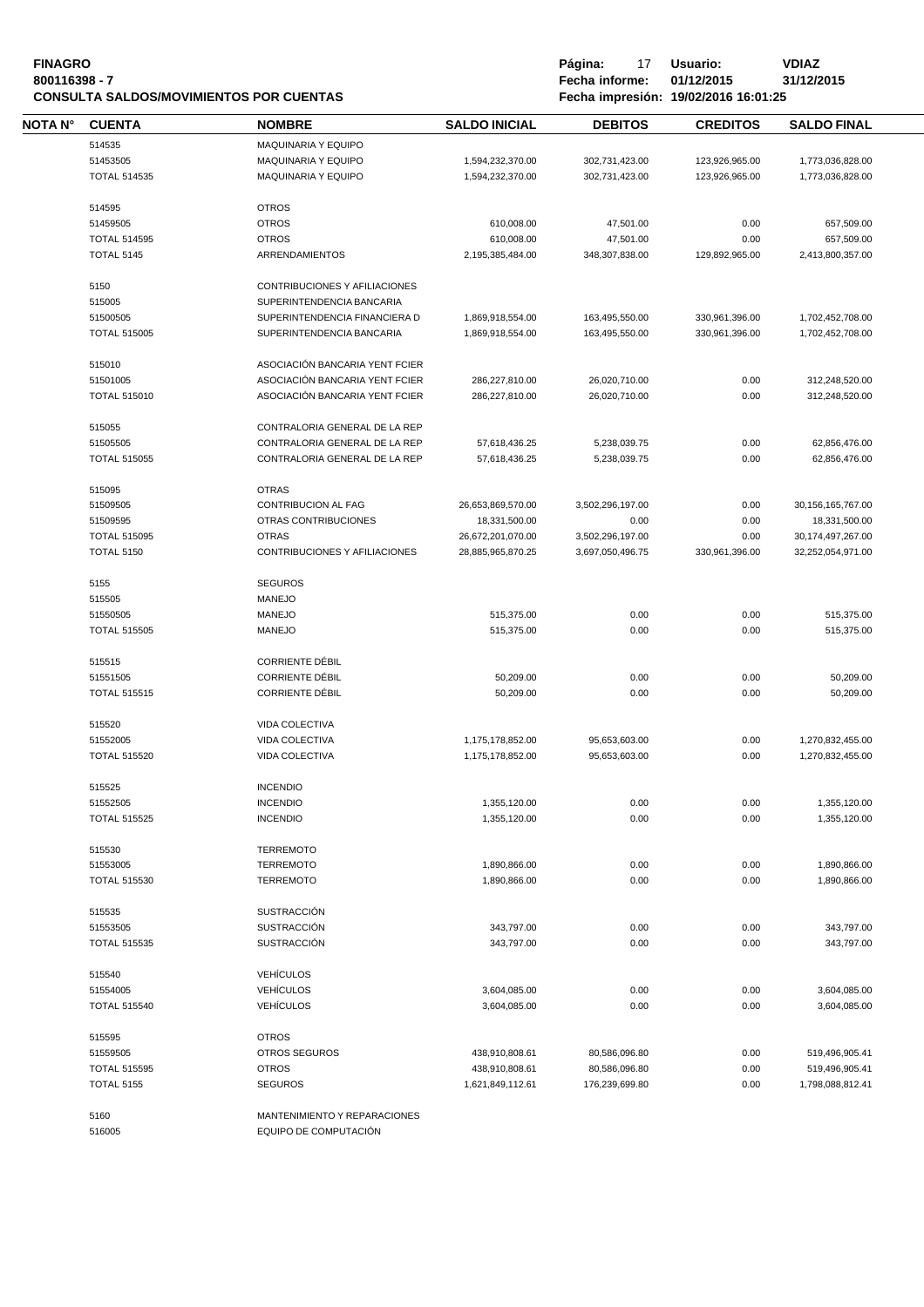#### **FINAGRO P á g i n a :** 17 **U s u a r i o : VDIAZ 800116398 - 7 Fecha informe: 01/12/2015 31/12/2015 CONSULTA SALDOS/MOVIMIENTOS POR CUENTAS**

| NOTA N° | <b>CUENTA</b>                            | <b>NOMBRE</b>                        | <b>SALDO INICIAL</b>               | <b>DEBITOS</b>                  | <b>CREDITOS</b> | <b>SALDO FINAL</b>                 |  |
|---------|------------------------------------------|--------------------------------------|------------------------------------|---------------------------------|-----------------|------------------------------------|--|
|         | 514535                                   | <b>MAQUINARIA Y EQUIPO</b>           |                                    |                                 |                 |                                    |  |
|         | 51453505                                 | MAQUINARIA Y EQUIPO                  | 1,594,232,370.00                   | 302,731,423.00                  | 123,926,965.00  | 1,773,036,828.00                   |  |
|         | <b>TOTAL 514535</b>                      | MAQUINARIA Y EQUIPO                  | 1,594,232,370.00                   | 302,731,423.00                  | 123,926,965.00  | 1,773,036,828.00                   |  |
|         | 514595                                   | <b>OTROS</b>                         |                                    |                                 |                 |                                    |  |
|         | 51459505                                 | <b>OTROS</b>                         | 610,008.00                         | 47,501.00                       | 0.00            | 657,509.00                         |  |
|         | <b>TOTAL 514595</b>                      | <b>OTROS</b>                         | 610,008.00                         | 47,501.00                       | 0.00            | 657,509.00                         |  |
|         | <b>TOTAL 5145</b>                        | <b>ARRENDAMIENTOS</b>                | 2,195,385,484.00                   | 348,307,838.00                  | 129,892,965.00  | 2,413,800,357.00                   |  |
|         | 5150                                     | CONTRIBUCIONES Y AFILIACIONES        |                                    |                                 |                 |                                    |  |
|         | 515005                                   | SUPERINTENDENCIA BANCARIA            |                                    |                                 |                 |                                    |  |
|         | 51500505                                 | SUPERINTENDENCIA FINANCIERA D        | 1,869,918,554.00                   | 163,495,550.00                  | 330,961,396.00  | 1,702,452,708.00                   |  |
|         | <b>TOTAL 515005</b>                      | SUPERINTENDENCIA BANCARIA            | 1,869,918,554.00                   | 163,495,550.00                  | 330,961,396.00  | 1,702,452,708.00                   |  |
|         | 515010                                   | ASOCIACIÓN BANCARIA YENT FCIER       |                                    |                                 |                 |                                    |  |
|         | 51501005                                 | ASOCIACIÓN BANCARIA YENT FCIER       | 286,227,810.00                     | 26,020,710.00                   | 0.00            | 312,248,520.00                     |  |
|         | <b>TOTAL 515010</b>                      | ASOCIACIÓN BANCARIA YENT FCIER       | 286,227,810.00                     | 26,020,710.00                   | 0.00            | 312,248,520.00                     |  |
|         | 515055                                   | CONTRALORIA GENERAL DE LA REP        |                                    |                                 |                 |                                    |  |
|         | 51505505                                 | CONTRALORIA GENERAL DE LA REP        | 57,618,436.25                      | 5,238,039.75                    | 0.00            | 62,856,476.00                      |  |
|         | <b>TOTAL 515055</b>                      | CONTRALORIA GENERAL DE LA REP        | 57,618,436.25                      | 5,238,039.75                    | 0.00            | 62,856,476.00                      |  |
|         | 515095                                   | <b>OTRAS</b>                         |                                    |                                 |                 |                                    |  |
|         | 51509505                                 | CONTRIBUCION AL FAG                  | 26,653,869,570.00                  | 3,502,296,197.00                | 0.00            | 30, 156, 165, 767.00               |  |
|         | 51509595                                 | <b>OTRAS CONTRIBUCIONES</b>          | 18,331,500.00                      | 0.00                            | 0.00            | 18,331,500.00                      |  |
|         | <b>TOTAL 515095</b>                      | <b>OTRAS</b>                         | 26,672,201,070.00                  | 3,502,296,197.00                | 0.00            | 30, 174, 497, 267.00               |  |
|         | <b>TOTAL 5150</b>                        | CONTRIBUCIONES Y AFILIACIONES        | 28,885,965,870.25                  | 3,697,050,496.75                | 330,961,396.00  | 32,252,054,971.00                  |  |
|         | 5155                                     | <b>SEGUROS</b>                       |                                    |                                 |                 |                                    |  |
|         | 515505                                   | <b>MANEJO</b>                        |                                    |                                 |                 |                                    |  |
|         | 51550505                                 | <b>MANEJO</b>                        | 515,375.00                         | 0.00                            | 0.00            | 515,375.00                         |  |
|         | <b>TOTAL 515505</b>                      | <b>MANEJO</b>                        | 515,375.00                         | 0.00                            | 0.00            | 515,375.00                         |  |
|         | 515515                                   | <b>CORRIENTE DÉBIL</b>               |                                    |                                 |                 |                                    |  |
|         | 51551505                                 | <b>CORRIENTE DÉBIL</b>               | 50,209.00                          | 0.00                            | 0.00            | 50,209.00                          |  |
|         | <b>TOTAL 515515</b>                      | <b>CORRIENTE DÉBIL</b>               | 50,209.00                          | 0.00                            | 0.00            | 50,209.00                          |  |
|         | 515520                                   | VIDA COLECTIVA                       |                                    |                                 |                 |                                    |  |
|         | 51552005                                 | VIDA COLECTIVA                       | 1,175,178,852.00                   | 95,653,603.00                   | 0.00            | 1,270,832,455.00                   |  |
|         | <b>TOTAL 515520</b>                      | <b>VIDA COLECTIVA</b>                | 1,175,178,852.00                   | 95,653,603.00                   | 0.00            | 1,270,832,455.00                   |  |
|         | 515525                                   | <b>INCENDIO</b>                      |                                    |                                 |                 |                                    |  |
|         | 51552505                                 | <b>INCENDIO</b>                      | 1,355,120.00                       | 0.00                            | 0.00            | 1,355,120.00                       |  |
|         | <b>TOTAL 515525</b>                      | <b>INCENDIO</b>                      | 1,355,120.00                       | 0.00                            | 0.00            | 1,355,120.00                       |  |
|         | 515530                                   | <b>TERREMOTO</b>                     |                                    |                                 |                 |                                    |  |
|         | 51553005                                 | <b>TERREMOTO</b>                     | 1,890,866.00                       | 0.00                            | 0.00            | 1,890,866.00                       |  |
|         | <b>TOTAL 515530</b>                      | <b>TERREMOTO</b>                     | 1,890,866.00                       | 0.00                            | 0.00            | 1,890,866.00                       |  |
|         | 515535                                   | <b>SUSTRACCIÓN</b>                   |                                    |                                 |                 |                                    |  |
|         | 51553505                                 | <b>SUSTRACCIÓN</b>                   | 343,797.00                         | 0.00                            | 0.00            | 343,797.00                         |  |
|         | <b>TOTAL 515535</b>                      | <b>SUSTRACCIÓN</b>                   | 343,797.00                         | 0.00                            | 0.00            | 343,797.00                         |  |
|         |                                          |                                      |                                    |                                 |                 |                                    |  |
|         | 515540                                   | <b>VEHÍCULOS</b>                     |                                    |                                 |                 |                                    |  |
|         | 51554005                                 | <b>VEHÍCULOS</b><br><b>VEHÍCULOS</b> | 3,604,085.00                       | 0.00                            | 0.00            | 3,604,085.00                       |  |
|         | <b>TOTAL 515540</b>                      |                                      | 3,604,085.00                       | 0.00                            | 0.00            | 3,604,085.00                       |  |
|         | 515595<br>51559505                       | <b>OTROS</b><br>OTROS SEGUROS        |                                    |                                 | 0.00            |                                    |  |
|         |                                          |                                      | 438,910,808.61                     | 80,586,096.80                   |                 | 519,496,905.41                     |  |
|         | <b>TOTAL 515595</b><br><b>TOTAL 5155</b> | <b>OTROS</b><br><b>SEGUROS</b>       | 438,910,808.61<br>1,621,849,112.61 | 80,586,096.80<br>176,239,699.80 | 0.00<br>0.00    | 519,496,905.41<br>1,798,088,812.41 |  |
|         |                                          |                                      |                                    |                                 |                 |                                    |  |
|         | 5160                                     | MANTENIMIENTO Y REPARACIONES         |                                    |                                 |                 |                                    |  |

EQUIPO DE COMPUTACIÓN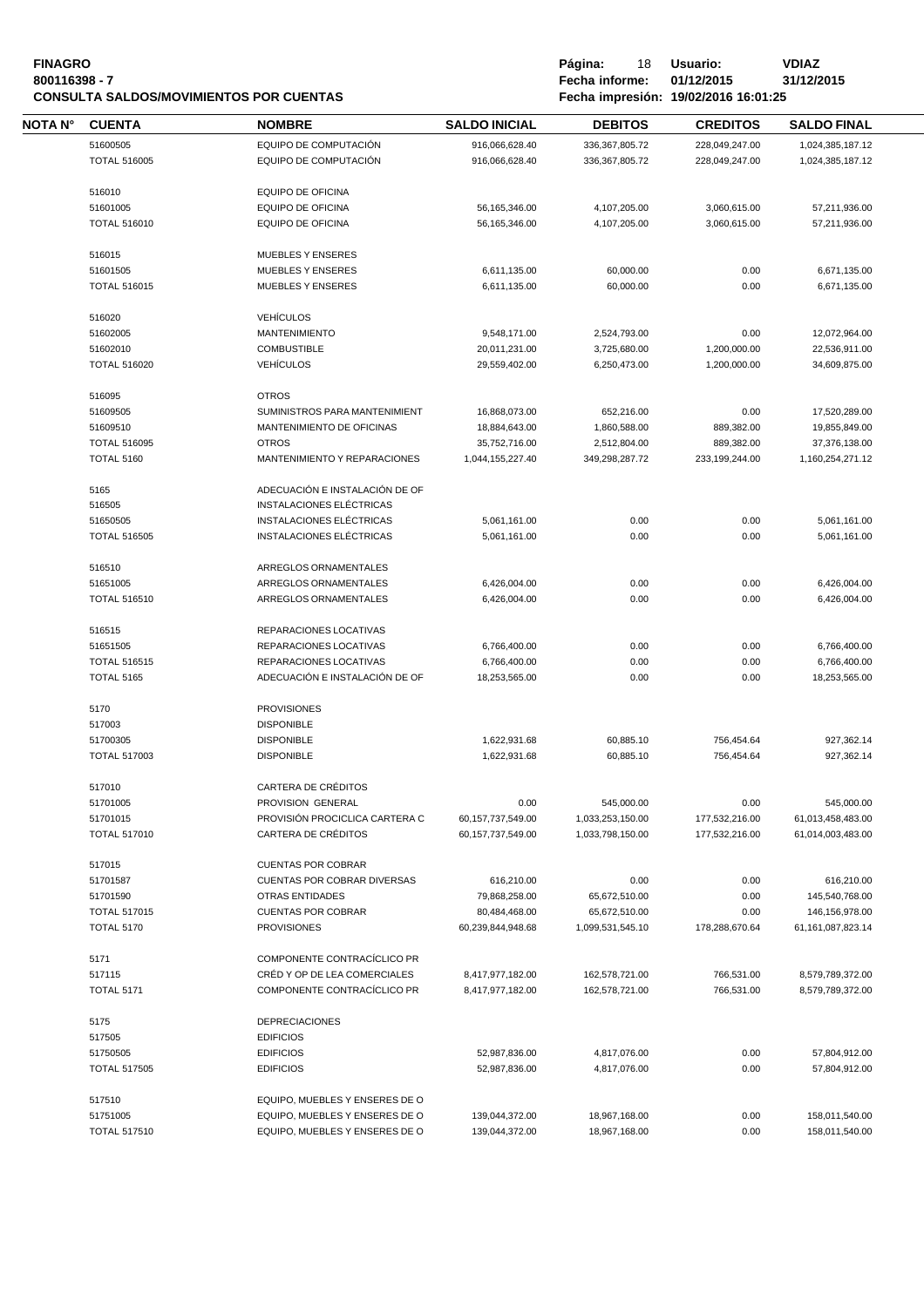| <b>FINAGRO</b>                                 |
|------------------------------------------------|
| 800116398 - 7                                  |
| <b>CONSULTA SALDOS/MOVIMIENTOS POR CUENTAS</b> |

**Fágina:** 18 **Usuario: <br>Fecha informe: 01/12/2015 31/12/2015 800116398 - 7 Fecha informe: 01/12/2015 31/12/2015 CONSULTA SALDOS/MOVIMIENTOS POR CUENTAS Fecha impresión: 19/02/2016 16:01:25**

| ΝΟΤΑ Ν° | <b>CUENTA</b>                   | <b>NOMBRE</b>                             | <b>SALDO INICIAL</b>              | <b>DEBITOS</b>                 | <b>CREDITOS</b>          | <b>SALDO FINAL</b>             |
|---------|---------------------------------|-------------------------------------------|-----------------------------------|--------------------------------|--------------------------|--------------------------------|
|         | 51600505                        | EQUIPO DE COMPUTACIÓN                     | 916,066,628.40                    | 336, 367, 805. 72              | 228,049,247.00           | 1,024,385,187.12               |
|         | <b>TOTAL 516005</b>             | EQUIPO DE COMPUTACIÓN                     | 916,066,628.40                    | 336,367,805.72                 | 228,049,247.00           | 1,024,385,187.12               |
|         |                                 |                                           |                                   |                                |                          |                                |
|         | 516010                          | <b>EQUIPO DE OFICINA</b>                  |                                   |                                |                          |                                |
|         | 51601005                        | <b>EQUIPO DE OFICINA</b>                  | 56, 165, 346.00                   | 4,107,205.00                   | 3,060,615.00             | 57,211,936.00                  |
|         | <b>TOTAL 516010</b>             | <b>EQUIPO DE OFICINA</b>                  | 56, 165, 346.00                   | 4,107,205.00                   | 3,060,615.00             | 57,211,936.00                  |
|         |                                 |                                           |                                   |                                |                          |                                |
|         | 516015                          | <b>MUEBLES Y ENSERES</b>                  |                                   |                                |                          |                                |
|         | 51601505                        | <b>MUEBLES Y ENSERES</b>                  | 6,611,135.00                      | 60,000.00                      | 0.00                     | 6,671,135.00                   |
|         | <b>TOTAL 516015</b>             | <b>MUEBLES Y ENSERES</b>                  | 6,611,135.00                      | 60,000.00                      | 0.00                     | 6,671,135.00                   |
|         |                                 |                                           |                                   |                                |                          |                                |
|         | 516020                          | <b>VEHÍCULOS</b>                          |                                   |                                |                          |                                |
|         | 51602005                        | <b>MANTENIMIENTO</b>                      | 9,548,171.00                      | 2,524,793.00                   | 0.00                     | 12,072,964.00                  |
|         | 51602010                        | <b>COMBUSTIBLE</b>                        | 20,011,231.00                     | 3,725,680.00                   | 1,200,000.00             | 22,536,911.00                  |
|         | <b>TOTAL 516020</b>             | <b>VEHÍCULOS</b>                          | 29,559,402.00                     | 6,250,473.00                   | 1,200,000.00             | 34,609,875.00                  |
|         |                                 |                                           |                                   |                                |                          |                                |
|         | 516095                          | <b>OTROS</b>                              |                                   |                                |                          |                                |
|         | 51609505                        | SUMINISTROS PARA MANTENIMIENT             | 16,868,073.00                     | 652,216.00<br>1,860,588.00     | 0.00                     | 17,520,289.00                  |
|         | 51609510<br><b>TOTAL 516095</b> | MANTENIMIENTO DE OFICINAS<br><b>OTROS</b> | 18,884,643.00                     |                                | 889,382.00<br>889,382.00 | 19,855,849.00<br>37,376,138.00 |
|         | <b>TOTAL 5160</b>               | MANTENIMIENTO Y REPARACIONES              | 35,752,716.00<br>1,044,155,227.40 | 2,512,804.00<br>349,298,287.72 | 233,199,244.00           | 1,160,254,271.12               |
|         |                                 |                                           |                                   |                                |                          |                                |
|         | 5165                            | ADECUACIÓN E INSTALACIÓN DE OF            |                                   |                                |                          |                                |
|         | 516505                          | INSTALACIONES ELÉCTRICAS                  |                                   |                                |                          |                                |
|         | 51650505                        | INSTALACIONES ELÉCTRICAS                  | 5,061,161.00                      | 0.00                           | 0.00                     | 5,061,161.00                   |
|         | <b>TOTAL 516505</b>             | INSTALACIONES ELÉCTRICAS                  | 5,061,161.00                      | 0.00                           | 0.00                     | 5,061,161.00                   |
|         |                                 |                                           |                                   |                                |                          |                                |
|         | 516510                          | ARREGLOS ORNAMENTALES                     |                                   |                                |                          |                                |
|         | 51651005                        | ARREGLOS ORNAMENTALES                     | 6,426,004.00                      | 0.00                           | 0.00                     | 6,426,004.00                   |
|         | <b>TOTAL 516510</b>             | ARREGLOS ORNAMENTALES                     | 6,426,004.00                      | 0.00                           | 0.00                     | 6,426,004.00                   |
|         |                                 |                                           |                                   |                                |                          |                                |
|         | 516515                          | REPARACIONES LOCATIVAS                    |                                   |                                |                          |                                |
|         | 51651505                        | REPARACIONES LOCATIVAS                    | 6,766,400.00                      | 0.00                           | 0.00                     | 6,766,400.00                   |
|         | <b>TOTAL 516515</b>             | REPARACIONES LOCATIVAS                    | 6,766,400.00                      | 0.00                           | 0.00                     | 6,766,400.00                   |
|         | <b>TOTAL 5165</b>               | ADECUACIÓN E INSTALACIÓN DE OF            | 18,253,565.00                     | 0.00                           | 0.00                     | 18,253,565.00                  |
|         |                                 |                                           |                                   |                                |                          |                                |
|         | 5170                            | <b>PROVISIONES</b>                        |                                   |                                |                          |                                |
|         | 517003                          | <b>DISPONIBLE</b>                         |                                   |                                |                          |                                |
|         | 51700305                        | <b>DISPONIBLE</b>                         | 1,622,931.68                      | 60,885.10                      | 756,454.64               | 927,362.14                     |
|         | <b>TOTAL 517003</b>             | <b>DISPONIBLE</b>                         | 1,622,931.68                      | 60,885.10                      | 756,454.64               | 927,362.14                     |
|         |                                 |                                           |                                   |                                |                          |                                |
|         | 517010                          | <b>CARTERA DE CRÉDITOS</b>                |                                   |                                |                          |                                |
|         | 51701005                        | PROVISION GENERAL                         | 0.00                              | 545,000.00                     | 0.00                     | 545,000.00                     |
|         | 51701015<br><b>TOTAL 517010</b> | PROVISIÓN PROCICLICA CARTERA C            | 60, 157, 737, 549.00              | 1,033,253,150.00               | 177,532,216.00           | 61,013,458,483.00              |
|         |                                 | <b>CARTERA DE CRÉDITOS</b>                | 60,157,737,549.00                 | 1,033,798,150.00               | 177,532,216.00           | 61,014,003,483.00              |
|         | 517015                          | <b>CUENTAS POR COBRAR</b>                 |                                   |                                |                          |                                |
|         | 51701587                        | <b>CUENTAS POR COBRAR DIVERSAS</b>        | 616,210.00                        | 0.00                           | 0.00                     | 616,210.00                     |
|         | 51701590                        | <b>OTRAS ENTIDADES</b>                    | 79,868,258.00                     | 65,672,510.00                  | 0.00                     | 145,540,768.00                 |
|         | <b>TOTAL 517015</b>             | <b>CUENTAS POR COBRAR</b>                 | 80,484,468.00                     | 65,672,510.00                  | 0.00                     | 146,156,978.00                 |
|         | <b>TOTAL 5170</b>               | <b>PROVISIONES</b>                        | 60,239,844,948.68                 | 1,099,531,545.10               | 178,288,670.64           | 61,161,087,823.14              |
|         |                                 |                                           |                                   |                                |                          |                                |
|         | 5171                            | COMPONENTE CONTRACÍCLICO PR               |                                   |                                |                          |                                |
|         | 517115                          | CRÉD Y OP DE LEA COMERCIALES              | 8,417,977,182.00                  | 162,578,721.00                 | 766,531.00               | 8,579,789,372.00               |
|         | <b>TOTAL 5171</b>               | COMPONENTE CONTRACÍCLICO PR               | 8,417,977,182.00                  | 162,578,721.00                 | 766,531.00               | 8,579,789,372.00               |
|         |                                 |                                           |                                   |                                |                          |                                |
|         | 5175                            | <b>DEPRECIACIONES</b>                     |                                   |                                |                          |                                |
|         | 517505                          | <b>EDIFICIOS</b>                          |                                   |                                |                          |                                |
|         | 51750505                        | <b>EDIFICIOS</b>                          | 52,987,836.00                     | 4,817,076.00                   | 0.00                     | 57,804,912.00                  |
|         | <b>TOTAL 517505</b>             | <b>EDIFICIOS</b>                          | 52,987,836.00                     | 4,817,076.00                   | 0.00                     | 57,804,912.00                  |
|         |                                 |                                           |                                   |                                |                          |                                |
|         | 517510                          | EQUIPO, MUEBLES Y ENSERES DE O            |                                   |                                |                          |                                |
|         | 51751005                        | EQUIPO, MUEBLES Y ENSERES DE O            | 139,044,372.00                    | 18,967,168.00                  | 0.00                     | 158,011,540.00                 |
|         | <b>TOTAL 517510</b>             | EQUIPO, MUEBLES Y ENSERES DE O            | 139,044,372.00                    | 18,967,168.00                  | 0.00                     | 158,011,540.00                 |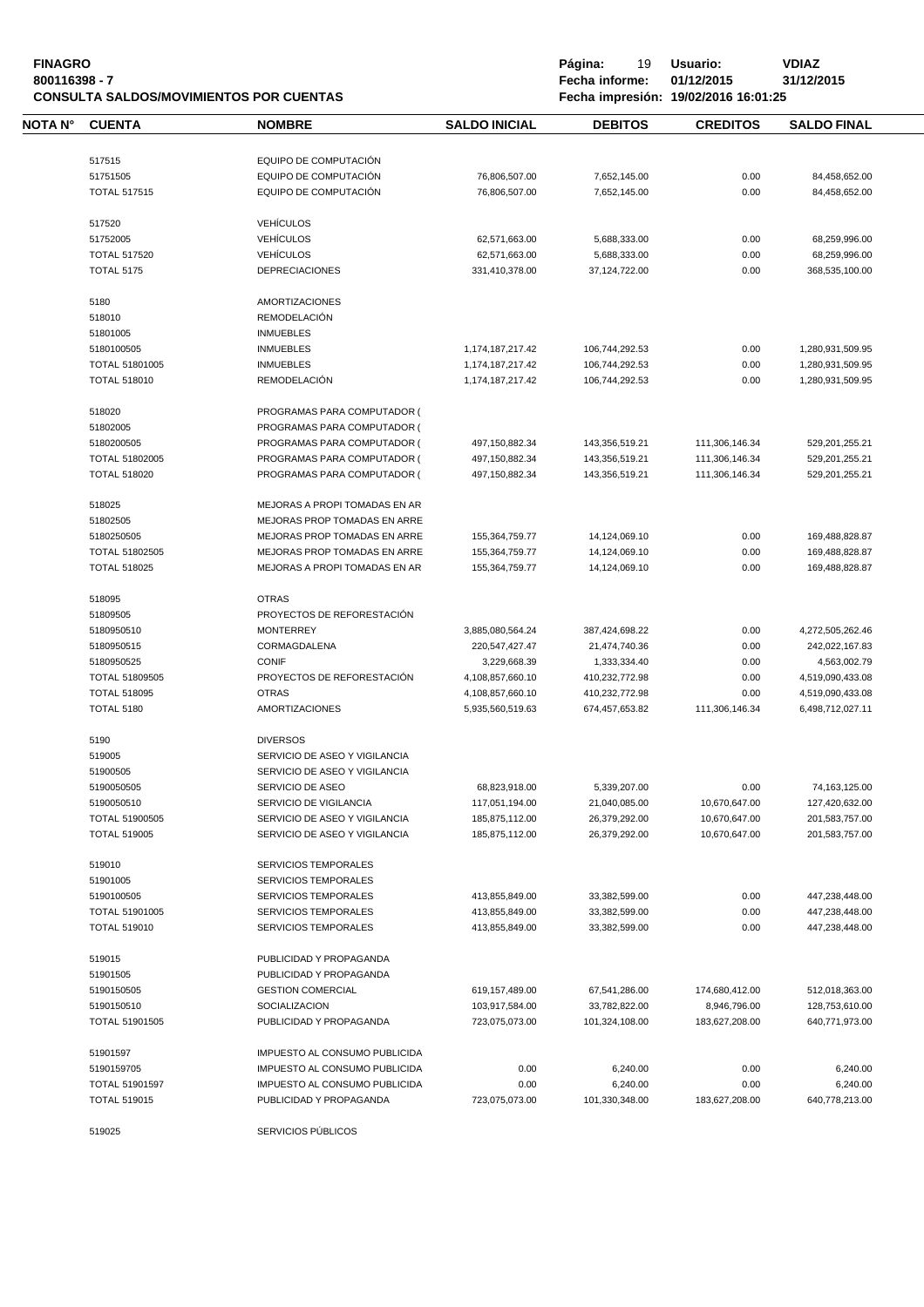| <b>FINAGRO</b><br>800116398 - 7 |                                          | <b>CONSULTA SALDOS/MOVIMIENTOS POR CUENTAS</b> |                      | Página:<br>19<br>Fecha informe: | Usuario:<br>01/12/2015<br>Fecha impresión: 19/02/2016 16:01:25 | <b>VDIAZ</b><br>31/12/2015 |
|---------------------------------|------------------------------------------|------------------------------------------------|----------------------|---------------------------------|----------------------------------------------------------------|----------------------------|
| NOTA N°                         | <b>CUENTA</b>                            | <b>NOMBRE</b>                                  | <b>SALDO INICIAL</b> | <b>DEBITOS</b>                  | <b>CREDITOS</b>                                                | <b>SALDO FINAL</b>         |
|                                 | 517515                                   | EQUIPO DE COMPUTACIÓN                          |                      |                                 |                                                                |                            |
|                                 | 51751505                                 | EQUIPO DE COMPUTACIÓN                          | 76,806,507.00        | 7,652,145.00                    | 0.00                                                           | 84,458,652.00              |
|                                 | <b>TOTAL 517515</b>                      | EQUIPO DE COMPUTACIÓN                          | 76,806,507.00        | 7,652,145.00                    | 0.00                                                           | 84,458,652.00              |
|                                 |                                          |                                                |                      |                                 |                                                                |                            |
|                                 | 517520                                   | <b>VEHÍCULOS</b>                               |                      |                                 |                                                                |                            |
|                                 | 51752005                                 | <b>VEHÍCULOS</b>                               | 62,571,663.00        | 5,688,333.00                    | 0.00                                                           | 68,259,996.00              |
|                                 | <b>TOTAL 517520</b><br><b>TOTAL 5175</b> | <b>VEHÍCULOS</b><br><b>DEPRECIACIONES</b>      | 62,571,663.00        | 5,688,333.00                    | 0.00                                                           | 68,259,996.00              |
|                                 |                                          |                                                | 331,410,378.00       | 37,124,722.00                   | 0.00                                                           | 368,535,100.00             |
|                                 | 5180                                     | <b>AMORTIZACIONES</b>                          |                      |                                 |                                                                |                            |
|                                 | 518010                                   | <b>REMODELACIÓN</b>                            |                      |                                 |                                                                |                            |
|                                 | 51801005                                 | <b>INMUEBLES</b>                               |                      |                                 |                                                                |                            |
|                                 | 5180100505                               | <b>INMUEBLES</b>                               | 1,174,187,217.42     | 106,744,292.53                  | 0.00                                                           | 1,280,931,509.95           |
|                                 | <b>TOTAL 51801005</b>                    | <b>INMUEBLES</b>                               | 1,174,187,217.42     | 106,744,292.53                  | 0.00                                                           | 1,280,931,509.95           |
|                                 | <b>TOTAL 518010</b>                      | <b>REMODELACIÓN</b>                            | 1,174,187,217.42     | 106,744,292.53                  | 0.00                                                           | 1,280,931,509.95           |
|                                 | 518020                                   | PROGRAMAS PARA COMPUTADOR (                    |                      |                                 |                                                                |                            |
|                                 | 51802005                                 | PROGRAMAS PARA COMPUTADOR (                    |                      |                                 |                                                                |                            |
|                                 | 5180200505                               | PROGRAMAS PARA COMPUTADOR (                    | 497,150,882.34       | 143,356,519.21                  | 111,306,146.34                                                 | 529,201,255.21             |
|                                 | <b>TOTAL 51802005</b>                    | PROGRAMAS PARA COMPUTADOR (                    | 497,150,882.34       | 143,356,519.21                  | 111,306,146.34                                                 | 529,201,255.21             |
|                                 | <b>TOTAL 518020</b>                      | PROGRAMAS PARA COMPUTADOR (                    | 497,150,882.34       | 143,356,519.21                  | 111,306,146.34                                                 | 529,201,255.21             |
|                                 | 518025                                   | MEJORAS A PROPI TOMADAS EN AR                  |                      |                                 |                                                                |                            |
|                                 | 51802505                                 | MEJORAS PROP TOMADAS EN ARRE                   |                      |                                 |                                                                |                            |
|                                 | 5180250505                               | MEJORAS PROP TOMADAS EN ARRE                   | 155,364,759.77       | 14,124,069.10                   | 0.00                                                           | 169,488,828.87             |
|                                 | TOTAL 51802505                           | MEJORAS PROP TOMADAS EN ARRE                   | 155,364,759.77       | 14,124,069.10                   | 0.00                                                           | 169,488,828.87             |
|                                 | <b>TOTAL 518025</b>                      | MEJORAS A PROPI TOMADAS EN AR                  | 155,364,759.77       | 14,124,069.10                   | 0.00                                                           | 169,488,828.87             |
|                                 |                                          |                                                |                      |                                 |                                                                |                            |
|                                 | 518095                                   | <b>OTRAS</b>                                   |                      |                                 |                                                                |                            |
|                                 | 51809505                                 | PROYECTOS DE REFORESTACIÓN                     |                      |                                 |                                                                |                            |
|                                 | 5180950510                               | <b>MONTERREY</b>                               | 3,885,080,564.24     | 387,424,698.22                  | 0.00                                                           | 4,272,505,262.46           |
|                                 | 5180950515                               | CORMAGDALENA                                   | 220,547,427.47       | 21,474,740.36                   | 0.00                                                           | 242,022,167.83             |
|                                 | 5180950525                               | <b>CONIF</b>                                   | 3,229,668.39         | 1,333,334.40                    | 0.00                                                           | 4,563,002.79               |
|                                 | TOTAL 51809505                           | PROYECTOS DE REFORESTACIÓN                     | 4,108,857,660.10     | 410,232,772.98                  | 0.00                                                           | 4,519,090,433.08           |
|                                 | <b>TOTAL 518095</b>                      | <b>OTRAS</b>                                   | 4,108,857,660.10     | 410,232,772.98                  | 0.00                                                           | 4,519,090,433.08           |
|                                 | <b>TOTAL 5180</b>                        | <b>AMORTIZACIONES</b>                          | 5,935,560,519.63     | 674,457,653.82                  | 111,306,146.34                                                 | 6,498,712,027.11           |
|                                 | 5190                                     | <b>DIVERSOS</b>                                |                      |                                 |                                                                |                            |
|                                 | 519005                                   | SERVICIO DE ASEO Y VIGILANCIA                  |                      |                                 |                                                                |                            |
|                                 | 51900505                                 | SERVICIO DE ASEO Y VIGILANCIA                  |                      |                                 |                                                                |                            |
|                                 | 5190050505                               | SERVICIO DE ASEO                               | 68,823,918.00        | 5,339,207.00                    | 0.00                                                           | 74,163,125.00              |
|                                 | 5190050510                               | SERVICIO DE VIGILANCIA                         | 117,051,194.00       | 21,040,085.00                   | 10,670,647.00                                                  | 127,420,632.00             |
|                                 | <b>TOTAL 51900505</b>                    | SERVICIO DE ASEO Y VIGILANCIA                  | 185,875,112.00       | 26,379,292.00                   | 10,670,647.00                                                  | 201,583,757.00             |
|                                 | <b>TOTAL 519005</b>                      | SERVICIO DE ASEO Y VIGILANCIA                  | 185,875,112.00       | 26,379,292.00                   | 10,670,647.00                                                  | 201,583,757.00             |
|                                 | 519010                                   | <b>SERVICIOS TEMPORALES</b>                    |                      |                                 |                                                                |                            |
|                                 | 51901005                                 | <b>SERVICIOS TEMPORALES</b>                    |                      |                                 |                                                                |                            |
|                                 | 5190100505                               | <b>SERVICIOS TEMPORALES</b>                    | 413,855,849.00       | 33,382,599.00                   | 0.00                                                           | 447,238,448.00             |
|                                 | TOTAL 51901005                           | <b>SERVICIOS TEMPORALES</b>                    | 413,855,849.00       | 33,382,599.00                   | 0.00                                                           | 447,238,448.00             |
|                                 | <b>TOTAL 519010</b>                      | <b>SERVICIOS TEMPORALES</b>                    | 413,855,849.00       | 33,382,599.00                   | 0.00                                                           | 447,238,448.00             |
|                                 | 519015                                   | PUBLICIDAD Y PROPAGANDA                        |                      |                                 |                                                                |                            |
|                                 | 51901505                                 | PUBLICIDAD Y PROPAGANDA                        |                      |                                 |                                                                |                            |
|                                 | 5190150505                               | <b>GESTION COMERCIAL</b>                       | 619,157,489.00       | 67,541,286.00                   | 174,680,412.00                                                 | 512,018,363.00             |
|                                 | 5190150510                               | SOCIALIZACION                                  | 103,917,584.00       | 33,782,822.00                   | 8,946,796.00                                                   | 128,753,610.00             |
|                                 | <b>TOTAL 51901505</b>                    | PUBLICIDAD Y PROPAGANDA                        | 723,075,073.00       | 101,324,108.00                  | 183,627,208.00                                                 | 640,771,973.00             |
|                                 |                                          |                                                |                      |                                 |                                                                |                            |
|                                 | 51901597                                 | IMPUESTO AL CONSUMO PUBLICIDA                  |                      |                                 |                                                                |                            |
|                                 | 5190159705                               | IMPUESTO AL CONSUMO PUBLICIDA                  | 0.00                 | 6,240.00                        | 0.00                                                           | 6,240.00                   |
|                                 | <b>TOTAL 51901597</b>                    | IMPUESTO AL CONSUMO PUBLICIDA                  | 0.00                 | 6,240.00                        | 0.00                                                           | 6,240.00                   |
|                                 | <b>TOTAL 519015</b>                      | PUBLICIDAD Y PROPAGANDA                        | 723,075,073.00       | 101,330,348.00                  | 183,627,208.00                                                 | 640,778,213.00             |
|                                 | 519025                                   | SERVICIOS PÚBLICOS                             |                      |                                 |                                                                |                            |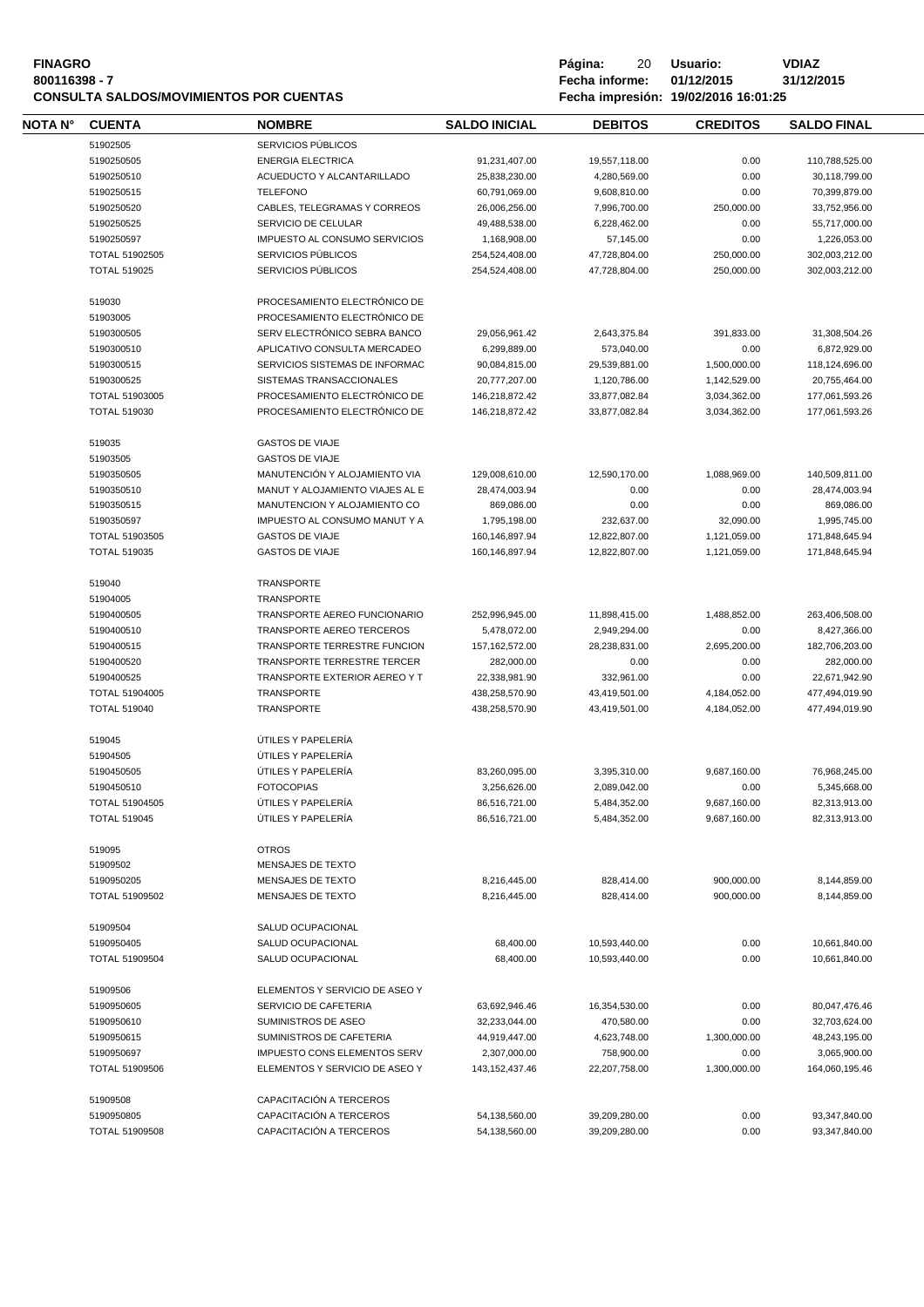# **FINAGRO P á g i n a :** 20 **U s u a r i o : VDIAZ CONSULTA SALDOS/MOVIMIENTOS POR CUENTAS**

**8**<br>**8**<br>**800116398 Fecha informe:** 01/12/2015<br>**18.01:25** 

| NOTA N° | <b>CUENTA</b>         | <b>NOMBRE</b>                   | <b>SALDO INICIAL</b> | <b>DEBITOS</b> | <b>CREDITOS</b> | <b>SALDO FINAL</b> |  |
|---------|-----------------------|---------------------------------|----------------------|----------------|-----------------|--------------------|--|
|         | 51902505              | SERVICIOS PÚBLICOS              |                      |                |                 |                    |  |
|         | 5190250505            | <b>ENERGIA ELECTRICA</b>        | 91,231,407.00        | 19,557,118.00  | 0.00            | 110,788,525.00     |  |
|         | 5190250510            | ACUEDUCTO Y ALCANTARILLADO      | 25,838,230.00        | 4,280,569.00   | 0.00            | 30,118,799.00      |  |
|         | 5190250515            | <b>TELEFONO</b>                 | 60,791,069.00        | 9,608,810.00   | 0.00            | 70,399,879.00      |  |
|         | 5190250520            | CABLES, TELEGRAMAS Y CORREOS    | 26,006,256.00        | 7,996,700.00   | 250,000.00      | 33,752,956.00      |  |
|         | 5190250525            | SERVICIO DE CELULAR             | 49,488,538.00        | 6,228,462.00   | 0.00            | 55,717,000.00      |  |
|         | 5190250597            | IMPUESTO AL CONSUMO SERVICIOS   | 1,168,908.00         | 57,145.00      | 0.00            | 1,226,053.00       |  |
|         | TOTAL 51902505        | SERVICIOS PÚBLICOS              | 254,524,408.00       | 47,728,804.00  | 250,000.00      | 302,003,212.00     |  |
|         | <b>TOTAL 519025</b>   | SERVICIOS PÚBLICOS              | 254,524,408.00       | 47,728,804.00  | 250,000.00      | 302,003,212.00     |  |
|         | 519030                | PROCESAMIENTO ELECTRÓNICO DE    |                      |                |                 |                    |  |
|         | 51903005              | PROCESAMIENTO ELECTRÓNICO DE    |                      |                |                 |                    |  |
|         | 5190300505            | SERV ELECTRÓNICO SEBRA BANCO    | 29,056,961.42        | 2,643,375.84   | 391,833.00      | 31,308,504.26      |  |
|         | 5190300510            | APLICATIVO CONSULTA MERCADEO    | 6,299,889.00         | 573,040.00     | 0.00            | 6,872,929.00       |  |
|         | 5190300515            | SERVICIOS SISTEMAS DE INFORMAC  | 90,084,815.00        | 29,539,881.00  | 1,500,000.00    | 118,124,696.00     |  |
|         | 5190300525            | SISTEMAS TRANSACCIONALES        | 20,777,207.00        | 1,120,786.00   | 1,142,529.00    | 20,755,464.00      |  |
|         | <b>TOTAL 51903005</b> | PROCESAMIENTO ELECTRÓNICO DE    | 146,218,872.42       | 33,877,082.84  | 3,034,362.00    | 177,061,593.26     |  |
|         | <b>TOTAL 519030</b>   | PROCESAMIENTO ELECTRÓNICO DE    | 146,218,872.42       | 33,877,082.84  | 3.034.362.00    | 177,061,593.26     |  |
|         | 519035                | <b>GASTOS DE VIAJE</b>          |                      |                |                 |                    |  |
|         | 51903505              | <b>GASTOS DE VIAJE</b>          |                      |                |                 |                    |  |
|         | 5190350505            | MANUTENCIÓN Y ALOJAMIENTO VIA   | 129,008,610.00       | 12,590,170.00  | 1,088,969.00    | 140,509,811.00     |  |
|         | 5190350510            | MANUT Y ALOJAMIENTO VIAJES AL E | 28,474,003.94        | 0.00           | 0.00            | 28,474,003.94      |  |
|         | 5190350515            | MANUTENCION Y ALOJAMIENTO CO    | 869,086.00           | 0.00           | 0.00            | 869,086.00         |  |
|         | 5190350597            | IMPUESTO AL CONSUMO MANUT Y A   | 1,795,198.00         | 232,637.00     | 32,090.00       | 1,995,745.00       |  |
|         | TOTAL 51903505        | <b>GASTOS DE VIAJE</b>          | 160,146,897.94       | 12.822.807.00  | 1,121,059.00    | 171,848,645.94     |  |
|         | <b>TOTAL 519035</b>   | <b>GASTOS DE VIAJE</b>          | 160,146,897.94       | 12,822,807.00  | 1,121,059.00    | 171,848,645.94     |  |
|         | 519040                | <b>TRANSPORTE</b>               |                      |                |                 |                    |  |
|         | 51904005              | TRANSPORTE                      |                      |                |                 |                    |  |
|         | 5190400505            | TRANSPORTE AEREO FUNCIONARIO    | 252,996,945.00       | 11,898,415.00  | 1,488,852.00    | 263,406,508.00     |  |
|         | 5190400510            | TRANSPORTE AEREO TERCEROS       | 5,478,072.00         | 2,949,294.00   | 0.00            | 8,427,366.00       |  |
|         | 5190400515            | TRANSPORTE TERRESTRE FUNCION    | 157, 162, 572.00     | 28,238,831.00  | 2,695,200.00    | 182,706,203.00     |  |
|         | 5190400520            | TRANSPORTE TERRESTRE TERCER     | 282,000.00           | 0.00           | 0.00            | 282,000.00         |  |
|         | 5190400525            | TRANSPORTE EXTERIOR AEREO Y T   | 22,338,981.90        | 332,961.00     | 0.00            | 22,671,942.90      |  |
|         | <b>TOTAL 51904005</b> | <b>TRANSPORTE</b>               | 438,258,570.90       | 43,419,501.00  | 4,184,052.00    | 477,494,019.90     |  |
|         | <b>TOTAL 519040</b>   | TRANSPORTE                      | 438,258,570.90       | 43,419,501.00  | 4,184,052.00    | 477,494,019.90     |  |
|         | 519045                | ÚTILES Y PAPELERÍA              |                      |                |                 |                    |  |
|         | 51904505              | ÚTILES Y PAPELERÍA              |                      |                |                 |                    |  |
|         | 5190450505            | ÚTILES Y PAPELERÍA              | 83,260,095.00        | 3,395,310.00   | 9,687,160.00    | 76,968,245.00      |  |
|         | 5190450510            | <b>FOTOCOPIAS</b>               | 3.256.626.00         | 2.089.042.00   | 0.00            | 5,345,668.00       |  |
|         | TOTAL 51904505        | ÚTILES Y PAPELERÍA              | 86,516,721.00        | 5,484,352.00   | 9,687,160.00    | 82,313,913.00      |  |
|         | <b>TOTAL 519045</b>   | ÚTILES Y PAPELERÍA              | 86,516,721.00        | 5,484,352.00   | 9,687,160.00    | 82,313,913.00      |  |
|         | 519095                | <b>OTROS</b>                    |                      |                |                 |                    |  |
|         | 51909502              | MENSAJES DE TEXTO               |                      |                |                 |                    |  |
|         | 5190950205            | MENSAJES DE TEXTO               | 8,216,445.00         | 828,414.00     | 900,000.00      | 8,144,859.00       |  |
|         | TOTAL 51909502        | MENSAJES DE TEXTO               | 8,216,445.00         | 828,414.00     | 900,000.00      | 8,144,859.00       |  |
|         | 51909504              | SALUD OCUPACIONAL               |                      |                |                 |                    |  |
|         | 5190950405            | SALUD OCUPACIONAL               | 68,400.00            | 10,593,440.00  | 0.00            | 10,661,840.00      |  |
|         |                       | SALUD OCUPACIONAL               |                      |                | 0.00            | 10,661,840.00      |  |
|         | TOTAL 51909504        |                                 | 68,400.00            | 10,593,440.00  |                 |                    |  |
|         | 51909506              | ELEMENTOS Y SERVICIO DE ASEO Y  |                      |                |                 |                    |  |
|         | 5190950605            | SERVICIO DE CAFETERIA           | 63,692,946.46        | 16,354,530.00  | 0.00            | 80,047,476.46      |  |
|         | 5190950610            | SUMINISTROS DE ASEO             | 32,233,044.00        | 470,580.00     | 0.00            | 32,703,624.00      |  |
|         | 5190950615            | SUMINISTROS DE CAFETERIA        | 44,919,447.00        | 4,623,748.00   | 1,300,000.00    | 48,243,195.00      |  |
|         | 5190950697            | IMPUESTO CONS ELEMENTOS SERV    | 2,307,000.00         | 758,900.00     | 0.00            | 3,065,900.00       |  |
|         | <b>TOTAL 51909506</b> | ELEMENTOS Y SERVICIO DE ASEO Y  | 143, 152, 437. 46    | 22,207,758.00  | 1,300,000.00    | 164,060,195.46     |  |
|         | 51909508              | CAPACITACIÓN A TERCEROS         |                      |                |                 |                    |  |
|         | 5190950805            | CAPACITACIÓN A TERCEROS         | 54,138,560.00        | 39,209,280.00  | 0.00            | 93,347,840.00      |  |
|         | TOTAL 51909508        | CAPACITACIÓN A TERCEROS         | 54,138,560.00        | 39,209,280.00  | 0.00            | 93,347,840.00      |  |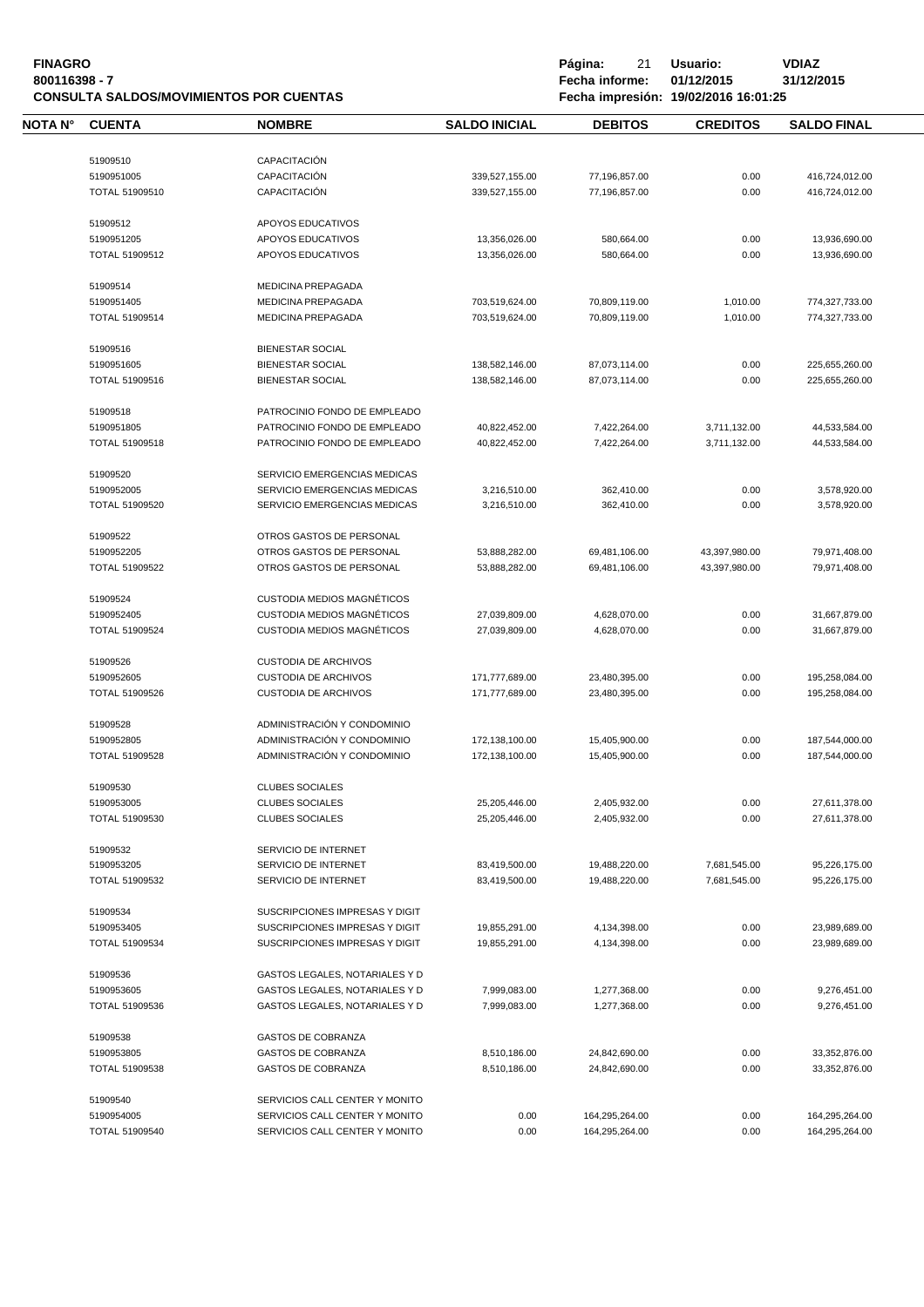| <b>FINAGRO</b><br>800116398 - 7 |                       | <b>CONSULTA SALDOS/MOVIMIENTOS POR CUENTAS</b> |                      | Página:<br>21<br>Fecha informe: | Usuario:<br>01/12/2015<br>Fecha impresión: 19/02/2016 16:01:25 | <b>VDIAZ</b><br>31/12/2015 |
|---------------------------------|-----------------------|------------------------------------------------|----------------------|---------------------------------|----------------------------------------------------------------|----------------------------|
| NOTA N°                         | <b>CUENTA</b>         | <b>NOMBRE</b>                                  | <b>SALDO INICIAL</b> | <b>DEBITOS</b>                  | <b>CREDITOS</b>                                                | <b>SALDO FINAL</b>         |
|                                 | 51909510              | CAPACITACIÓN                                   |                      |                                 |                                                                |                            |
|                                 |                       |                                                |                      |                                 |                                                                |                            |
|                                 | 5190951005            | CAPACITACIÓN<br>CAPACITACIÓN                   | 339,527,155.00       | 77,196,857.00                   | 0.00                                                           | 416,724,012.00             |
|                                 | TOTAL 51909510        |                                                | 339,527,155.00       | 77,196,857.00                   | 0.00                                                           | 416,724,012.00             |
|                                 | 51909512              | APOYOS EDUCATIVOS                              |                      |                                 |                                                                |                            |
|                                 | 5190951205            | APOYOS EDUCATIVOS                              | 13,356,026.00        | 580,664.00                      | 0.00                                                           | 13,936,690.00              |
|                                 | TOTAL 51909512        | APOYOS EDUCATIVOS                              | 13,356,026.00        | 580,664.00                      | 0.00                                                           | 13,936,690.00              |
|                                 | 51909514              | <b>MEDICINA PREPAGADA</b>                      |                      |                                 |                                                                |                            |
|                                 | 5190951405            | <b>MEDICINA PREPAGADA</b>                      | 703,519,624.00       | 70,809,119.00                   | 1,010.00                                                       | 774,327,733.00             |
|                                 | TOTAL 51909514        | MEDICINA PREPAGADA                             | 703,519,624.00       | 70,809,119.00                   | 1,010.00                                                       | 774,327,733.00             |
|                                 |                       |                                                |                      |                                 |                                                                |                            |
|                                 | 51909516              | <b>BIENESTAR SOCIAL</b>                        |                      |                                 |                                                                |                            |
|                                 | 5190951605            | <b>BIENESTAR SOCIAL</b>                        | 138,582,146.00       | 87,073,114.00                   | 0.00                                                           | 225,655,260.00             |
|                                 | TOTAL 51909516        | <b>BIENESTAR SOCIAL</b>                        | 138,582,146.00       | 87,073,114.00                   | 0.00                                                           | 225,655,260.00             |
|                                 | 51909518              | PATROCINIO FONDO DE EMPLEADO                   |                      |                                 |                                                                |                            |
|                                 | 5190951805            | PATROCINIO FONDO DE EMPLEADO                   | 40,822,452.00        | 7,422,264.00                    | 3,711,132.00                                                   | 44,533,584.00              |
|                                 | <b>TOTAL 51909518</b> | PATROCINIO FONDO DE EMPLEADO                   | 40,822,452.00        | 7,422,264.00                    | 3,711,132.00                                                   | 44,533,584.00              |
|                                 | 51909520              | SERVICIO EMERGENCIAS MEDICAS                   |                      |                                 |                                                                |                            |
|                                 | 5190952005            | SERVICIO EMERGENCIAS MEDICAS                   | 3,216,510.00         | 362,410.00                      | 0.00                                                           | 3,578,920.00               |
|                                 | <b>TOTAL 51909520</b> | SERVICIO EMERGENCIAS MEDICAS                   | 3,216,510.00         | 362,410.00                      | 0.00                                                           | 3,578,920.00               |
|                                 |                       |                                                |                      |                                 |                                                                |                            |
|                                 | 51909522              | OTROS GASTOS DE PERSONAL                       |                      |                                 |                                                                |                            |
|                                 | 5190952205            | OTROS GASTOS DE PERSONAL                       | 53,888,282.00        | 69,481,106.00                   | 43,397,980.00                                                  | 79,971,408.00              |
|                                 | TOTAL 51909522        | OTROS GASTOS DE PERSONAL                       | 53,888,282.00        | 69,481,106.00                   | 43,397,980.00                                                  | 79,971,408.00              |
|                                 | 51909524              | <b>CUSTODIA MEDIOS MAGNÉTICOS</b>              |                      |                                 |                                                                |                            |
|                                 | 5190952405            | CUSTODIA MEDIOS MAGNÉTICOS                     | 27,039,809.00        | 4,628,070.00                    | 0.00                                                           | 31,667,879.00              |
|                                 | <b>TOTAL 51909524</b> | <b>CUSTODIA MEDIOS MAGNÉTICOS</b>              | 27,039,809.00        | 4,628,070.00                    | 0.00                                                           | 31,667,879.00              |
|                                 | 51909526              | <b>CUSTODIA DE ARCHIVOS</b>                    |                      |                                 |                                                                |                            |
|                                 | 5190952605            | <b>CUSTODIA DE ARCHIVOS</b>                    | 171,777,689.00       | 23,480,395.00                   | 0.00                                                           | 195,258,084.00             |
|                                 | TOTAL 51909526        | <b>CUSTODIA DE ARCHIVOS</b>                    | 171,777,689.00       | 23,480,395.00                   | 0.00                                                           | 195,258,084.00             |
|                                 |                       |                                                |                      |                                 |                                                                |                            |
|                                 | 51909528              | ADMINISTRACIÓN Y CONDOMINIO                    |                      |                                 |                                                                |                            |
|                                 | 5190952805            | ADMINISTRACIÓN Y CONDOMINIO                    | 172,138,100.00       | 15,405,900.00                   | 0.00                                                           | 187,544,000.00             |
|                                 | TOTAL 51909528        | ADMINISTRACIÓN Y CONDOMINIO                    | 172,138,100.00       | 15,405,900.00                   | 0.00                                                           | 187,544,000.00             |
|                                 | 51909530              | <b>CLUBES SOCIALES</b>                         |                      |                                 |                                                                |                            |
|                                 | 5190953005            | <b>CLUBES SOCIALES</b>                         | 25,205,446.00        | 2,405,932.00                    | 0.00                                                           | 27,611,378.00              |
|                                 | TOTAL 51909530        | <b>CLUBES SOCIALES</b>                         | 25,205,446.00        | 2,405,932.00                    | 0.00                                                           | 27,611,378.00              |
|                                 | 51909532              | SERVICIO DE INTERNET                           |                      |                                 |                                                                |                            |
|                                 | 5190953205            | SERVICIO DE INTERNET                           | 83,419,500.00        | 19,488,220.00                   | 7,681,545.00                                                   | 95,226,175.00              |
|                                 | TOTAL 51909532        | SERVICIO DE INTERNET                           | 83,419,500.00        | 19,488,220.00                   | 7,681,545.00                                                   | 95,226,175.00              |
|                                 |                       |                                                |                      |                                 |                                                                |                            |
|                                 | 51909534              | SUSCRIPCIONES IMPRESAS Y DIGIT                 |                      |                                 |                                                                |                            |
|                                 | 5190953405            | SUSCRIPCIONES IMPRESAS Y DIGIT                 | 19,855,291.00        | 4,134,398.00                    | 0.00                                                           | 23,989,689.00              |
|                                 | TOTAL 51909534        | SUSCRIPCIONES IMPRESAS Y DIGIT                 | 19,855,291.00        | 4,134,398.00                    | 0.00                                                           | 23,989,689.00              |
|                                 | 51909536              | GASTOS LEGALES, NOTARIALES Y D                 |                      |                                 |                                                                |                            |
|                                 | 5190953605            | GASTOS LEGALES, NOTARIALES Y D                 | 7,999,083.00         | 1,277,368.00                    | 0.00                                                           | 9,276,451.00               |
|                                 | TOTAL 51909536        | GASTOS LEGALES, NOTARIALES Y D                 | 7,999,083.00         | 1,277,368.00                    | 0.00                                                           | 9,276,451.00               |
|                                 | 51909538              | <b>GASTOS DE COBRANZA</b>                      |                      |                                 |                                                                |                            |
|                                 | 5190953805            | GASTOS DE COBRANZA                             | 8,510,186.00         | 24,842,690.00                   | 0.00                                                           | 33,352,876.00              |
|                                 | TOTAL 51909538        | <b>GASTOS DE COBRANZA</b>                      | 8,510,186.00         | 24,842,690.00                   | 0.00                                                           | 33,352,876.00              |
|                                 |                       |                                                |                      |                                 |                                                                |                            |
|                                 | 51909540              | SERVICIOS CALL CENTER Y MONITO                 |                      |                                 |                                                                |                            |
|                                 | 5190954005            | SERVICIOS CALL CENTER Y MONITO                 | 0.00                 | 164,295,264.00                  | 0.00                                                           | 164,295,264.00             |
|                                 | <b>TOTAL 51909540</b> | SERVICIOS CALL CENTER Y MONITO                 | 0.00                 | 164,295,264.00                  | 0.00                                                           | 164,295,264.00             |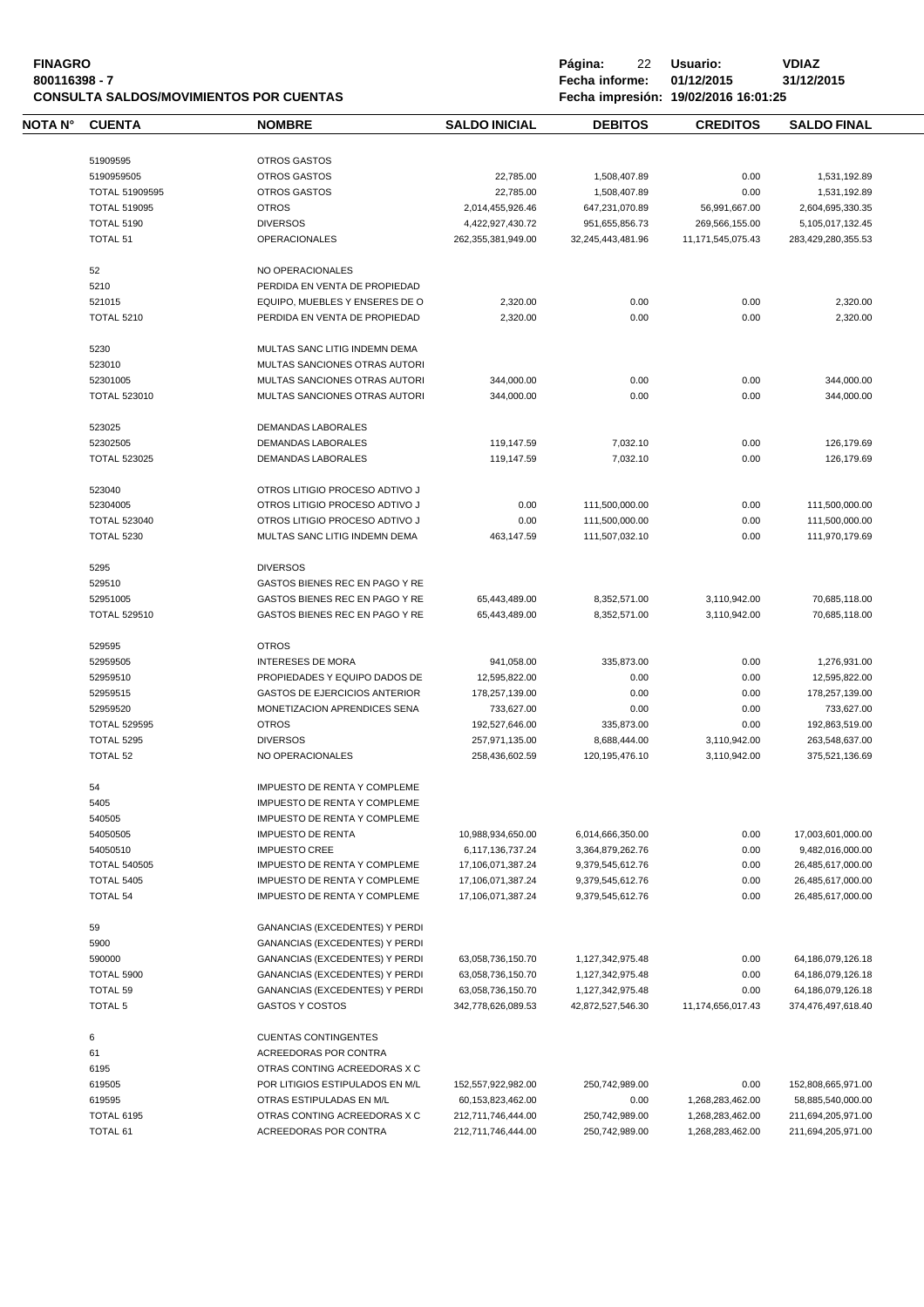| <b>FINAGRO</b>                          |
|-----------------------------------------|
| 800116398 - 7                           |
| CONSULTA SALDOS/MOVIMIENTOS POR CUENTAS |

| NOTA N° | <b>CUENTA</b>                 | <b>NOMBRE</b>                                                       | <b>SALDO INICIAL</b>                   | <b>DEBITOS</b>    | <b>CREDITOS</b>   | <b>SALDO FINAL</b>                     |  |
|---------|-------------------------------|---------------------------------------------------------------------|----------------------------------------|-------------------|-------------------|----------------------------------------|--|
|         |                               |                                                                     |                                        |                   |                   |                                        |  |
|         | 51909595                      | <b>OTROS GASTOS</b>                                                 |                                        |                   |                   |                                        |  |
|         | 5190959505                    | <b>OTROS GASTOS</b>                                                 | 22,785.00                              | 1,508,407.89      | 0.00              | 1,531,192.89                           |  |
|         | <b>TOTAL 51909595</b>         | <b>OTROS GASTOS</b>                                                 | 22,785.00                              | 1,508,407.89      | 0.00              | 1,531,192.89                           |  |
|         | <b>TOTAL 519095</b>           | <b>OTROS</b>                                                        | 2,014,455,926.46                       | 647,231,070.89    | 56,991,667.00     | 2,604,695,330.35                       |  |
|         | <b>TOTAL 5190</b>             | <b>DIVERSOS</b>                                                     |                                        |                   |                   |                                        |  |
|         |                               |                                                                     | 4,422,927,430.72                       | 951,655,856.73    | 269,566,155.00    | 5,105,017,132.45                       |  |
|         | <b>TOTAL 51</b>               | <b>OPERACIONALES</b>                                                | 262,355,381,949.00                     | 32,245,443,481.96 | 11,171,545,075.43 | 283,429,280,355.53                     |  |
|         | 52                            | NO OPERACIONALES                                                    |                                        |                   |                   |                                        |  |
|         | 5210                          | PERDIDA EN VENTA DE PROPIEDAD                                       |                                        |                   |                   |                                        |  |
|         | 521015                        | EQUIPO, MUEBLES Y ENSERES DE O                                      | 2,320.00                               | 0.00              | 0.00              | 2,320.00                               |  |
|         | <b>TOTAL 5210</b>             | PERDIDA EN VENTA DE PROPIEDAD                                       | 2,320.00                               | 0.00              | 0.00              | 2,320.00                               |  |
|         |                               |                                                                     |                                        |                   |                   |                                        |  |
|         | 5230                          | MULTAS SANC LITIG INDEMN DEMA                                       |                                        |                   |                   |                                        |  |
|         | 523010                        | MULTAS SANCIONES OTRAS AUTORI                                       |                                        |                   |                   |                                        |  |
|         | 52301005                      | MULTAS SANCIONES OTRAS AUTORI                                       | 344,000.00                             | 0.00              | 0.00              | 344,000.00                             |  |
|         | <b>TOTAL 523010</b>           | MULTAS SANCIONES OTRAS AUTORI                                       | 344,000.00                             | 0.00              | 0.00              | 344,000.00                             |  |
|         |                               |                                                                     |                                        |                   |                   |                                        |  |
|         | 523025                        | DEMANDAS LABORALES                                                  |                                        |                   |                   |                                        |  |
|         | 52302505                      | <b>DEMANDAS LABORALES</b>                                           | 119,147.59                             | 7,032.10          | 0.00              | 126.179.69                             |  |
|         | <b>TOTAL 523025</b>           | DEMANDAS LABORALES                                                  | 119,147.59                             | 7,032.10          | 0.00              | 126,179.69                             |  |
|         |                               |                                                                     |                                        |                   |                   |                                        |  |
|         | 523040                        | OTROS LITIGIO PROCESO ADTIVO J                                      |                                        |                   |                   |                                        |  |
|         | 52304005                      | OTROS LITIGIO PROCESO ADTIVO J                                      | 0.00                                   | 111,500,000.00    | 0.00              | 111,500,000.00                         |  |
|         | <b>TOTAL 523040</b>           | OTROS LITIGIO PROCESO ADTIVO J                                      | 0.00                                   | 111,500,000.00    | 0.00              | 111,500,000.00                         |  |
|         | <b>TOTAL 5230</b>             | MULTAS SANC LITIG INDEMN DEMA                                       | 463,147.59                             | 111,507,032.10    | 0.00              | 111.970.179.69                         |  |
|         | 5295                          | <b>DIVERSOS</b>                                                     |                                        |                   |                   |                                        |  |
|         | 529510                        | GASTOS BIENES REC EN PAGO Y RE                                      |                                        |                   |                   |                                        |  |
|         |                               |                                                                     |                                        |                   |                   |                                        |  |
|         | 52951005                      | GASTOS BIENES REC EN PAGO Y RE                                      | 65,443,489.00                          | 8,352,571.00      | 3,110,942.00      | 70,685,118.00                          |  |
|         | <b>TOTAL 529510</b>           | GASTOS BIENES REC EN PAGO Y RE                                      | 65,443,489.00                          | 8,352,571.00      | 3,110,942.00      | 70,685,118.00                          |  |
|         | 529595                        | <b>OTROS</b>                                                        |                                        |                   |                   |                                        |  |
|         | 52959505                      | <b>INTERESES DE MORA</b>                                            | 941,058.00                             | 335,873.00        | 0.00              | 1,276,931.00                           |  |
|         | 52959510                      | PROPIEDADES Y EQUIPO DADOS DE                                       | 12,595,822.00                          | 0.00              | 0.00              | 12,595,822.00                          |  |
|         | 52959515                      | <b>GASTOS DE EJERCICIOS ANTERIOR</b>                                | 178,257,139.00                         | 0.00              | 0.00              | 178,257,139.00                         |  |
|         | 52959520                      | MONETIZACION APRENDICES SENA                                        | 733,627.00                             | 0.00              | 0.00              | 733,627.00                             |  |
|         | <b>TOTAL 529595</b>           | <b>OTROS</b>                                                        | 192,527,646.00                         | 335,873.00        | 0.00              | 192,863,519.00                         |  |
|         | <b>TOTAL 5295</b>             | <b>DIVERSOS</b>                                                     |                                        | 8,688,444.00      |                   |                                        |  |
|         |                               |                                                                     | 257,971,135.00                         |                   | 3,110,942.00      | 263,548,637.00                         |  |
|         | TOTAL 52                      | NO OPERACIONALES                                                    | 258,436,602.59                         | 120, 195, 476. 10 | 3,110,942.00      | 375,521,136.69                         |  |
|         | 54                            | <b>IMPUESTO DE RENTA Y COMPLEME</b>                                 |                                        |                   |                   |                                        |  |
|         | 5405                          | <b>IMPUESTO DE RENTA Y COMPLEME</b>                                 |                                        |                   |                   |                                        |  |
|         | 540505                        | <b>IMPUESTO DE RENTA Y COMPLEME</b>                                 |                                        |                   |                   |                                        |  |
|         | 54050505                      | <b>IMPUESTO DE RENTA</b>                                            | 10,988,934,650.00                      | 6,014,666,350.00  | 0.00              | 17,003,601,000.00                      |  |
|         | 54050510                      | <b>IMPUESTO CREE</b>                                                | 6,117,136,737.24                       | 3,364,879,262.76  | 0.00              | 9,482,016,000.00                       |  |
|         | <b>TOTAL 540505</b>           | IMPUESTO DE RENTA Y COMPLEME                                        | 17,106,071,387.24                      | 9,379,545,612.76  | 0.00              | 26,485,617,000.00                      |  |
|         |                               |                                                                     |                                        | 9,379,545,612.76  |                   |                                        |  |
|         | TOTAL 5405<br><b>TOTAL 54</b> | IMPUESTO DE RENTA Y COMPLEME<br><b>IMPUESTO DE RENTA Y COMPLEME</b> | 17,106,071,387.24<br>17,106,071,387.24 | 9,379,545,612.76  | 0.00<br>0.00      | 26,485,617,000.00<br>26,485,617,000.00 |  |
|         |                               |                                                                     |                                        |                   |                   |                                        |  |
|         | 59                            | <b>GANANCIAS (EXCEDENTES) Y PERDI</b>                               |                                        |                   |                   |                                        |  |
|         | 5900                          | GANANCIAS (EXCEDENTES) Y PERDI                                      |                                        |                   |                   |                                        |  |
|         | 590000                        | GANANCIAS (EXCEDENTES) Y PERDI                                      | 63,058,736,150.70                      | 1,127,342,975.48  | 0.00              | 64,186,079,126.18                      |  |
|         | TOTAL 5900                    | GANANCIAS (EXCEDENTES) Y PERDI                                      | 63,058,736,150.70                      | 1,127,342,975.48  | 0.00              | 64,186,079,126.18                      |  |
|         | <b>TOTAL 59</b>               | GANANCIAS (EXCEDENTES) Y PERDI                                      | 63,058,736,150.70                      | 1,127,342,975.48  | 0.00              | 64,186,079,126.18                      |  |
|         | <b>TOTAL 5</b>                | <b>GASTOS Y COSTOS</b>                                              | 342,778,626,089.53                     | 42,872,527,546.30 | 11,174,656,017.43 | 374,476,497,618.40                     |  |
|         |                               |                                                                     |                                        |                   |                   |                                        |  |
|         | 6                             | <b>CUENTAS CONTINGENTES</b>                                         |                                        |                   |                   |                                        |  |
|         | 61                            | ACREEDORAS POR CONTRA                                               |                                        |                   |                   |                                        |  |
|         | 6195                          | OTRAS CONTING ACREEDORAS X C                                        |                                        |                   |                   |                                        |  |
|         | 619505                        | POR LITIGIOS ESTIPULADOS EN M/L                                     | 152,557,922,982.00                     | 250,742,989.00    | 0.00              | 152,808,665,971.00                     |  |
|         | 619595                        | OTRAS ESTIPULADAS EN M/L                                            | 60,153,823,462.00                      | 0.00              | 1,268,283,462.00  | 58,885,540,000.00                      |  |
|         | TOTAL 6195                    | OTRAS CONTING ACREEDORAS X C                                        | 212,711,746,444.00                     | 250,742,989.00    | 1,268,283,462.00  | 211,694,205,971.00                     |  |
|         | <b>TOTAL 61</b>               | ACREEDORAS POR CONTRA                                               | 212,711,746,444.00                     | 250,742,989.00    | 1,268,283,462.00  | 211,694,205,971.00                     |  |
|         |                               |                                                                     |                                        |                   |                   |                                        |  |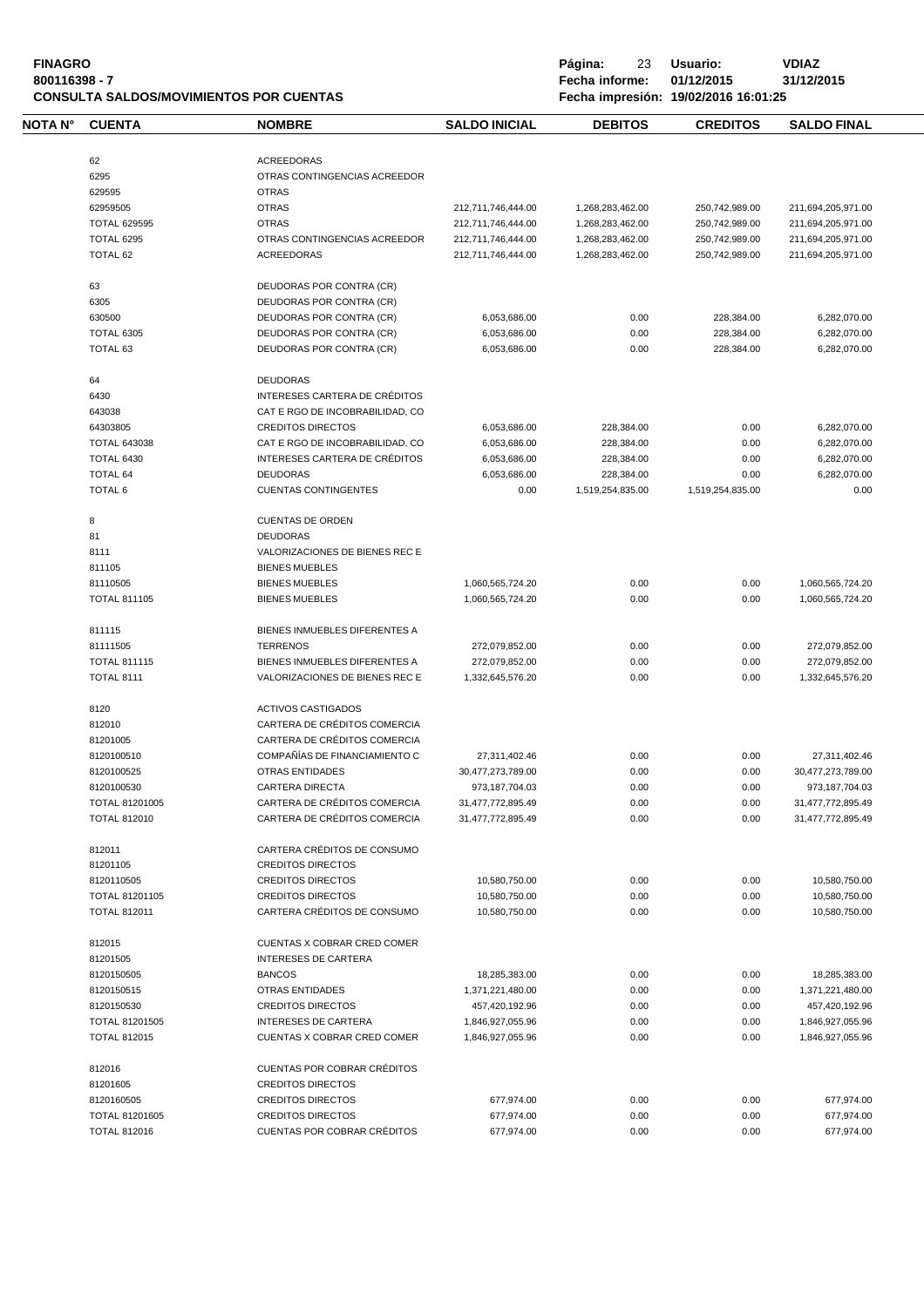| <b>FINAGRO</b><br>800116398 - 7 |                       | <b>CONSULTA SALDOS/MOVIMIENTOS POR CUENTAS</b> |                      | Página:<br>23<br>Fecha informe: | Usuario:<br>01/12/2015<br>Fecha impresión: 19/02/2016 16:01:25 | <b>VDIAZ</b><br>31/12/2015 |
|---------------------------------|-----------------------|------------------------------------------------|----------------------|---------------------------------|----------------------------------------------------------------|----------------------------|
| <b>NOTA N°</b>                  | <b>CUENTA</b>         | <b>NOMBRE</b>                                  | <b>SALDO INICIAL</b> | <b>DEBITOS</b>                  | <b>CREDITOS</b>                                                | <b>SALDO FINAL</b>         |
|                                 | 62                    | <b>ACREEDORAS</b>                              |                      |                                 |                                                                |                            |
|                                 | 6295                  | OTRAS CONTINGENCIAS ACREEDOR                   |                      |                                 |                                                                |                            |
|                                 | 629595                | <b>OTRAS</b>                                   |                      |                                 |                                                                |                            |
|                                 | 62959505              | <b>OTRAS</b>                                   | 212,711,746,444.00   | 1,268,283,462.00                | 250,742,989.00                                                 | 211,694,205,971.00         |
|                                 | <b>TOTAL 629595</b>   | <b>OTRAS</b>                                   | 212,711,746,444.00   | 1,268,283,462.00                | 250,742,989.00                                                 | 211,694,205,971.00         |
|                                 | <b>TOTAL 6295</b>     | OTRAS CONTINGENCIAS ACREEDOR                   | 212,711,746,444.00   | 1,268,283,462.00                | 250,742,989.00                                                 | 211,694,205,971.00         |
|                                 | TOTAL 62              | <b>ACREEDORAS</b>                              | 212,711,746,444.00   | 1,268,283,462.00                | 250,742,989.00                                                 | 211,694,205,971.00         |
|                                 | 63                    | DEUDORAS POR CONTRA (CR)                       |                      |                                 |                                                                |                            |
|                                 | 6305                  | DEUDORAS POR CONTRA (CR)                       |                      |                                 |                                                                |                            |
|                                 | 630500                | DEUDORAS POR CONTRA (CR)                       | 6,053,686.00         | 0.00                            | 228,384.00                                                     | 6,282,070.00               |
|                                 | TOTAL 6305            | DEUDORAS POR CONTRA (CR)                       | 6,053,686.00         | 0.00                            | 228,384.00                                                     | 6,282,070.00               |
|                                 | TOTAL 63              | DEUDORAS POR CONTRA (CR)                       | 6,053,686.00         | 0.00                            | 228,384.00                                                     | 6,282,070.00               |
|                                 | 64                    | <b>DEUDORAS</b>                                |                      |                                 |                                                                |                            |
|                                 | 6430                  | INTERESES CARTERA DE CRÉDITOS                  |                      |                                 |                                                                |                            |
|                                 | 643038                | CAT E RGO DE INCOBRABILIDAD, CO                |                      |                                 |                                                                |                            |
|                                 | 64303805              | <b>CREDITOS DIRECTOS</b>                       | 6,053,686.00         | 228,384.00                      | 0.00                                                           | 6,282,070.00               |
|                                 | <b>TOTAL 643038</b>   | CAT E RGO DE INCOBRABILIDAD, CO                | 6,053,686.00         | 228,384.00                      | 0.00                                                           | 6,282,070.00               |
|                                 | <b>TOTAL 6430</b>     | INTERESES CARTERA DE CRÉDITOS                  | 6,053,686.00         | 228,384.00                      | 0.00                                                           | 6,282,070.00               |
|                                 | <b>TOTAL 64</b>       | <b>DEUDORAS</b>                                | 6,053,686.00         | 228,384.00                      | 0.00                                                           | 6,282,070.00               |
|                                 | TOTAL 6               | <b>CUENTAS CONTINGENTES</b>                    | 0.00                 | 1,519,254,835.00                | 1,519,254,835.00                                               | 0.00                       |
|                                 | 8                     | <b>CUENTAS DE ORDEN</b>                        |                      |                                 |                                                                |                            |
|                                 | 81                    | <b>DEUDORAS</b>                                |                      |                                 |                                                                |                            |
|                                 | 8111                  | VALORIZACIONES DE BIENES REC E                 |                      |                                 |                                                                |                            |
|                                 | 811105                | <b>BIENES MUEBLES</b>                          |                      |                                 |                                                                |                            |
|                                 | 81110505              | <b>BIENES MUEBLES</b>                          | 1,060,565,724.20     | 0.00                            | 0.00                                                           | 1,060,565,724.20           |
|                                 | <b>TOTAL 811105</b>   | <b>BIENES MUEBLES</b>                          | 1,060,565,724.20     | 0.00                            | 0.00                                                           | 1,060,565,724.20           |
|                                 | 811115                | BIENES INMUEBLES DIFERENTES A                  |                      |                                 |                                                                |                            |
|                                 | 81111505              | <b>TERRENOS</b>                                | 272,079,852.00       | 0.00                            | 0.00                                                           | 272,079,852.00             |
|                                 | <b>TOTAL 811115</b>   | BIENES INMUEBLES DIFERENTES A                  | 272,079,852.00       | 0.00                            | 0.00                                                           | 272,079,852.00             |
|                                 | <b>TOTAL 8111</b>     | VALORIZACIONES DE BIENES REC E                 | 1,332,645,576.20     | 0.00                            | 0.00                                                           | 1,332,645,576.20           |
|                                 | 8120                  | <b>ACTIVOS CASTIGADOS</b>                      |                      |                                 |                                                                |                            |
|                                 | 812010                | CARTERA DE CRÉDITOS COMERCIA                   |                      |                                 |                                                                |                            |
|                                 | 81201005              | CARTERA DE CRÉDITOS COMERCIA                   |                      |                                 |                                                                |                            |
|                                 | 8120100510            | COMPAÑÍAS DE FINANCIAMIENTO C                  | 27,311,402.46        | 0.00                            | 0.00                                                           | 27,311,402.46              |
|                                 | 8120100525            | OTRAS ENTIDADES                                | 30,477,273,789.00    | 0.00                            | 0.00                                                           | 30,477,273,789.00          |
|                                 | 8120100530            | <b>CARTERA DIRECTA</b>                         | 973,187,704.03       | 0.00                            | 0.00                                                           | 973,187,704.03             |
|                                 | <b>TOTAL 81201005</b> | CARTERA DE CRÉDITOS COMERCIA                   | 31,477,772,895.49    | 0.00                            | 0.00                                                           | 31,477,772,895.49          |
|                                 | <b>TOTAL 812010</b>   | CARTERA DE CRÉDITOS COMERCIA                   | 31,477,772,895.49    | 0.00                            | 0.00                                                           | 31,477,772,895.49          |
|                                 | 812011                | CARTERA CRÉDITOS DE CONSUMO                    |                      |                                 |                                                                |                            |
|                                 | 81201105              | <b>CREDITOS DIRECTOS</b>                       |                      |                                 |                                                                |                            |
|                                 | 8120110505            | <b>CREDITOS DIRECTOS</b>                       | 10,580,750.00        | 0.00                            | 0.00                                                           | 10,580,750.00              |
|                                 | TOTAL 81201105        | <b>CREDITOS DIRECTOS</b>                       | 10,580,750.00        | 0.00                            | 0.00                                                           | 10,580,750.00              |
|                                 | <b>TOTAL 812011</b>   | CARTERA CRÉDITOS DE CONSUMO                    | 10,580,750.00        | 0.00                            | 0.00                                                           | 10,580,750.00              |
|                                 | 812015                | CUENTAS X COBRAR CRED COMER                    |                      |                                 |                                                                |                            |
|                                 | 81201505              | <b>INTERESES DE CARTERA</b>                    |                      |                                 |                                                                |                            |
|                                 | 8120150505            | <b>BANCOS</b>                                  | 18,285,383.00        | 0.00                            | 0.00                                                           | 18,285,383.00              |
|                                 | 8120150515            | <b>OTRAS ENTIDADES</b>                         | 1,371,221,480.00     | 0.00                            | 0.00                                                           | 1,371,221,480.00           |
|                                 | 8120150530            | <b>CREDITOS DIRECTOS</b>                       | 457,420,192.96       | 0.00                            | 0.00                                                           | 457,420,192.96             |
|                                 | TOTAL 81201505        | INTERESES DE CARTERA                           | 1,846,927,055.96     | 0.00                            | 0.00                                                           | 1,846,927,055.96           |
|                                 | <b>TOTAL 812015</b>   | CUENTAS X COBRAR CRED COMER                    | 1,846,927,055.96     | 0.00                            | 0.00                                                           | 1,846,927,055.96           |
|                                 | 812016                | CUENTAS POR COBRAR CRÉDITOS                    |                      |                                 |                                                                |                            |
|                                 | 81201605              | <b>CREDITOS DIRECTOS</b>                       |                      |                                 |                                                                |                            |
|                                 | 8120160505            | <b>CREDITOS DIRECTOS</b>                       | 677,974.00           | 0.00                            | 0.00                                                           | 677,974.00                 |
|                                 | TOTAL 81201605        | <b>CREDITOS DIRECTOS</b>                       | 677,974.00           | 0.00                            | 0.00                                                           | 677,974.00                 |
|                                 | <b>TOTAL 812016</b>   | CUENTAS POR COBRAR CRÉDITOS                    | 677,974.00           | 0.00                            | 0.00                                                           | 677,974.00                 |
|                                 |                       |                                                |                      |                                 |                                                                |                            |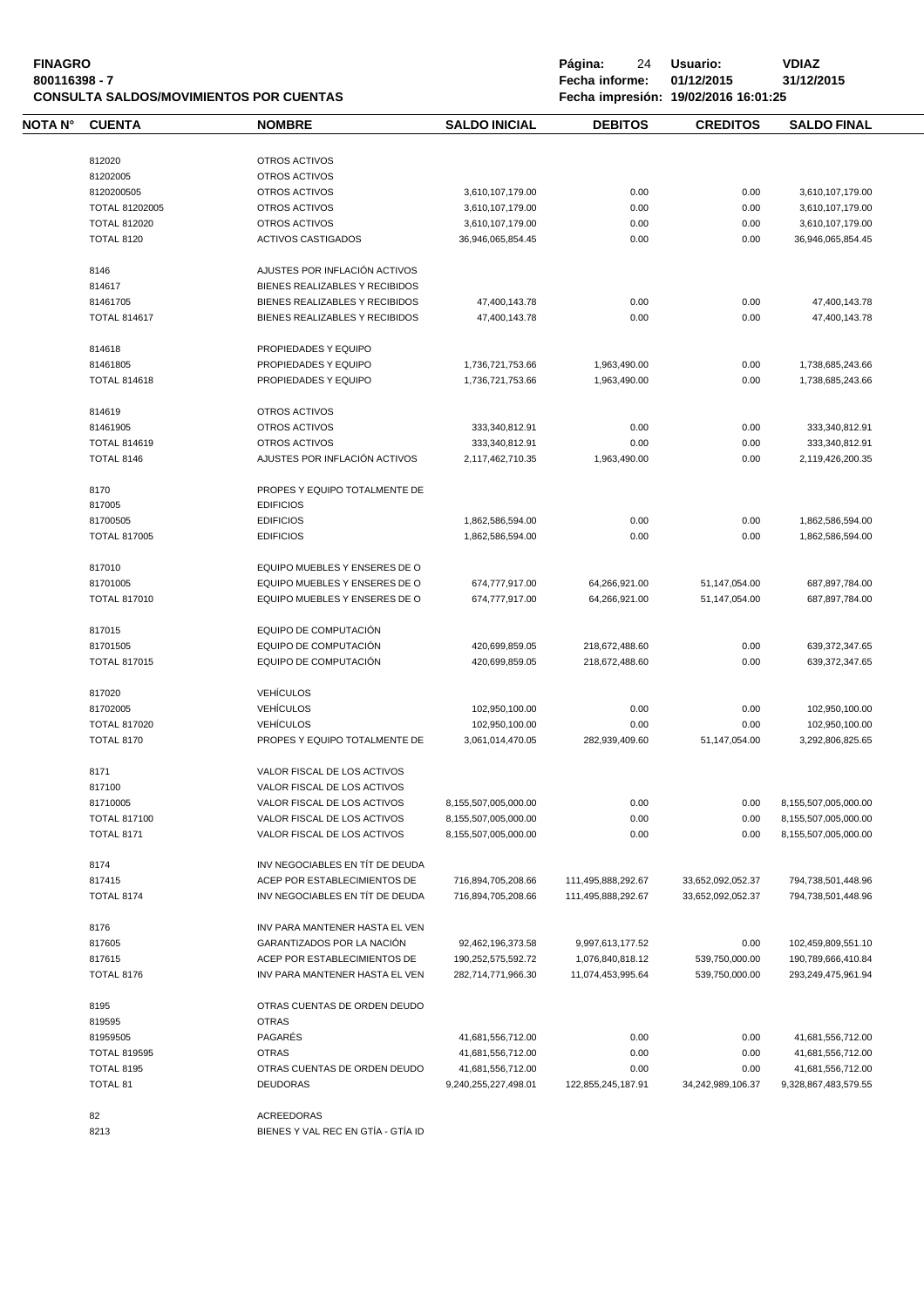| <b>FINAGRO</b><br>800116398 - 7<br><b>CONSULTA SALDOS/MOVIMIENTOS POR CUENTAS</b> |                     |                                    | Página:<br>24<br>Fecha informe: | Usuario:<br>01/12/2015<br>Fecha impresión: 19/02/2016 16:01:25 | <b>VDIAZ</b><br>31/12/2015 |                      |
|-----------------------------------------------------------------------------------|---------------------|------------------------------------|---------------------------------|----------------------------------------------------------------|----------------------------|----------------------|
| NOTA N°                                                                           | <b>CUENTA</b>       | <b>NOMBRE</b>                      | <b>SALDO INICIAL</b>            | <b>DEBITOS</b>                                                 | <b>CREDITOS</b>            | <b>SALDO FINAL</b>   |
|                                                                                   | 812020              | OTROS ACTIVOS                      |                                 |                                                                |                            |                      |
|                                                                                   | 81202005            | OTROS ACTIVOS                      |                                 |                                                                |                            |                      |
|                                                                                   | 8120200505          | OTROS ACTIVOS                      | 3,610,107,179.00                | 0.00                                                           | 0.00                       | 3,610,107,179.00     |
|                                                                                   | TOTAL 81202005      | OTROS ACTIVOS                      | 3,610,107,179.00                | 0.00                                                           | 0.00                       | 3,610,107,179.00     |
|                                                                                   | <b>TOTAL 812020</b> | OTROS ACTIVOS                      | 3,610,107,179.00                | 0.00                                                           | 0.00                       | 3,610,107,179.00     |
|                                                                                   | <b>TOTAL 8120</b>   | <b>ACTIVOS CASTIGADOS</b>          | 36,946,065,854.45               | 0.00                                                           | 0.00                       | 36,946,065,854.45    |
|                                                                                   |                     |                                    |                                 |                                                                |                            |                      |
|                                                                                   | 8146                | AJUSTES POR INFLACIÓN ACTIVOS      |                                 |                                                                |                            |                      |
|                                                                                   | 814617              | BIENES REALIZABLES Y RECIBIDOS     |                                 |                                                                |                            |                      |
|                                                                                   | 81461705            | BIENES REALIZABLES Y RECIBIDOS     | 47,400,143.78                   | 0.00                                                           | 0.00                       | 47,400,143.78        |
|                                                                                   | <b>TOTAL 814617</b> | BIENES REALIZABLES Y RECIBIDOS     | 47,400,143.78                   | 0.00                                                           | 0.00                       | 47,400,143.78        |
|                                                                                   | 814618              | PROPIEDADES Y EQUIPO               |                                 |                                                                |                            |                      |
|                                                                                   | 81461805            | PROPIEDADES Y EQUIPO               | 1,736,721,753.66                | 1,963,490.00                                                   | 0.00                       | 1,738,685,243.66     |
|                                                                                   | <b>TOTAL 814618</b> | PROPIEDADES Y EQUIPO               | 1,736,721,753.66                | 1,963,490.00                                                   | 0.00                       | 1,738,685,243.66     |
|                                                                                   | 814619              | OTROS ACTIVOS                      |                                 |                                                                |                            |                      |
|                                                                                   | 81461905            | OTROS ACTIVOS                      | 333,340,812.91                  | 0.00                                                           | 0.00                       | 333,340,812.91       |
|                                                                                   |                     |                                    |                                 |                                                                |                            |                      |
|                                                                                   | <b>TOTAL 814619</b> | OTROS ACTIVOS                      | 333,340,812.91                  | 0.00                                                           | 0.00                       | 333,340,812.91       |
|                                                                                   | TOTAL 8146          | AJUSTES POR INFLACIÓN ACTIVOS      | 2,117,462,710.35                | 1,963,490.00                                                   | 0.00                       | 2,119,426,200.35     |
|                                                                                   | 8170                | PROPES Y EQUIPO TOTALMENTE DE      |                                 |                                                                |                            |                      |
|                                                                                   | 817005              | <b>EDIFICIOS</b>                   |                                 |                                                                |                            |                      |
|                                                                                   | 81700505            | <b>EDIFICIOS</b>                   | 1,862,586,594.00                | 0.00                                                           | 0.00                       | 1,862,586,594.00     |
|                                                                                   | <b>TOTAL 817005</b> | <b>EDIFICIOS</b>                   | 1,862,586,594.00                | 0.00                                                           | 0.00                       | 1,862,586,594.00     |
|                                                                                   | 817010              | EQUIPO MUEBLES Y ENSERES DE O      |                                 |                                                                |                            |                      |
|                                                                                   | 81701005            | EQUIPO MUEBLES Y ENSERES DE O      | 674,777,917.00                  | 64,266,921.00                                                  | 51,147,054.00              | 687,897,784.00       |
|                                                                                   | <b>TOTAL 817010</b> | EQUIPO MUEBLES Y ENSERES DE O      | 674,777,917.00                  | 64,266,921.00                                                  | 51,147,054.00              | 687,897,784.00       |
|                                                                                   | 817015              | EQUIPO DE COMPUTACIÓN              |                                 |                                                                |                            |                      |
|                                                                                   | 81701505            | EQUIPO DE COMPUTACIÓN              | 420,699,859.05                  | 218,672,488.60                                                 | 0.00                       | 639,372,347.65       |
|                                                                                   | <b>TOTAL 817015</b> | EQUIPO DE COMPUTACIÓN              | 420,699,859.05                  | 218,672,488.60                                                 | 0.00                       | 639,372,347.65       |
|                                                                                   |                     |                                    |                                 |                                                                |                            |                      |
|                                                                                   | 817020              | <b>VEHÍCULOS</b>                   |                                 |                                                                |                            |                      |
|                                                                                   | 81702005            | <b>VEHÍCULOS</b>                   | 102,950,100.00                  | 0.00                                                           | 0.00                       | 102,950,100.00       |
|                                                                                   | <b>TOTAL 817020</b> | <b>VEHÍCULOS</b>                   | 102,950,100.00                  | 0.00                                                           | 0.00                       | 102,950,100.00       |
|                                                                                   | <b>TOTAL 8170</b>   | PROPES Y EQUIPO TOTALMENTE DE      | 3,061,014,470.05                | 282,939,409.60                                                 | 51,147,054.00              | 3.292.806.825.65     |
|                                                                                   | 8171                | VALOR FISCAL DE LOS ACTIVOS        |                                 |                                                                |                            |                      |
|                                                                                   | 817100              | VALOR FISCAL DE LOS ACTIVOS        |                                 |                                                                |                            |                      |
|                                                                                   | 81710005            | VALOR FISCAL DE LOS ACTIVOS        | 8,155,507,005,000.00            | 0.00                                                           | 0.00                       | 8,155,507,005,000.00 |
|                                                                                   | <b>TOTAL 817100</b> | VALOR FISCAL DE LOS ACTIVOS        | 8,155,507,005,000.00            | 0.00                                                           | 0.00                       | 8,155,507,005,000.00 |
|                                                                                   | <b>TOTAL 8171</b>   | VALOR FISCAL DE LOS ACTIVOS        | 8,155,507,005,000.00            | 0.00                                                           | 0.00                       | 8,155,507,005,000.00 |
|                                                                                   | 8174                | INV NEGOCIABLES EN TÍT DE DEUDA    |                                 |                                                                |                            |                      |
|                                                                                   | 817415              | ACEP POR ESTABLECIMIENTOS DE       | 716,894,705,208.66              | 111,495,888,292.67                                             | 33,652,092,052.37          | 794,738,501,448.96   |
|                                                                                   | <b>TOTAL 8174</b>   | INV NEGOCIABLES EN TÍT DE DEUDA    | 716,894,705,208.66              | 111,495,888,292.67                                             | 33,652,092,052.37          | 794,738,501,448.96   |
|                                                                                   |                     | INV PARA MANTENER HASTA EL VEN     |                                 |                                                                |                            |                      |
|                                                                                   | 8176                |                                    |                                 |                                                                |                            |                      |
|                                                                                   | 817605              | <b>GARANTIZADOS POR LA NACIÓN</b>  | 92,462,196,373.58               | 9,997,613,177.52                                               | 0.00                       | 102,459,809,551.10   |
|                                                                                   | 817615              | ACEP POR ESTABLECIMIENTOS DE       | 190,252,575,592.72              | 1,076,840,818.12                                               | 539,750,000.00             | 190,789,666,410.84   |
|                                                                                   | <b>TOTAL 8176</b>   | INV PARA MANTENER HASTA EL VEN     | 282,714,771,966.30              | 11,074,453,995.64                                              | 539,750,000.00             | 293,249,475,961.94   |
|                                                                                   | 8195                | OTRAS CUENTAS DE ORDEN DEUDO       |                                 |                                                                |                            |                      |
|                                                                                   | 819595              | <b>OTRAS</b>                       |                                 |                                                                |                            |                      |
|                                                                                   | 81959505            | PAGARÉS                            | 41,681,556,712.00               | 0.00                                                           | 0.00                       | 41,681,556,712.00    |
|                                                                                   | <b>TOTAL 819595</b> | <b>OTRAS</b>                       | 41,681,556,712.00               | 0.00                                                           | 0.00                       | 41,681,556,712.00    |
|                                                                                   | <b>TOTAL 8195</b>   | OTRAS CUENTAS DE ORDEN DEUDO       | 41,681,556,712.00               | 0.00                                                           | 0.00                       | 41,681,556,712.00    |
|                                                                                   | TOTAL 81            | <b>DEUDORAS</b>                    | 9,240,255,227,498.01            | 122,855,245,187.91                                             | 34,242,989,106.37          | 9,328,867,483,579.55 |
|                                                                                   | 82                  | ACREEDORAS                         |                                 |                                                                |                            |                      |
|                                                                                   | 8213                | BIENES Y VAL REC EN GTÍA - GTÍA ID |                                 |                                                                |                            |                      |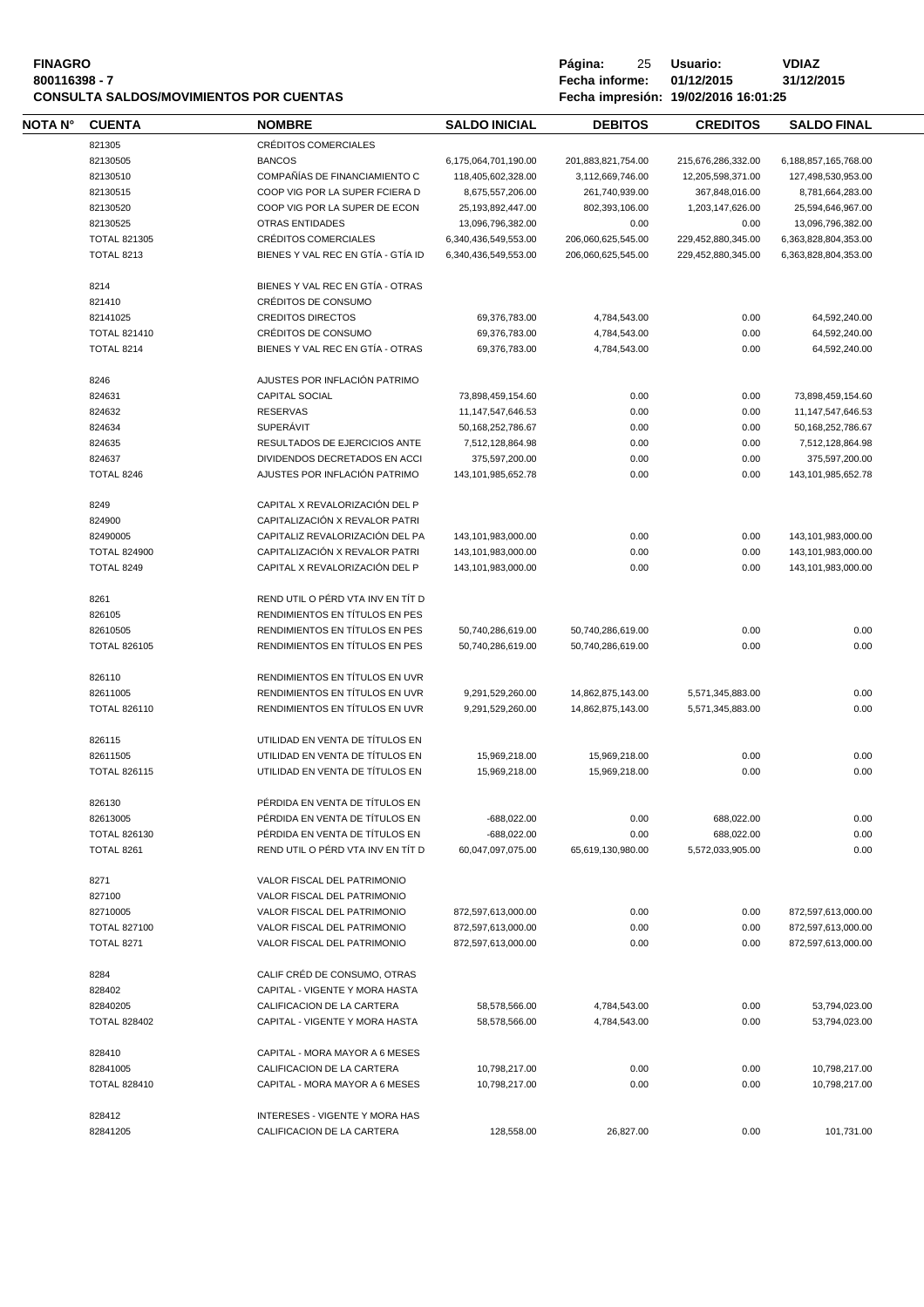| <b>FINAGRO</b>                                 |
|------------------------------------------------|
| 800116398 - 7                                  |
| <b>CONSULTA SALDOS/MOVIMIENTOS POR CUENTAS</b> |

**Página:** 25 **Usuario: <br>Fecha informe: 01/12/2015 31/12/2015 800116398 - 7 Fecha informe: 01/12/2015 31/12/2015 CONSULTA SALDOS/MOVIMIENTOS POR CUENTAS Fecha impresión: 19/02/2016 16:01:25**

| NOTA N° | <b>CUENTA</b>                     | <b>NOMBRE</b>                         | <b>SALDO INICIAL</b>             | <b>DEBITOS</b>            | <b>CREDITOS</b>    | <b>SALDO FINAL</b>     |  |
|---------|-----------------------------------|---------------------------------------|----------------------------------|---------------------------|--------------------|------------------------|--|
|         | 821305                            | CRÉDITOS COMERCIALES                  |                                  |                           |                    |                        |  |
|         | 82130505                          | <b>BANCOS</b>                         | 6,175,064,701,190.00             | 201,883,821,754.00        | 215,676,286,332.00 | 6,188,857,165,768.00   |  |
|         | 82130510                          | COMPAÑÍAS DE FINANCIAMIENTO C         | 118,405,602,328.00               | 3,112,669,746.00          | 12,205,598,371.00  | 127,498,530,953.00     |  |
|         | 82130515                          | COOP VIG POR LA SUPER FCIERA D        | 8,675,557,206.00                 | 261,740,939.00            | 367,848,016.00     | 8,781,664,283.00       |  |
|         | 82130520                          | COOP VIG POR LA SUPER DE ECON         |                                  |                           |                    |                        |  |
|         | 82130525                          | <b>OTRAS ENTIDADES</b>                | 25,193,892,447.00                | 802,393,106.00            | 1,203,147,626.00   | 25,594,646,967.00      |  |
|         |                                   |                                       | 13,096,796,382.00                | 0.00                      | 0.00               | 13,096,796,382.00      |  |
|         | <b>TOTAL 821305</b>               | CRÉDITOS COMERCIALES                  | 6,340,436,549,553.00             | 206,060,625,545.00        | 229,452,880,345.00 | 6,363,828,804,353.00   |  |
|         | <b>TOTAL 8213</b>                 | BIENES Y VAL REC EN GTÍA - GTÍA ID    | 6,340,436,549,553.00             | 206,060,625,545.00        | 229,452,880,345.00 | 6,363,828,804,353.00   |  |
|         | 8214                              | BIENES Y VAL REC EN GTÍA - OTRAS      |                                  |                           |                    |                        |  |
|         | 821410                            | CRÉDITOS DE CONSUMO                   |                                  |                           |                    |                        |  |
|         | 82141025                          | <b>CREDITOS DIRECTOS</b>              | 69,376,783.00                    | 4,784,543.00              | 0.00               | 64,592,240.00          |  |
|         | <b>TOTAL 821410</b>               | CRÉDITOS DE CONSUMO                   | 69,376,783.00                    | 4,784,543.00              | 0.00               | 64,592,240.00          |  |
|         | TOTAL 8214                        | BIENES Y VAL REC EN GTÍA - OTRAS      | 69,376,783.00                    | 4,784,543.00              | 0.00               | 64,592,240.00          |  |
|         | 8246                              | AJUSTES POR INFLACIÓN PATRIMO         |                                  |                           |                    |                        |  |
|         | 824631                            | <b>CAPITAL SOCIAL</b>                 | 73,898,459,154.60                | 0.00                      | 0.00               | 73,898,459,154.60      |  |
|         |                                   |                                       |                                  |                           |                    |                        |  |
|         | 824632                            | <b>RESERVAS</b>                       | 11,147,547,646.53                | 0.00                      | 0.00               | 11, 147, 547, 646. 53  |  |
|         | 824634                            | <b>SUPERÁVIT</b>                      | 50,168,252,786.67                | 0.00                      | 0.00               | 50, 168, 252, 786. 67  |  |
|         | 824635                            | RESULTADOS DE EJERCICIOS ANTE         | 7,512,128,864.98                 | 0.00                      | 0.00               | 7,512,128,864.98       |  |
|         | 824637                            | DIVIDENDOS DECRETADOS EN ACCI         | 375,597,200.00                   | 0.00                      | 0.00               | 375,597,200.00         |  |
|         | TOTAL 8246                        | AJUSTES POR INFLACIÓN PATRIMO         | 143,101,985,652.78               | 0.00                      | 0.00               | 143, 101, 985, 652. 78 |  |
|         | 8249                              | CAPITAL X REVALORIZACIÓN DEL P        |                                  |                           |                    |                        |  |
|         | 824900                            | CAPITALIZACIÓN X REVALOR PATRI        |                                  |                           |                    |                        |  |
|         | 82490005                          | CAPITALIZ REVALORIZACIÓN DEL PA       | 143,101,983,000.00               | 0.00                      | 0.00               | 143,101,983,000.00     |  |
|         | <b>TOTAL 824900</b>               | CAPITALIZACIÓN X REVALOR PATRI        | 143,101,983,000.00               | 0.00                      | 0.00               | 143,101,983,000.00     |  |
|         | <b>TOTAL 8249</b>                 | CAPITAL X REVALORIZACIÓN DEL P        | 143,101,983,000.00               | 0.00                      | 0.00               | 143,101,983,000.00     |  |
|         |                                   | REND UTIL O PÉRD VTA INV EN TÍT D     |                                  |                           |                    |                        |  |
|         | 8261                              |                                       |                                  |                           |                    |                        |  |
|         | 826105                            | RENDIMIENTOS EN TÍTULOS EN PES        |                                  |                           |                    |                        |  |
|         | 82610505                          | RENDIMIENTOS EN TÍTULOS EN PES        | 50,740,286,619.00                | 50,740,286,619.00         | 0.00               | 0.00                   |  |
|         | <b>TOTAL 826105</b>               | RENDIMIENTOS EN TÍTULOS EN PES        | 50,740,286,619.00                | 50,740,286,619.00         | 0.00               | 0.00                   |  |
|         | 826110                            | RENDIMIENTOS EN TÍTULOS EN UVR        |                                  |                           |                    |                        |  |
|         | 82611005                          | RENDIMIENTOS EN TÍTULOS EN UVR        | 9,291,529,260.00                 | 14,862,875,143.00         | 5,571,345,883.00   | 0.00                   |  |
|         | <b>TOTAL 826110</b>               | RENDIMIENTOS EN TÍTULOS EN UVR        | 9,291,529,260.00                 | 14,862,875,143.00         | 5,571,345,883.00   | 0.00                   |  |
|         | 826115                            | UTILIDAD EN VENTA DE TÍTULOS EN       |                                  |                           |                    |                        |  |
|         | 82611505                          | UTILIDAD EN VENTA DE TÍTULOS EN       | 15,969,218.00                    | 15,969,218.00             | 0.00               | 0.00                   |  |
|         | <b>TOTAL 826115</b>               | UTILIDAD EN VENTA DE TÍTULOS EN       | 15,969,218.00                    | 15,969,218.00             | 0.00               | 0.00                   |  |
|         | 826130                            | PÉRDIDA EN VENTA DE TÍTULOS EN        |                                  |                           |                    |                        |  |
|         | 82613005                          | PÉRDIDA EN VENTA DE TÍTULOS EN        | $-688,022.00$                    | 0.00                      | 688,022.00         | 0.00                   |  |
|         |                                   | PÉRDIDA EN VENTA DE TÍTULOS EN        |                                  |                           | 688,022.00         | 0.00                   |  |
|         | <b>TOTAL 826130</b><br>TOTAL 8261 | REND UTIL O PÉRD VTA INV EN TÍT D     | -688,022.00<br>60,047,097,075.00 | 0.00<br>65,619,130,980.00 | 5,572,033,905.00   | 0.00                   |  |
|         |                                   |                                       |                                  |                           |                    |                        |  |
|         | 8271                              | VALOR FISCAL DEL PATRIMONIO           |                                  |                           |                    |                        |  |
|         | 827100                            | VALOR FISCAL DEL PATRIMONIO           |                                  |                           |                    |                        |  |
|         | 82710005                          | VALOR FISCAL DEL PATRIMONIO           | 872,597,613,000.00               | 0.00                      | 0.00               | 872,597,613,000.00     |  |
|         | <b>TOTAL 827100</b>               | VALOR FISCAL DEL PATRIMONIO           | 872,597,613,000.00               | 0.00                      | 0.00               | 872,597,613,000.00     |  |
|         | <b>TOTAL 8271</b>                 | VALOR FISCAL DEL PATRIMONIO           | 872,597,613,000.00               | 0.00                      | 0.00               | 872,597,613,000.00     |  |
|         | 8284                              | CALIF CRÉD DE CONSUMO, OTRAS          |                                  |                           |                    |                        |  |
|         | 828402                            | CAPITAL - VIGENTE Y MORA HASTA        |                                  |                           |                    |                        |  |
|         | 82840205                          | CALIFICACION DE LA CARTERA            | 58,578,566.00                    | 4,784,543.00              | 0.00               | 53,794,023.00          |  |
|         | <b>TOTAL 828402</b>               | CAPITAL - VIGENTE Y MORA HASTA        | 58,578,566.00                    | 4,784,543.00              | 0.00               | 53,794,023.00          |  |
|         |                                   |                                       |                                  |                           |                    |                        |  |
|         | 828410                            | CAPITAL - MORA MAYOR A 6 MESES        |                                  |                           |                    |                        |  |
|         | 82841005                          | CALIFICACION DE LA CARTERA            | 10,798,217.00                    | 0.00                      | 0.00               | 10,798,217.00          |  |
|         | <b>TOTAL 828410</b>               | CAPITAL - MORA MAYOR A 6 MESES        | 10,798,217.00                    | 0.00                      | 0.00               | 10,798,217.00          |  |
|         | 828412                            | <b>INTERESES - VIGENTE Y MORA HAS</b> |                                  |                           |                    |                        |  |
|         | 82841205                          | CALIFICACION DE LA CARTERA            | 128,558.00                       | 26,827.00                 | 0.00               | 101,731.00             |  |